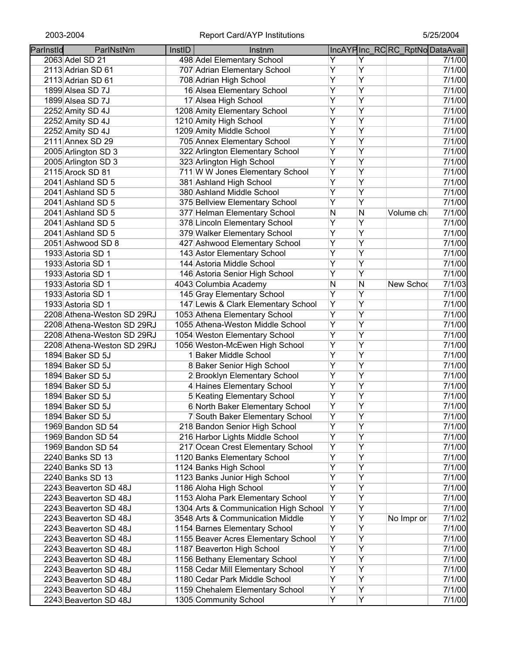| Parlnstld | ParlNstNm                  | InstID | Instnm                                |                |   | IncAYPInc_RCRC_RptNoDataAvail |        |
|-----------|----------------------------|--------|---------------------------------------|----------------|---|-------------------------------|--------|
|           | 2063 Adel SD 21            |        | 498 Adel Elementary School            | Y              | Y |                               | 7/1/00 |
|           | 2113 Adrian SD 61          |        | 707 Adrian Elementary School          | Ÿ              | Ÿ |                               | 7/1/00 |
|           | 2113 Adrian SD 61          |        | 708 Adrian High School                | Ÿ              | Ÿ |                               | 7/1/00 |
|           | 1899 Alsea SD 7J           |        | 16 Alsea Elementary School            | Ÿ              | Ÿ |                               | 7/1/00 |
|           | 1899 Alsea SD 7J           |        | 17 Alsea High School                  | $\overline{Y}$ | Ÿ |                               | 7/1/00 |
|           | 2252 Amity SD 4J           |        | 1208 Amity Elementary School          | $\overline{Y}$ | Y |                               | 7/1/00 |
|           | 2252 Amity SD 4J           |        | 1210 Amity High School                | Υ              | Ÿ |                               | 7/1/00 |
|           | 2252 Amity SD 4J           |        | 1209 Amity Middle School              | $\overline{Y}$ | Ÿ |                               | 7/1/00 |
|           | 2111 Annex SD 29           |        | 705 Annex Elementary School           | Υ              | Y |                               | 7/1/00 |
|           | 2005 Arlington SD 3        |        | 322 Arlington Elementary School       | Y              | Y |                               | 7/1/00 |
|           | 2005 Arlington SD 3        |        | 323 Arlington High School             | $\overline{Y}$ | Y |                               | 7/1/00 |
|           | 2115 Arock SD 81           |        | 711 W W Jones Elementary School       | Ÿ              | Ÿ |                               | 7/1/00 |
|           | 2041 Ashland SD 5          |        | 381 Ashland High School               | Ÿ              | Ÿ |                               | 7/1/00 |
|           | 2041 Ashland SD 5          |        | 380 Ashland Middle School             | $\overline{Y}$ | Ÿ |                               | 7/1/00 |
|           | 2041 Ashland SD 5          |        | 375 Bellview Elementary School        | Y              | Ÿ |                               | 7/1/00 |
|           | 2041 Ashland SD 5          |        | 377 Helman Elementary School          | N              | N | Volume ch                     | 7/1/00 |
|           | 2041 Ashland SD 5          |        | 378 Lincoln Elementary School         | Ÿ              | Ÿ |                               | 7/1/00 |
|           | 2041 Ashland SD 5          |        | 379 Walker Elementary School          | Ÿ              | Ÿ |                               | 7/1/00 |
|           | 2051 Ashwood SD 8          |        | 427 Ashwood Elementary School         | Y              | Ÿ |                               | 7/1/00 |
|           | 1933 Astoria SD 1          |        | 143 Astor Elementary School           | $\overline{Y}$ | Ÿ |                               | 7/1/00 |
|           | 1933 Astoria SD 1          |        | 144 Astoria Middle School             | $\overline{Y}$ | Ÿ |                               | 7/1/00 |
|           | 1933 Astoria SD 1          |        |                                       | Ÿ              | Ÿ |                               | 7/1/00 |
|           |                            |        | 146 Astoria Senior High School        |                | N |                               |        |
|           | 1933 Astoria SD 1          |        | 4043 Columbia Academy                 | N<br>Ÿ         | Ÿ | New Schod                     | 7/1/03 |
|           | 1933 Astoria SD 1          |        | 145 Gray Elementary School            |                |   |                               | 7/1/00 |
|           | 1933 Astoria SD 1          |        | 147 Lewis & Clark Elementary School   | Y              | Ÿ |                               | 7/1/00 |
|           | 2208 Athena-Weston SD 29RJ |        | 1053 Athena Elementary School         | Ÿ              | Ÿ |                               | 7/1/00 |
|           | 2208 Athena-Weston SD 29RJ |        | 1055 Athena-Weston Middle School      | Ÿ              | Y |                               | 7/1/00 |
|           | 2208 Athena-Weston SD 29RJ |        | 1054 Weston Elementary School         | $\overline{Y}$ | Ÿ |                               | 7/1/00 |
|           | 2208 Athena-Weston SD 29RJ |        | 1056 Weston-McEwen High School        | Y              | Ÿ |                               | 7/1/00 |
|           | 1894 Baker SD 5J           |        | 1 Baker Middle School                 | Ÿ              | Ÿ |                               | 7/1/00 |
|           | 1894 Baker SD 5J           |        | 8 Baker Senior High School            | Y              | Ÿ |                               | 7/1/00 |
|           | 1894 Baker SD 5J           |        | 2 Brooklyn Elementary School          | Υ              | Υ |                               | 7/1/00 |
|           | 1894 Baker SD 5J           |        | 4 Haines Elementary School            | Υ              | Ÿ |                               | 7/1/00 |
|           | 1894 Baker SD 5J           |        | 5 Keating Elementary School           | Υ              | Υ |                               | 7/1/00 |
|           | 1894 Baker SD 5J           |        | 6 North Baker Elementary School       | Υ              | Ÿ |                               | 7/1/00 |
|           | 1894 Baker SD 5J           |        | 7 South Baker Elementary School       | Υ              | Υ |                               | 7/1/00 |
|           | 1969 Bandon SD 54          |        | 218 Bandon Senior High School         | Ÿ              | Ÿ |                               | 7/1/00 |
|           | 1969 Bandon SD 54          |        | 216 Harbor Lights Middle School       | Ÿ              | Ÿ |                               | 7/1/00 |
|           | 1969 Bandon SD 54          |        | 217 Ocean Crest Elementary School     | Ÿ              | Ÿ |                               | 7/1/00 |
|           | 2240 Banks SD 13           |        | 1120 Banks Elementary School          | Y              | Ÿ |                               | 7/1/00 |
|           | 2240 Banks SD 13           |        | 1124 Banks High School                | Ÿ              | Ÿ |                               | 7/1/00 |
|           | 2240 Banks SD 13           |        | 1123 Banks Junior High School         | Y              | Ÿ |                               | 7/1/00 |
|           | 2243 Beaverton SD 48J      |        | 1186 Aloha High School                | Ÿ              | Ÿ |                               | 7/1/00 |
|           | 2243 Beaverton SD 48J      |        | 1153 Aloha Park Elementary School     | Υ              | Ÿ |                               | 7/1/00 |
|           | 2243 Beaverton SD 48J      |        | 1304 Arts & Communication High School | Υ              | Ÿ |                               | 7/1/00 |
|           | 2243 Beaverton SD 48J      |        | 3548 Arts & Communication Middle      | Υ              | Y | No Impr or                    | 7/1/02 |
|           | 2243 Beaverton SD 48J      |        | 1154 Barnes Elementary School         | Y              | Y |                               | 7/1/00 |
|           | 2243 Beaverton SD 48J      |        | 1155 Beaver Acres Elementary School   | Υ              | Υ |                               | 7/1/00 |
|           | 2243 Beaverton SD 48J      |        | 1187 Beaverton High School            | Υ              | Y |                               | 7/1/00 |
|           | 2243 Beaverton SD 48J      |        | 1156 Bethany Elementary School        | Υ              | Y |                               | 7/1/00 |
|           | 2243 Beaverton SD 48J      |        | 1158 Cedar Mill Elementary School     | Υ              | Ÿ |                               | 7/1/00 |
|           | 2243 Beaverton SD 48J      |        | 1180 Cedar Park Middle School         | Υ              | Y |                               | 7/1/00 |
|           | 2243 Beaverton SD 48J      |        | 1159 Chehalem Elementary School       | Y              | Y |                               | 7/1/00 |
|           | 2243 Beaverton SD 48J      |        | 1305 Community School                 | Υ              | Y |                               | 7/1/00 |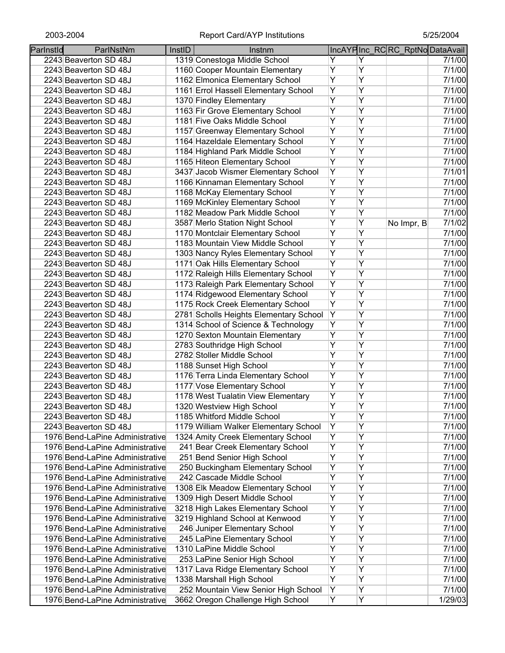| Parlnstld | ParlNstNm                       | InstID | Instnm                                 |                |   |              | IncAYPInc_RCRC_RptNoDataAvail |
|-----------|---------------------------------|--------|----------------------------------------|----------------|---|--------------|-------------------------------|
|           | 2243 Beaverton SD 48J           |        | 1319 Conestoga Middle School           | Y              | Y |              | 7/1/00                        |
|           | 2243 Beaverton SD 48J           |        | 1160 Cooper Mountain Elementary        | Υ              | Ÿ |              | 7/1/00                        |
|           | 2243 Beaverton SD 48J           |        | 1162 Elmonica Elementary School        | Ÿ              | Ÿ |              | 7/1/00                        |
|           | 2243 Beaverton SD 48J           |        | 1161 Errol Hassell Elementary School   | Υ              | Ÿ |              | 7/1/00                        |
|           | 2243 Beaverton SD 48J           |        | 1370 Findley Elementary                | Y              | Ÿ |              | 7/1/00                        |
|           | 2243 Beaverton SD 48J           |        | 1163 Fir Grove Elementary School       | Ÿ              | Ÿ |              | 7/1/00                        |
|           | 2243 Beaverton SD 48J           |        | 1181 Five Oaks Middle School           | $\overline{Y}$ | Υ |              | 7/1/00                        |
|           | 2243 Beaverton SD 48J           |        | 1157 Greenway Elementary School        | $\overline{Y}$ | Ÿ |              | 7/1/00                        |
|           | 2243 Beaverton SD 48J           |        | 1164 Hazeldale Elementary School       | Υ              | Υ |              | 7/1/00                        |
|           | 2243 Beaverton SD 48J           |        | 1184 Highland Park Middle School       | Ÿ              | Ÿ |              | 7/1/00                        |
|           | 2243 Beaverton SD 48J           |        | 1165 Hiteon Elementary School          | Y              | Ÿ |              | 7/1/00                        |
|           | 2243 Beaverton SD 48J           |        | 3437 Jacob Wismer Elementary School    | Ϋ              | Ÿ |              | 7/1/01                        |
|           | 2243 Beaverton SD 48J           |        | 1166 Kinnaman Elementary School        | Ÿ              | Ÿ |              | 7/1/00                        |
|           | 2243 Beaverton SD 48J           |        | 1168 McKay Elementary School           | $\overline{Y}$ | Ÿ |              | 7/1/00                        |
|           | 2243 Beaverton SD 48J           |        | 1169 McKinley Elementary School        | Y              | Ÿ |              | 7/1/00                        |
|           | 2243 Beaverton SD 48J           |        | 1182 Meadow Park Middle School         | Ϋ              | Ÿ |              | 7/1/00                        |
|           | 2243 Beaverton SD 48J           |        | 3587 Merlo Station Night School        | Υ              | Υ | No Impr, $B$ | 7/1/02                        |
|           | 2243 Beaverton SD 48J           |        | 1170 Montclair Elementary School       | Ϋ              | Ÿ |              | 7/1/00                        |
|           | 2243 Beaverton SD 48J           |        | 1183 Mountain View Middle School       | Ÿ              | Ÿ |              | 7/1/00                        |
|           | 2243 Beaverton SD 48J           |        | 1303 Nancy Ryles Elementary School     | Ÿ              | Ÿ |              | 7/1/00                        |
|           | 2243 Beaverton SD 48J           |        | 1171 Oak Hills Elementary School       | Y              | Ÿ |              | 7/1/00                        |
|           | 2243 Beaverton SD 48J           |        | 1172 Raleigh Hills Elementary School   | Y              | Ÿ |              | 7/1/00                        |
|           | 2243 Beaverton SD 48J           |        | 1173 Raleigh Park Elementary School    | Y              | Ÿ |              | 7/1/00                        |
|           | 2243 Beaverton SD 48J           |        | 1174 Ridgewood Elementary School       | Y              | Ÿ |              | 7/1/00                        |
|           | 2243 Beaverton SD 48J           |        | 1175 Rock Creek Elementary School      | Y              | Ÿ |              | 7/1/00                        |
|           | 2243 Beaverton SD 48J           |        | 2781 Scholls Heights Elementary School | Y              | Ÿ |              | 7/1/00                        |
|           | 2243 Beaverton SD 48J           |        | 1314 School of Science & Technology    | Ϋ              | Ÿ |              | 7/1/00                        |
|           | 2243 Beaverton SD 48J           |        | 1270 Sexton Mountain Elementary        | Ÿ              | Ÿ |              | 7/1/00                        |
|           | 2243 Beaverton SD 48J           |        | 2783 Southridge High School            | Ÿ              | Ÿ |              | 7/1/00                        |
|           | 2243 Beaverton SD 48J           |        | 2782 Stoller Middle School             | Ÿ              | Ÿ |              | 7/1/00                        |
|           |                                 |        |                                        | Ÿ              | Ÿ |              | 7/1/00                        |
|           | 2243 Beaverton SD 48J           |        | 1188 Sunset High School                | Y              | Υ |              | 7/1/00                        |
|           | 2243 Beaverton SD 48J           |        | 1176 Terra Linda Elementary School     | Υ              | Υ |              | 7/1/00                        |
|           | 2243 Beaverton SD 48J           |        | 1177 Vose Elementary School            |                | Υ |              |                               |
|           | 2243 Beaverton SD 48J           |        | 1178 West Tualatin View Elementary     | Υ<br>Υ         | Ÿ |              | 7/1/00                        |
|           | 2243 Beaverton SD 48J           |        | 1320 Westview High School              |                |   |              | 7/1/00                        |
|           | 2243 Beaverton SD 48J           |        | 1185 Whitford Middle School            | Υ              | Y |              | 7/1/00                        |
|           | 2243 Beaverton SD 48J           |        | 1179 William Walker Elementary School  | Υ              | Υ |              | 7/1/00                        |
|           | 1976 Bend-LaPine Administrative |        | 1324 Amity Creek Elementary School     | Υ              | Ÿ |              | 7/1/00                        |
|           | 1976 Bend-LaPine Administrative |        | 241 Bear Creek Elementary School       | Ϋ              | Ÿ |              | 7/1/00                        |
|           | 1976 Bend-LaPine Administrative |        | 251 Bend Senior High School            | Y              | Ÿ |              | 7/1/00                        |
|           | 1976 Bend-LaPine Administrative |        | 250 Buckingham Elementary School       | Υ              | Ÿ |              | 7/1/00                        |
|           | 1976 Bend-LaPine Administrative |        | 242 Cascade Middle School              | Υ              | Υ |              | 7/1/00                        |
|           | 1976 Bend-LaPine Administrative |        | 1308 Elk Meadow Elementary School      | Υ              | Ÿ |              | 7/1/00                        |
|           | 1976 Bend-LaPine Administrative |        | 1309 High Desert Middle School         | Ÿ              | Ÿ |              | 7/1/00                        |
|           | 1976 Bend-LaPine Administrative |        | 3218 High Lakes Elementary School      | Ϋ              | Ÿ |              | 7/1/00                        |
|           | 1976 Bend-LaPine Administrative |        | 3219 Highland School at Kenwood        | Υ              | Ÿ |              | 7/1/00                        |
|           | 1976 Bend-LaPine Administrative |        | 246 Juniper Elementary School          | Ϋ              | Ÿ |              | 7/1/00                        |
|           | 1976 Bend-LaPine Administrative |        | 245 LaPine Elementary School           | Υ              | Ÿ |              | 7/1/00                        |
|           | 1976 Bend-LaPine Administrative |        | 1310 LaPine Middle School              | Ϋ              | Ÿ |              | 7/1/00                        |
|           | 1976 Bend-LaPine Administrative |        | 253 LaPine Senior High School          | Υ              | Υ |              | 7/1/00                        |
|           | 1976 Bend-LaPine Administrative |        | 1317 Lava Ridge Elementary School      | Υ              | Υ |              | 7/1/00                        |
|           | 1976 Bend-LaPine Administrative |        | 1338 Marshall High School              | Y              | Υ |              | 7/1/00                        |
|           | 1976 Bend-LaPine Administrative |        | 252 Mountain View Senior High School   | Y              | Υ |              | 7/1/00                        |
|           | 1976 Bend-LaPine Administrative |        | 3662 Oregon Challenge High School      | Υ              | Y |              | 1/29/03                       |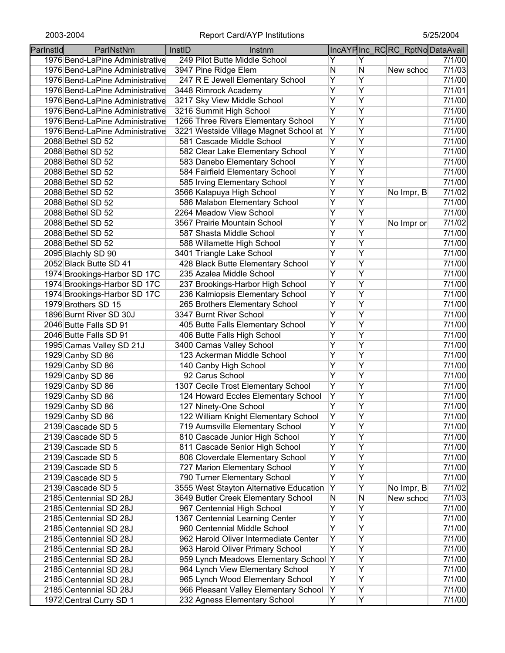| Parlnstld | ParlNstNm                       | InstID | Instnm                                  |                |   | IncAYPInc_RCRC_RptNoDataAvail |        |
|-----------|---------------------------------|--------|-----------------------------------------|----------------|---|-------------------------------|--------|
|           | 1976 Bend-LaPine Administrative |        | 249 Pilot Butte Middle School           | Y              | Y |                               | 7/1/00 |
|           | 1976 Bend-LaPine Administrative |        | 3947 Pine Ridge Elem                    | N              | N | New schoo                     | 7/1/03 |
|           | 1976 Bend-LaPine Administrative |        | 247 R E Jewell Elementary School        | Ÿ              | Ÿ |                               | 7/1/00 |
|           | 1976 Bend-LaPine Administrative |        | 3448 Rimrock Academy                    | $\overline{Y}$ | Ÿ |                               | 7/1/01 |
|           | 1976 Bend-LaPine Administrative |        | 3217 Sky View Middle School             | Ÿ              | Ÿ |                               | 7/1/00 |
|           | 1976 Bend-LaPine Administrative |        | 3216 Summit High School                 | Ÿ              | Ÿ |                               | 7/1/00 |
|           | 1976 Bend-LaPine Administrative |        | 1266 Three Rivers Elementary School     | Υ              | Ÿ |                               | 7/1/00 |
|           | 1976 Bend-LaPine Administrative |        | 3221 Westside Village Magnet School at  | Υ              | Υ |                               | 7/1/00 |
|           | 2088 Bethel SD 52               |        | 581 Cascade Middle School               | Ÿ              | Y |                               | 7/1/00 |
|           | 2088 Bethel SD 52               |        | 582 Clear Lake Elementary School        | Ÿ              | Y |                               | 7/1/00 |
|           | 2088 Bethel SD 52               |        | 583 Danebo Elementary School            | Ÿ              | Ÿ |                               | 7/1/00 |
|           | 2088 Bethel SD 52               |        | 584 Fairfield Elementary School         | Y              | Ÿ |                               | 7/1/00 |
|           | 2088 Bethel SD 52               |        | 585 Irving Elementary School            | Ÿ              | Ÿ |                               | 7/1/00 |
|           |                                 |        | 3566 Kalapuya High School               | Y              | Υ |                               | 7/1/02 |
|           | 2088 Bethel SD 52               |        | 586 Malabon Elementary School           | Y              | Ÿ | No Impr, $B$                  | 7/1/00 |
|           | 2088 Bethel SD 52               |        | 2264 Meadow View School                 | Ÿ              | Ÿ |                               | 7/1/00 |
|           | 2088 Bethel SD 52               |        |                                         | Ÿ              | Ÿ |                               |        |
|           | 2088 Bethel SD 52               |        | 3567 Prairie Mountain School            |                | Ÿ | No Impr or                    | 7/1/02 |
|           | 2088 Bethel SD 52               |        | 587 Shasta Middle School                | Y              |   |                               | 7/1/00 |
|           | 2088 Bethel SD 52               |        | 588 Willamette High School              | $\overline{Y}$ | Ÿ |                               | 7/1/00 |
|           | 2095 Blachly SD 90              |        | 3401 Triangle Lake School               | $\overline{Y}$ | Ÿ |                               | 7/1/00 |
|           | 2052 Black Butte SD 41          |        | 428 Black Butte Elementary School       | $\overline{Y}$ | Ÿ |                               | 7/1/00 |
|           | 1974 Brookings-Harbor SD 17C    |        | 235 Azalea Middle School                | Ÿ              | Ÿ |                               | 7/1/00 |
|           | 1974 Brookings-Harbor SD 17C    |        | 237 Brookings-Harbor High School        | $\overline{Y}$ | Ÿ |                               | 7/1/00 |
|           | 1974 Brookings-Harbor SD 17C    |        | 236 Kalmiopsis Elementary School        | Ÿ              | Ÿ |                               | 7/1/00 |
|           | 1979 Brothers SD 15             |        | 265 Brothers Elementary School          | Ÿ              | Y |                               | 7/1/00 |
|           | 1896 Burnt River SD 30J         |        | 3347 Burnt River School                 | $\overline{Y}$ | Y |                               | 7/1/00 |
|           | 2046 Butte Falls SD 91          |        | 405 Butte Falls Elementary School       | Ÿ              | Ÿ |                               | 7/1/00 |
|           | 2046 Butte Falls SD 91          |        | 406 Butte Falls High School             | Ÿ              | Ÿ |                               | 7/1/00 |
|           | 1995 Camas Valley SD 21J        |        | 3400 Camas Valley School                | Ÿ              | Ÿ |                               | 7/1/00 |
|           | 1929 Canby SD 86                |        | 123 Ackerman Middle School              | Υ              | Υ |                               | 7/1/00 |
|           | 1929 Canby SD 86                |        | 140 Canby High School                   | Υ              | Ÿ |                               | 7/1/00 |
|           | 1929 Canby SD 86                |        | 92 Carus School                         | Υ              | Y |                               | 7/1/00 |
|           | 1929 Canby SD 86                |        | 1307 Cecile Trost Elementary School     | Y              | Y |                               | 7/1/00 |
|           | 1929 Canby SD 86                |        | 124 Howard Eccles Elementary School     | Υ              | Y |                               | 7/1/00 |
|           | 1929 Canby SD 86                |        | 127 Ninety-One School                   | Ÿ              | Ÿ |                               | 7/1/00 |
|           | 1929 Canby SD 86                |        | 122 William Knight Elementary School    | Υ              | Υ |                               | 7/1/00 |
|           | 2139 Cascade SD 5               |        | 719 Aumsville Elementary School         | Ÿ              | Ÿ |                               | 7/1/00 |
|           | 2139 Cascade SD 5               |        | 810 Cascade Junior High School          | Ÿ              | Ÿ |                               | 7/1/00 |
|           | 2139 Cascade SD 5               |        | 811 Cascade Senior High School          | Y              | Y |                               | 7/1/00 |
|           | 2139 Cascade SD 5               |        | 806 Cloverdale Elementary School        | Υ              | Ÿ |                               | 7/1/00 |
|           | 2139 Cascade SD 5               |        | 727 Marion Elementary School            | Y              | Ÿ |                               | 7/1/00 |
|           | 2139 Cascade SD 5               |        | 790 Turner Elementary School            | Y              | Y |                               | 7/1/00 |
|           | 2139 Cascade SD 5               |        | 3555 West Stayton Alternative Education | Υ              | Y | No Impr, B                    | 7/1/02 |
|           | 2185 Centennial SD 28J          |        | 3649 Butler Creek Elementary School     | N              | Ν | New schoo                     | 7/1/03 |
|           | 2185 Centennial SD 28J          |        | 967 Centennial High School              | Υ              | Y |                               | 7/1/00 |
|           | 2185 Centennial SD 28J          |        | 1367 Centennial Learning Center         | Ϋ              | Y |                               | 7/1/00 |
|           | 2185 Centennial SD 28J          |        | 960 Centennial Middle School            | Υ              | Υ |                               | 7/1/00 |
|           | 2185 Centennial SD 28J          |        | 962 Harold Oliver Intermediate Center   | Υ              | Υ |                               | 7/1/00 |
|           | 2185 Centennial SD 28J          |        | 963 Harold Oliver Primary School        | Y              | Υ |                               | 7/1/00 |
|           | 2185 Centennial SD 28J          |        | 959 Lynch Meadows Elementary School     | Y              | Υ |                               | 7/1/00 |
|           | 2185 Centennial SD 28J          |        | 964 Lynch View Elementary School        | Y              | Y |                               | 7/1/00 |
|           | 2185 Centennial SD 28J          |        | 965 Lynch Wood Elementary School        | Y              | Ÿ |                               | 7/1/00 |
|           | 2185 Centennial SD 28J          |        | 966 Pleasant Valley Elementary School   | Y              | Υ |                               | 7/1/00 |
|           | 1972 Central Curry SD 1         |        | 232 Agness Elementary School            | Y              | Y |                               | 7/1/00 |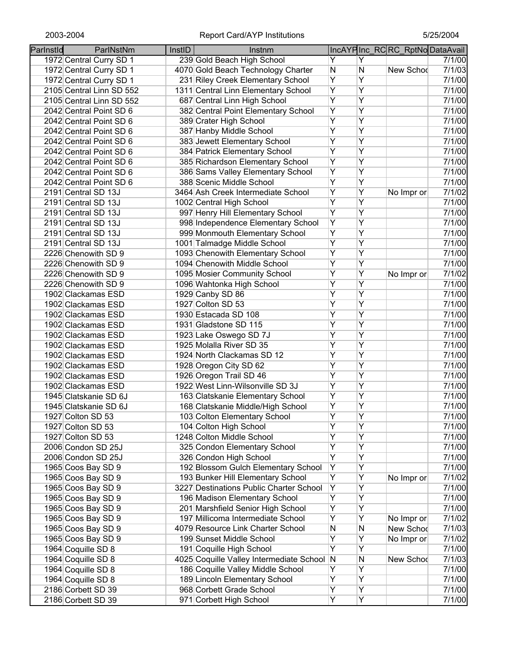| Parlnstld | ParlNstNm                | InstID | Instnm                                     |                         |                | IncAYPInc_RCRC_RptNoDataAvail |        |
|-----------|--------------------------|--------|--------------------------------------------|-------------------------|----------------|-------------------------------|--------|
|           | 1972 Central Curry SD 1  |        | 239 Gold Beach High School                 | Y                       | Y              |                               | 7/1/00 |
|           | 1972 Central Curry SD 1  |        | 4070 Gold Beach Technology Charter         | N                       | N              | New Schod                     | 7/1/03 |
|           | 1972 Central Curry SD 1  |        | 231 Riley Creek Elementary School          | $\overline{Y}$          | $\overline{Y}$ |                               | 7/1/00 |
|           | 2105 Central Linn SD 552 |        | 1311 Central Linn Elementary School        | $\overline{Y}$          | $\overline{Y}$ |                               | 7/1/00 |
|           | 2105 Central Linn SD 552 |        | 687 Central Linn High School               | $\overline{Y}$          | $\overline{Y}$ |                               | 7/1/00 |
|           | 2042 Central Point SD 6  |        | 382 Central Point Elementary School        | $\overline{Y}$          | $\overline{Y}$ |                               | 7/1/00 |
|           | 2042 Central Point SD 6  |        | 389 Crater High School                     | $\overline{Y}$          | $\overline{Y}$ |                               | 7/1/00 |
|           | 2042 Central Point SD 6  |        | 387 Hanby Middle School                    | $\overline{Y}$          | $\overline{Y}$ |                               | 7/1/00 |
|           | 2042 Central Point SD 6  |        | 383 Jewett Elementary School               | $\overline{Y}$          | $\overline{Y}$ |                               | 7/1/00 |
|           | 2042 Central Point SD 6  |        | 384 Patrick Elementary School              | $\overline{Y}$          | $\overline{Y}$ |                               | 7/1/00 |
|           | 2042 Central Point SD 6  |        | 385 Richardson Elementary School           | $\overline{Y}$          | $\overline{Y}$ |                               | 7/1/00 |
|           | 2042 Central Point SD 6  |        | 386 Sams Valley Elementary School          | $\overline{Y}$          | $\overline{Y}$ |                               | 7/1/00 |
|           | 2042 Central Point SD 6  |        | 388 Scenic Middle School                   | $\overline{\mathsf{Y}}$ | $\overline{Y}$ |                               | 7/1/00 |
|           | 2191 Central SD 13J      |        | 3464 Ash Creek Intermediate School         | $\overline{Y}$          | $\overline{Y}$ | No Impr or                    | 7/1/02 |
|           | 2191 Central SD 13J      |        | 1002 Central High School                   | $\overline{Y}$          | Υ              |                               | 7/1/00 |
|           | 2191 Central SD 13J      |        | 997 Henry Hill Elementary School           | $\overline{Y}$          | Ÿ              |                               | 7/1/00 |
|           | 2191 Central SD 13J      |        | 998 Independence Elementary School         | Y                       | $\overline{Y}$ |                               | 7/1/00 |
|           | 2191 Central SD 13J      |        | 999 Monmouth Elementary School             | $\overline{Y}$          | $\overline{Y}$ |                               | 7/1/00 |
|           | 2191 Central SD 13J      |        | 1001 Talmadge Middle School                | $\overline{Y}$          | $\overline{Y}$ |                               | 7/1/00 |
|           | 2226 Chenowith SD 9      |        | 1093 Chenowith Elementary School           | $\overline{Y}$          | $\overline{Y}$ |                               | 7/1/00 |
|           | 2226 Chenowith SD 9      |        | 1094 Chenowith Middle School               | $\overline{Y}$          | $\overline{Y}$ |                               | 7/1/00 |
|           | 2226 Chenowith SD 9      |        | 1095 Mosier Community School               | $\overline{Y}$          | $\overline{Y}$ | No Impr or                    | 7/1/02 |
|           | 2226 Chenowith SD 9      |        | 1096 Wahtonka High School                  | $\overline{Y}$          | $\overline{Y}$ |                               | 7/1/00 |
|           | 1902 Clackamas ESD       |        | 1929 Canby SD 86                           | $\overline{Y}$          | $\overline{Y}$ |                               | 7/1/00 |
|           | 1902 Clackamas ESD       |        | 1927 Colton SD 53                          | $\overline{Y}$          | $\overline{Y}$ |                               | 7/1/00 |
|           | 1902 Clackamas ESD       |        | 1930 Estacada SD 108                       | Ÿ                       | $\overline{Y}$ |                               | 7/1/00 |
|           | 1902 Clackamas ESD       |        | 1931 Gladstone SD 115                      | $\overline{Y}$          | $\overline{Y}$ |                               | 7/1/00 |
|           | 1902 Clackamas ESD       |        | 1923 Lake Oswego SD 7J                     | $\overline{Y}$          | $\overline{Y}$ |                               | 7/1/00 |
|           | 1902 Clackamas ESD       |        | 1925 Molalla River SD 35                   | Ÿ                       | $\overline{Y}$ |                               | 7/1/00 |
|           | 1902 Clackamas ESD       |        | 1924 North Clackamas SD 12                 | Y                       | $\overline{Y}$ |                               | 7/1/00 |
|           | 1902 Clackamas ESD       |        | 1928 Oregon City SD 62                     | Y                       | Y              |                               | 7/1/00 |
|           | 1902 Clackamas ESD       |        | 1926 Oregon Trail SD 46                    | Υ                       | Υ              |                               | 7/1/00 |
|           | 1902 Clackamas ESD       |        | 1922 West Linn-Wilsonville SD 3J           | Y                       | Y              |                               | 7/1/00 |
|           | 1945 Clatskanie SD 6J    |        | 163 Clatskanie Elementary School           | Υ                       | Υ              |                               | 7/1/00 |
|           | 1945 Clatskanie SD 6J    |        | 168 Clatskanie Middle/High School          | $\overline{Y}$          | $\overline{Y}$ |                               | 7/1/00 |
|           | 1927 Colton SD 53        |        | 103 Colton Elementary School               | Υ                       | Υ              |                               | 7/1/00 |
|           | 1927 Colton SD 53        |        | 104 Colton High School                     | $\overline{Y}$          | Ÿ              |                               | 7/1/00 |
|           | 1927 Colton SD 53        |        | 1248 Colton Middle School                  | Ÿ                       | Ÿ              |                               | 7/1/00 |
|           | 2006 Condon SD 25J       |        | 325 Condon Elementary School               | Ÿ                       | Ÿ              |                               | 7/1/00 |
|           | 2006 Condon SD 25J       |        | 326 Condon High School                     | Ÿ                       | $\overline{Y}$ |                               | 7/1/00 |
|           | 1965 Coos Bay SD 9       |        | 192 Blossom Gulch Elementary School        | Ÿ                       | Ÿ              |                               | 7/1/00 |
|           | 1965 Coos Bay SD 9       |        | 193 Bunker Hill Elementary School          | Y                       | Ÿ              | No Impr or                    | 7/1/02 |
|           | 1965 Coos Bay SD 9       |        | 3227 Destinations Public Charter School    | Y                       | $\overline{Y}$ |                               | 7/1/00 |
|           | 1965 Coos Bay SD 9       |        | 196 Madison Elementary School              | Y                       | Y              |                               | 7/1/00 |
|           | 1965 Coos Bay SD 9       |        | 201 Marshfield Senior High School          | Y                       | $\overline{Y}$ |                               | 7/1/00 |
|           | 1965 Coos Bay SD 9       |        | 197 Millicoma Intermediate School          | Υ                       | Y              | No Impr or                    | 7/1/02 |
|           | 1965 Coos Bay SD 9       |        | 4079 Resource Link Charter School          | N                       | N              | New Schod                     | 7/1/03 |
|           | 1965 Coos Bay SD 9       |        | 199 Sunset Middle School                   | Υ                       | Υ              | No Impr or                    | 7/1/02 |
|           | 1964 Coquille SD 8       |        | 191 Coquille High School                   | Y                       | Υ              |                               | 7/1/00 |
|           | 1964 Coquille SD 8       |        | 4025 Coquille Valley Intermediate School N |                         | N              | New Schod                     | 7/1/03 |
|           | 1964 Coquille SD 8       |        | 186 Coquille Valley Middle School          | Y                       | Υ              |                               | 7/1/00 |
|           | 1964 Coquille SD 8       |        | 189 Lincoln Elementary School              | Y                       | Y              |                               | 7/1/00 |
|           | 2186 Corbett SD 39       |        | 968 Corbett Grade School                   | Y                       | Y              |                               | 7/1/00 |
|           | 2186 Corbett SD 39       |        | 971 Corbett High School                    | Y                       | $\overline{Y}$ |                               | 7/1/00 |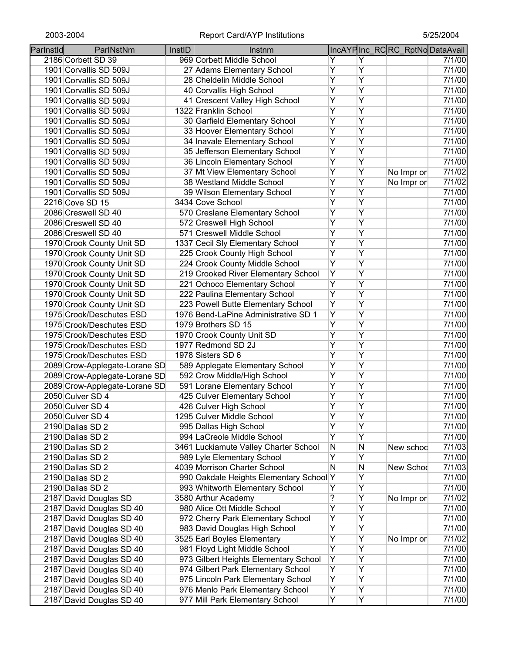| 969 Corbett Middle School<br>7/1/00<br>2186 Corbett SD 39<br>Y<br>Y<br>Ÿ<br>Υ<br>7/1/00<br>1901 Corvallis SD 509J<br>27 Adams Elementary School<br>$\overline{Y}$<br>28 Cheldelin Middle School<br>Υ<br>1901 Corvallis SD 509J<br>7/1/00<br>$\overline{Y}$<br>Ÿ<br>1901 Corvallis SD 509J<br>40 Corvallis High School<br>7/1/00<br>$\overline{Y}$<br>Ÿ<br>1901 Corvallis SD 509J<br>41 Crescent Valley High School<br>Ÿ<br>Ÿ<br>1322 Franklin School<br>7/1/00<br>1901 Corvallis SD 509J<br>$\overline{Y}$<br>Υ<br>1901 Corvallis SD 509J<br>30 Garfield Elementary School<br>7/1/00<br>$\overline{Y}$<br>Υ<br>1901 Corvallis SD 509J<br>33 Hoover Elementary School<br>7/1/00<br>$\overline{Y}$<br>Υ<br>34 Inavale Elementary School<br>1901 Corvallis SD 509J<br>7/1/00<br>Y<br>Υ<br>35 Jefferson Elementary School<br>1901 Corvallis SD 509J<br>7/1/00<br>$\overline{Y}$<br>Ÿ<br>36 Lincoln Elementary School<br>1901 Corvallis SD 509J<br>$\overline{Y}$<br>Y<br>37 Mt View Elementary School<br>7/1/02<br>No Impr or<br>1901 Corvallis SD 509J<br>$\overline{Y}$<br>Y<br>38 Westland Middle School<br>7/1/02<br>1901 Corvallis SD 509J<br>No Impr or<br>Y<br>Y<br>7/1/00<br>39 Wilson Elementary School<br>1901 Corvallis SD 509J<br>Y<br>Y<br>3434 Cove School<br>7/1/00<br>2216 Cove SD 15<br>Y<br>570 Creslane Elementary School<br>Υ<br>7/1/00<br>2086 Creswell SD 40<br>Y<br>Ÿ<br>572 Creswell High School<br>7/1/00<br>2086 Creswell SD 40<br>Ÿ<br>Ÿ<br>571 Creswell Middle School<br>7/1/00<br>2086 Creswell SD 40<br>Y<br>Ÿ<br>1337 Cecil Sly Elementary School<br>7/1/00<br>1970 Crook County Unit SD<br>$\overline{Y}$<br>Y<br>225 Crook County High School<br>1970 Crook County Unit SD<br>7/1/00<br>$\overline{Y}$<br>$\overline{Y}$<br>224 Crook County Middle School<br>1970 Crook County Unit SD<br>7/1/00<br>$\overline{Y}$<br>Y<br>219 Crooked River Elementary School<br>1970 Crook County Unit SD<br>7/1/00<br>Y<br>Y<br>221 Ochoco Elementary School<br>1970 Crook County Unit SD<br>7/1/00<br>$\overline{Y}$<br>$\overline{Y}$<br>222 Paulina Elementary School<br>7/1/00<br>1970 Crook County Unit SD<br>$\overline{Y}$<br>Ÿ<br>223 Powell Butte Elementary School<br>7/1/00<br>1970 Crook County Unit SD<br>$\overline{Y}$<br>Ÿ<br>1976 Bend-LaPine Administrative SD 1<br>7/1/00<br>1975 Crook/Deschutes ESD<br>Ÿ<br>$\overline{Y}$<br>1975 Crook/Deschutes ESD<br>1979 Brothers SD 15<br>7/1/00<br>$\overline{Y}$<br>Y<br>1975 Crook/Deschutes ESD<br>1970 Crook County Unit SD<br>7/1/00<br>$\overline{Y}$<br>Ÿ<br>1977 Redmond SD 2J<br>1975 Crook/Deschutes ESD<br>7/1/00<br>Ÿ<br>Y<br>1978 Sisters SD 6<br>7/1/00<br>1975 Crook/Deschutes ESD<br>Y<br>589 Applegate Elementary School<br>Υ<br>2089 Crow-Applegate-Lorane SD<br>7/1/00<br>Υ<br>Υ<br>2089 Crow-Applegate-Lorane SD<br>592 Crow Middle/High School<br>7/1/00<br>Υ<br>Υ<br>2089 Crow-Applegate-Lorane SD<br>591 Lorane Elementary School<br>7/1/00<br>Υ<br>425 Culver Elementary School<br>Υ<br>2050 Culver SD 4<br>7/1/00<br>$\overline{Y}$<br>Υ<br>426 Culver High School<br>7/1/00<br>2050 Culver SD 4<br>Y<br>Y<br>7/1/00<br>1295 Culver Middle School<br>2050 Culver SD 4<br>Y<br>Ÿ<br>995 Dallas High School<br>7/1/00<br>2190 Dallas SD 2<br>$\overline{Y}$<br>Ÿ<br>994 LaCreole Middle School<br>7/1/00<br>2190 Dallas SD 2<br>N<br>3461 Luckiamute Valley Charter School<br>N<br>7/1/03<br>New schoo<br>2190 Dallas SD 2<br>Ϋ<br>Ÿ<br>989 Lyle Elementary School<br>7/1/00<br>2190 Dallas SD 2<br>4039 Morrison Charter School<br>N<br>N<br>7/1/03<br>New Schod<br>2190 Dallas SD 2<br>Ÿ<br>990 Oakdale Heights Elementary School Y<br>7/1/00<br>2190 Dallas SD 2<br>$\overline{Y}$<br>Y<br>993 Whitworth Elementary School<br>7/1/00<br>2190 Dallas SD 2<br>$\overline{Y}$<br>?<br>3580 Arthur Academy<br>7/1/02<br>2187 David Douglas SD<br>No Impr or<br>Y<br>Y<br>980 Alice Ott Middle School<br>7/1/00<br>2187 David Douglas SD 40<br>$\overline{Y}$<br>Y<br>972 Cherry Park Elementary School<br>7/1/00<br>2187 David Douglas SD 40<br>Ÿ<br>Υ<br>983 David Douglas High School<br>7/1/00<br>2187 David Douglas SD 40<br>Y<br>Υ<br>3525 Earl Boyles Elementary<br>7/1/02<br>2187 David Douglas SD 40<br>No Impr or<br>Y<br>Υ<br>981 Floyd Light Middle School<br>7/1/00<br>2187 David Douglas SD 40<br>Y<br>Υ<br>973 Gilbert Heights Elementary School<br>7/1/00<br>2187 David Douglas SD 40<br>Y<br>Υ<br>974 Gilbert Park Elementary School<br>7/1/00<br>2187 David Douglas SD 40<br>975 Lincoln Park Elementary School<br>Υ<br>Υ<br>2187 David Douglas SD 40<br>7/1/00<br>Y<br>976 Menlo Park Elementary School<br>Υ<br>2187 David Douglas SD 40<br>7/1/00<br>977 Mill Park Elementary School<br>2187 David Douglas SD 40<br>7/1/00 | Parlnstld | ParlNstNm | InstID | Instnm |   |   | IncAYPInc_RCRC_RptNoDataAvail |        |
|---------------------------------------------------------------------------------------------------------------------------------------------------------------------------------------------------------------------------------------------------------------------------------------------------------------------------------------------------------------------------------------------------------------------------------------------------------------------------------------------------------------------------------------------------------------------------------------------------------------------------------------------------------------------------------------------------------------------------------------------------------------------------------------------------------------------------------------------------------------------------------------------------------------------------------------------------------------------------------------------------------------------------------------------------------------------------------------------------------------------------------------------------------------------------------------------------------------------------------------------------------------------------------------------------------------------------------------------------------------------------------------------------------------------------------------------------------------------------------------------------------------------------------------------------------------------------------------------------------------------------------------------------------------------------------------------------------------------------------------------------------------------------------------------------------------------------------------------------------------------------------------------------------------------------------------------------------------------------------------------------------------------------------------------------------------------------------------------------------------------------------------------------------------------------------------------------------------------------------------------------------------------------------------------------------------------------------------------------------------------------------------------------------------------------------------------------------------------------------------------------------------------------------------------------------------------------------------------------------------------------------------------------------------------------------------------------------------------------------------------------------------------------------------------------------------------------------------------------------------------------------------------------------------------------------------------------------------------------------------------------------------------------------------------------------------------------------------------------------------------------------------------------------------------------------------------------------------------------------------------------------------------------------------------------------------------------------------------------------------------------------------------------------------------------------------------------------------------------------------------------------------------------------------------------------------------------------------------------------------------------------------------------------------------------------------------------------------------------------------------------------------------------------------------------------------------------------------------------------------------------------------------------------------------------------------------------------------------------------------------------------------------------------------------------------------------------------------------------------------------------------------------------------------------------------------------------------------------------------------------------------------------------------------------------------------------------------------------------------------------------------------------------------------------------------------------------------------------------------------------------------------------------------------------------------------------------------------------------------------------------------------------------------------------------------------------------------------------------------------------------|-----------|-----------|--------|--------|---|---|-------------------------------|--------|
|                                                                                                                                                                                                                                                                                                                                                                                                                                                                                                                                                                                                                                                                                                                                                                                                                                                                                                                                                                                                                                                                                                                                                                                                                                                                                                                                                                                                                                                                                                                                                                                                                                                                                                                                                                                                                                                                                                                                                                                                                                                                                                                                                                                                                                                                                                                                                                                                                                                                                                                                                                                                                                                                                                                                                                                                                                                                                                                                                                                                                                                                                                                                                                                                                                                                                                                                                                                                                                                                                                                                                                                                                                                                                                                                                                                                                                                                                                                                                                                                                                                                                                                                                                                                                                                                                                                                                                                                                                                                                                                                                                                                                                                                                                                                                   |           |           |        |        |   |   |                               |        |
|                                                                                                                                                                                                                                                                                                                                                                                                                                                                                                                                                                                                                                                                                                                                                                                                                                                                                                                                                                                                                                                                                                                                                                                                                                                                                                                                                                                                                                                                                                                                                                                                                                                                                                                                                                                                                                                                                                                                                                                                                                                                                                                                                                                                                                                                                                                                                                                                                                                                                                                                                                                                                                                                                                                                                                                                                                                                                                                                                                                                                                                                                                                                                                                                                                                                                                                                                                                                                                                                                                                                                                                                                                                                                                                                                                                                                                                                                                                                                                                                                                                                                                                                                                                                                                                                                                                                                                                                                                                                                                                                                                                                                                                                                                                                                   |           |           |        |        |   |   |                               |        |
|                                                                                                                                                                                                                                                                                                                                                                                                                                                                                                                                                                                                                                                                                                                                                                                                                                                                                                                                                                                                                                                                                                                                                                                                                                                                                                                                                                                                                                                                                                                                                                                                                                                                                                                                                                                                                                                                                                                                                                                                                                                                                                                                                                                                                                                                                                                                                                                                                                                                                                                                                                                                                                                                                                                                                                                                                                                                                                                                                                                                                                                                                                                                                                                                                                                                                                                                                                                                                                                                                                                                                                                                                                                                                                                                                                                                                                                                                                                                                                                                                                                                                                                                                                                                                                                                                                                                                                                                                                                                                                                                                                                                                                                                                                                                                   |           |           |        |        |   |   |                               |        |
|                                                                                                                                                                                                                                                                                                                                                                                                                                                                                                                                                                                                                                                                                                                                                                                                                                                                                                                                                                                                                                                                                                                                                                                                                                                                                                                                                                                                                                                                                                                                                                                                                                                                                                                                                                                                                                                                                                                                                                                                                                                                                                                                                                                                                                                                                                                                                                                                                                                                                                                                                                                                                                                                                                                                                                                                                                                                                                                                                                                                                                                                                                                                                                                                                                                                                                                                                                                                                                                                                                                                                                                                                                                                                                                                                                                                                                                                                                                                                                                                                                                                                                                                                                                                                                                                                                                                                                                                                                                                                                                                                                                                                                                                                                                                                   |           |           |        |        |   |   |                               |        |
|                                                                                                                                                                                                                                                                                                                                                                                                                                                                                                                                                                                                                                                                                                                                                                                                                                                                                                                                                                                                                                                                                                                                                                                                                                                                                                                                                                                                                                                                                                                                                                                                                                                                                                                                                                                                                                                                                                                                                                                                                                                                                                                                                                                                                                                                                                                                                                                                                                                                                                                                                                                                                                                                                                                                                                                                                                                                                                                                                                                                                                                                                                                                                                                                                                                                                                                                                                                                                                                                                                                                                                                                                                                                                                                                                                                                                                                                                                                                                                                                                                                                                                                                                                                                                                                                                                                                                                                                                                                                                                                                                                                                                                                                                                                                                   |           |           |        |        |   |   |                               | 7/1/00 |
|                                                                                                                                                                                                                                                                                                                                                                                                                                                                                                                                                                                                                                                                                                                                                                                                                                                                                                                                                                                                                                                                                                                                                                                                                                                                                                                                                                                                                                                                                                                                                                                                                                                                                                                                                                                                                                                                                                                                                                                                                                                                                                                                                                                                                                                                                                                                                                                                                                                                                                                                                                                                                                                                                                                                                                                                                                                                                                                                                                                                                                                                                                                                                                                                                                                                                                                                                                                                                                                                                                                                                                                                                                                                                                                                                                                                                                                                                                                                                                                                                                                                                                                                                                                                                                                                                                                                                                                                                                                                                                                                                                                                                                                                                                                                                   |           |           |        |        |   |   |                               |        |
|                                                                                                                                                                                                                                                                                                                                                                                                                                                                                                                                                                                                                                                                                                                                                                                                                                                                                                                                                                                                                                                                                                                                                                                                                                                                                                                                                                                                                                                                                                                                                                                                                                                                                                                                                                                                                                                                                                                                                                                                                                                                                                                                                                                                                                                                                                                                                                                                                                                                                                                                                                                                                                                                                                                                                                                                                                                                                                                                                                                                                                                                                                                                                                                                                                                                                                                                                                                                                                                                                                                                                                                                                                                                                                                                                                                                                                                                                                                                                                                                                                                                                                                                                                                                                                                                                                                                                                                                                                                                                                                                                                                                                                                                                                                                                   |           |           |        |        |   |   |                               |        |
|                                                                                                                                                                                                                                                                                                                                                                                                                                                                                                                                                                                                                                                                                                                                                                                                                                                                                                                                                                                                                                                                                                                                                                                                                                                                                                                                                                                                                                                                                                                                                                                                                                                                                                                                                                                                                                                                                                                                                                                                                                                                                                                                                                                                                                                                                                                                                                                                                                                                                                                                                                                                                                                                                                                                                                                                                                                                                                                                                                                                                                                                                                                                                                                                                                                                                                                                                                                                                                                                                                                                                                                                                                                                                                                                                                                                                                                                                                                                                                                                                                                                                                                                                                                                                                                                                                                                                                                                                                                                                                                                                                                                                                                                                                                                                   |           |           |        |        |   |   |                               |        |
|                                                                                                                                                                                                                                                                                                                                                                                                                                                                                                                                                                                                                                                                                                                                                                                                                                                                                                                                                                                                                                                                                                                                                                                                                                                                                                                                                                                                                                                                                                                                                                                                                                                                                                                                                                                                                                                                                                                                                                                                                                                                                                                                                                                                                                                                                                                                                                                                                                                                                                                                                                                                                                                                                                                                                                                                                                                                                                                                                                                                                                                                                                                                                                                                                                                                                                                                                                                                                                                                                                                                                                                                                                                                                                                                                                                                                                                                                                                                                                                                                                                                                                                                                                                                                                                                                                                                                                                                                                                                                                                                                                                                                                                                                                                                                   |           |           |        |        |   |   |                               |        |
|                                                                                                                                                                                                                                                                                                                                                                                                                                                                                                                                                                                                                                                                                                                                                                                                                                                                                                                                                                                                                                                                                                                                                                                                                                                                                                                                                                                                                                                                                                                                                                                                                                                                                                                                                                                                                                                                                                                                                                                                                                                                                                                                                                                                                                                                                                                                                                                                                                                                                                                                                                                                                                                                                                                                                                                                                                                                                                                                                                                                                                                                                                                                                                                                                                                                                                                                                                                                                                                                                                                                                                                                                                                                                                                                                                                                                                                                                                                                                                                                                                                                                                                                                                                                                                                                                                                                                                                                                                                                                                                                                                                                                                                                                                                                                   |           |           |        |        |   |   |                               |        |
|                                                                                                                                                                                                                                                                                                                                                                                                                                                                                                                                                                                                                                                                                                                                                                                                                                                                                                                                                                                                                                                                                                                                                                                                                                                                                                                                                                                                                                                                                                                                                                                                                                                                                                                                                                                                                                                                                                                                                                                                                                                                                                                                                                                                                                                                                                                                                                                                                                                                                                                                                                                                                                                                                                                                                                                                                                                                                                                                                                                                                                                                                                                                                                                                                                                                                                                                                                                                                                                                                                                                                                                                                                                                                                                                                                                                                                                                                                                                                                                                                                                                                                                                                                                                                                                                                                                                                                                                                                                                                                                                                                                                                                                                                                                                                   |           |           |        |        |   |   |                               | 7/1/00 |
|                                                                                                                                                                                                                                                                                                                                                                                                                                                                                                                                                                                                                                                                                                                                                                                                                                                                                                                                                                                                                                                                                                                                                                                                                                                                                                                                                                                                                                                                                                                                                                                                                                                                                                                                                                                                                                                                                                                                                                                                                                                                                                                                                                                                                                                                                                                                                                                                                                                                                                                                                                                                                                                                                                                                                                                                                                                                                                                                                                                                                                                                                                                                                                                                                                                                                                                                                                                                                                                                                                                                                                                                                                                                                                                                                                                                                                                                                                                                                                                                                                                                                                                                                                                                                                                                                                                                                                                                                                                                                                                                                                                                                                                                                                                                                   |           |           |        |        |   |   |                               |        |
|                                                                                                                                                                                                                                                                                                                                                                                                                                                                                                                                                                                                                                                                                                                                                                                                                                                                                                                                                                                                                                                                                                                                                                                                                                                                                                                                                                                                                                                                                                                                                                                                                                                                                                                                                                                                                                                                                                                                                                                                                                                                                                                                                                                                                                                                                                                                                                                                                                                                                                                                                                                                                                                                                                                                                                                                                                                                                                                                                                                                                                                                                                                                                                                                                                                                                                                                                                                                                                                                                                                                                                                                                                                                                                                                                                                                                                                                                                                                                                                                                                                                                                                                                                                                                                                                                                                                                                                                                                                                                                                                                                                                                                                                                                                                                   |           |           |        |        |   |   |                               |        |
|                                                                                                                                                                                                                                                                                                                                                                                                                                                                                                                                                                                                                                                                                                                                                                                                                                                                                                                                                                                                                                                                                                                                                                                                                                                                                                                                                                                                                                                                                                                                                                                                                                                                                                                                                                                                                                                                                                                                                                                                                                                                                                                                                                                                                                                                                                                                                                                                                                                                                                                                                                                                                                                                                                                                                                                                                                                                                                                                                                                                                                                                                                                                                                                                                                                                                                                                                                                                                                                                                                                                                                                                                                                                                                                                                                                                                                                                                                                                                                                                                                                                                                                                                                                                                                                                                                                                                                                                                                                                                                                                                                                                                                                                                                                                                   |           |           |        |        |   |   |                               |        |
|                                                                                                                                                                                                                                                                                                                                                                                                                                                                                                                                                                                                                                                                                                                                                                                                                                                                                                                                                                                                                                                                                                                                                                                                                                                                                                                                                                                                                                                                                                                                                                                                                                                                                                                                                                                                                                                                                                                                                                                                                                                                                                                                                                                                                                                                                                                                                                                                                                                                                                                                                                                                                                                                                                                                                                                                                                                                                                                                                                                                                                                                                                                                                                                                                                                                                                                                                                                                                                                                                                                                                                                                                                                                                                                                                                                                                                                                                                                                                                                                                                                                                                                                                                                                                                                                                                                                                                                                                                                                                                                                                                                                                                                                                                                                                   |           |           |        |        |   |   |                               |        |
|                                                                                                                                                                                                                                                                                                                                                                                                                                                                                                                                                                                                                                                                                                                                                                                                                                                                                                                                                                                                                                                                                                                                                                                                                                                                                                                                                                                                                                                                                                                                                                                                                                                                                                                                                                                                                                                                                                                                                                                                                                                                                                                                                                                                                                                                                                                                                                                                                                                                                                                                                                                                                                                                                                                                                                                                                                                                                                                                                                                                                                                                                                                                                                                                                                                                                                                                                                                                                                                                                                                                                                                                                                                                                                                                                                                                                                                                                                                                                                                                                                                                                                                                                                                                                                                                                                                                                                                                                                                                                                                                                                                                                                                                                                                                                   |           |           |        |        |   |   |                               |        |
|                                                                                                                                                                                                                                                                                                                                                                                                                                                                                                                                                                                                                                                                                                                                                                                                                                                                                                                                                                                                                                                                                                                                                                                                                                                                                                                                                                                                                                                                                                                                                                                                                                                                                                                                                                                                                                                                                                                                                                                                                                                                                                                                                                                                                                                                                                                                                                                                                                                                                                                                                                                                                                                                                                                                                                                                                                                                                                                                                                                                                                                                                                                                                                                                                                                                                                                                                                                                                                                                                                                                                                                                                                                                                                                                                                                                                                                                                                                                                                                                                                                                                                                                                                                                                                                                                                                                                                                                                                                                                                                                                                                                                                                                                                                                                   |           |           |        |        |   |   |                               |        |
|                                                                                                                                                                                                                                                                                                                                                                                                                                                                                                                                                                                                                                                                                                                                                                                                                                                                                                                                                                                                                                                                                                                                                                                                                                                                                                                                                                                                                                                                                                                                                                                                                                                                                                                                                                                                                                                                                                                                                                                                                                                                                                                                                                                                                                                                                                                                                                                                                                                                                                                                                                                                                                                                                                                                                                                                                                                                                                                                                                                                                                                                                                                                                                                                                                                                                                                                                                                                                                                                                                                                                                                                                                                                                                                                                                                                                                                                                                                                                                                                                                                                                                                                                                                                                                                                                                                                                                                                                                                                                                                                                                                                                                                                                                                                                   |           |           |        |        |   |   |                               |        |
|                                                                                                                                                                                                                                                                                                                                                                                                                                                                                                                                                                                                                                                                                                                                                                                                                                                                                                                                                                                                                                                                                                                                                                                                                                                                                                                                                                                                                                                                                                                                                                                                                                                                                                                                                                                                                                                                                                                                                                                                                                                                                                                                                                                                                                                                                                                                                                                                                                                                                                                                                                                                                                                                                                                                                                                                                                                                                                                                                                                                                                                                                                                                                                                                                                                                                                                                                                                                                                                                                                                                                                                                                                                                                                                                                                                                                                                                                                                                                                                                                                                                                                                                                                                                                                                                                                                                                                                                                                                                                                                                                                                                                                                                                                                                                   |           |           |        |        |   |   |                               |        |
|                                                                                                                                                                                                                                                                                                                                                                                                                                                                                                                                                                                                                                                                                                                                                                                                                                                                                                                                                                                                                                                                                                                                                                                                                                                                                                                                                                                                                                                                                                                                                                                                                                                                                                                                                                                                                                                                                                                                                                                                                                                                                                                                                                                                                                                                                                                                                                                                                                                                                                                                                                                                                                                                                                                                                                                                                                                                                                                                                                                                                                                                                                                                                                                                                                                                                                                                                                                                                                                                                                                                                                                                                                                                                                                                                                                                                                                                                                                                                                                                                                                                                                                                                                                                                                                                                                                                                                                                                                                                                                                                                                                                                                                                                                                                                   |           |           |        |        |   |   |                               |        |
|                                                                                                                                                                                                                                                                                                                                                                                                                                                                                                                                                                                                                                                                                                                                                                                                                                                                                                                                                                                                                                                                                                                                                                                                                                                                                                                                                                                                                                                                                                                                                                                                                                                                                                                                                                                                                                                                                                                                                                                                                                                                                                                                                                                                                                                                                                                                                                                                                                                                                                                                                                                                                                                                                                                                                                                                                                                                                                                                                                                                                                                                                                                                                                                                                                                                                                                                                                                                                                                                                                                                                                                                                                                                                                                                                                                                                                                                                                                                                                                                                                                                                                                                                                                                                                                                                                                                                                                                                                                                                                                                                                                                                                                                                                                                                   |           |           |        |        |   |   |                               |        |
|                                                                                                                                                                                                                                                                                                                                                                                                                                                                                                                                                                                                                                                                                                                                                                                                                                                                                                                                                                                                                                                                                                                                                                                                                                                                                                                                                                                                                                                                                                                                                                                                                                                                                                                                                                                                                                                                                                                                                                                                                                                                                                                                                                                                                                                                                                                                                                                                                                                                                                                                                                                                                                                                                                                                                                                                                                                                                                                                                                                                                                                                                                                                                                                                                                                                                                                                                                                                                                                                                                                                                                                                                                                                                                                                                                                                                                                                                                                                                                                                                                                                                                                                                                                                                                                                                                                                                                                                                                                                                                                                                                                                                                                                                                                                                   |           |           |        |        |   |   |                               |        |
|                                                                                                                                                                                                                                                                                                                                                                                                                                                                                                                                                                                                                                                                                                                                                                                                                                                                                                                                                                                                                                                                                                                                                                                                                                                                                                                                                                                                                                                                                                                                                                                                                                                                                                                                                                                                                                                                                                                                                                                                                                                                                                                                                                                                                                                                                                                                                                                                                                                                                                                                                                                                                                                                                                                                                                                                                                                                                                                                                                                                                                                                                                                                                                                                                                                                                                                                                                                                                                                                                                                                                                                                                                                                                                                                                                                                                                                                                                                                                                                                                                                                                                                                                                                                                                                                                                                                                                                                                                                                                                                                                                                                                                                                                                                                                   |           |           |        |        |   |   |                               |        |
|                                                                                                                                                                                                                                                                                                                                                                                                                                                                                                                                                                                                                                                                                                                                                                                                                                                                                                                                                                                                                                                                                                                                                                                                                                                                                                                                                                                                                                                                                                                                                                                                                                                                                                                                                                                                                                                                                                                                                                                                                                                                                                                                                                                                                                                                                                                                                                                                                                                                                                                                                                                                                                                                                                                                                                                                                                                                                                                                                                                                                                                                                                                                                                                                                                                                                                                                                                                                                                                                                                                                                                                                                                                                                                                                                                                                                                                                                                                                                                                                                                                                                                                                                                                                                                                                                                                                                                                                                                                                                                                                                                                                                                                                                                                                                   |           |           |        |        |   |   |                               |        |
|                                                                                                                                                                                                                                                                                                                                                                                                                                                                                                                                                                                                                                                                                                                                                                                                                                                                                                                                                                                                                                                                                                                                                                                                                                                                                                                                                                                                                                                                                                                                                                                                                                                                                                                                                                                                                                                                                                                                                                                                                                                                                                                                                                                                                                                                                                                                                                                                                                                                                                                                                                                                                                                                                                                                                                                                                                                                                                                                                                                                                                                                                                                                                                                                                                                                                                                                                                                                                                                                                                                                                                                                                                                                                                                                                                                                                                                                                                                                                                                                                                                                                                                                                                                                                                                                                                                                                                                                                                                                                                                                                                                                                                                                                                                                                   |           |           |        |        |   |   |                               |        |
|                                                                                                                                                                                                                                                                                                                                                                                                                                                                                                                                                                                                                                                                                                                                                                                                                                                                                                                                                                                                                                                                                                                                                                                                                                                                                                                                                                                                                                                                                                                                                                                                                                                                                                                                                                                                                                                                                                                                                                                                                                                                                                                                                                                                                                                                                                                                                                                                                                                                                                                                                                                                                                                                                                                                                                                                                                                                                                                                                                                                                                                                                                                                                                                                                                                                                                                                                                                                                                                                                                                                                                                                                                                                                                                                                                                                                                                                                                                                                                                                                                                                                                                                                                                                                                                                                                                                                                                                                                                                                                                                                                                                                                                                                                                                                   |           |           |        |        |   |   |                               |        |
|                                                                                                                                                                                                                                                                                                                                                                                                                                                                                                                                                                                                                                                                                                                                                                                                                                                                                                                                                                                                                                                                                                                                                                                                                                                                                                                                                                                                                                                                                                                                                                                                                                                                                                                                                                                                                                                                                                                                                                                                                                                                                                                                                                                                                                                                                                                                                                                                                                                                                                                                                                                                                                                                                                                                                                                                                                                                                                                                                                                                                                                                                                                                                                                                                                                                                                                                                                                                                                                                                                                                                                                                                                                                                                                                                                                                                                                                                                                                                                                                                                                                                                                                                                                                                                                                                                                                                                                                                                                                                                                                                                                                                                                                                                                                                   |           |           |        |        |   |   |                               |        |
|                                                                                                                                                                                                                                                                                                                                                                                                                                                                                                                                                                                                                                                                                                                                                                                                                                                                                                                                                                                                                                                                                                                                                                                                                                                                                                                                                                                                                                                                                                                                                                                                                                                                                                                                                                                                                                                                                                                                                                                                                                                                                                                                                                                                                                                                                                                                                                                                                                                                                                                                                                                                                                                                                                                                                                                                                                                                                                                                                                                                                                                                                                                                                                                                                                                                                                                                                                                                                                                                                                                                                                                                                                                                                                                                                                                                                                                                                                                                                                                                                                                                                                                                                                                                                                                                                                                                                                                                                                                                                                                                                                                                                                                                                                                                                   |           |           |        |        |   |   |                               |        |
|                                                                                                                                                                                                                                                                                                                                                                                                                                                                                                                                                                                                                                                                                                                                                                                                                                                                                                                                                                                                                                                                                                                                                                                                                                                                                                                                                                                                                                                                                                                                                                                                                                                                                                                                                                                                                                                                                                                                                                                                                                                                                                                                                                                                                                                                                                                                                                                                                                                                                                                                                                                                                                                                                                                                                                                                                                                                                                                                                                                                                                                                                                                                                                                                                                                                                                                                                                                                                                                                                                                                                                                                                                                                                                                                                                                                                                                                                                                                                                                                                                                                                                                                                                                                                                                                                                                                                                                                                                                                                                                                                                                                                                                                                                                                                   |           |           |        |        |   |   |                               |        |
|                                                                                                                                                                                                                                                                                                                                                                                                                                                                                                                                                                                                                                                                                                                                                                                                                                                                                                                                                                                                                                                                                                                                                                                                                                                                                                                                                                                                                                                                                                                                                                                                                                                                                                                                                                                                                                                                                                                                                                                                                                                                                                                                                                                                                                                                                                                                                                                                                                                                                                                                                                                                                                                                                                                                                                                                                                                                                                                                                                                                                                                                                                                                                                                                                                                                                                                                                                                                                                                                                                                                                                                                                                                                                                                                                                                                                                                                                                                                                                                                                                                                                                                                                                                                                                                                                                                                                                                                                                                                                                                                                                                                                                                                                                                                                   |           |           |        |        |   |   |                               |        |
|                                                                                                                                                                                                                                                                                                                                                                                                                                                                                                                                                                                                                                                                                                                                                                                                                                                                                                                                                                                                                                                                                                                                                                                                                                                                                                                                                                                                                                                                                                                                                                                                                                                                                                                                                                                                                                                                                                                                                                                                                                                                                                                                                                                                                                                                                                                                                                                                                                                                                                                                                                                                                                                                                                                                                                                                                                                                                                                                                                                                                                                                                                                                                                                                                                                                                                                                                                                                                                                                                                                                                                                                                                                                                                                                                                                                                                                                                                                                                                                                                                                                                                                                                                                                                                                                                                                                                                                                                                                                                                                                                                                                                                                                                                                                                   |           |           |        |        |   |   |                               |        |
|                                                                                                                                                                                                                                                                                                                                                                                                                                                                                                                                                                                                                                                                                                                                                                                                                                                                                                                                                                                                                                                                                                                                                                                                                                                                                                                                                                                                                                                                                                                                                                                                                                                                                                                                                                                                                                                                                                                                                                                                                                                                                                                                                                                                                                                                                                                                                                                                                                                                                                                                                                                                                                                                                                                                                                                                                                                                                                                                                                                                                                                                                                                                                                                                                                                                                                                                                                                                                                                                                                                                                                                                                                                                                                                                                                                                                                                                                                                                                                                                                                                                                                                                                                                                                                                                                                                                                                                                                                                                                                                                                                                                                                                                                                                                                   |           |           |        |        |   |   |                               |        |
|                                                                                                                                                                                                                                                                                                                                                                                                                                                                                                                                                                                                                                                                                                                                                                                                                                                                                                                                                                                                                                                                                                                                                                                                                                                                                                                                                                                                                                                                                                                                                                                                                                                                                                                                                                                                                                                                                                                                                                                                                                                                                                                                                                                                                                                                                                                                                                                                                                                                                                                                                                                                                                                                                                                                                                                                                                                                                                                                                                                                                                                                                                                                                                                                                                                                                                                                                                                                                                                                                                                                                                                                                                                                                                                                                                                                                                                                                                                                                                                                                                                                                                                                                                                                                                                                                                                                                                                                                                                                                                                                                                                                                                                                                                                                                   |           |           |        |        |   |   |                               |        |
|                                                                                                                                                                                                                                                                                                                                                                                                                                                                                                                                                                                                                                                                                                                                                                                                                                                                                                                                                                                                                                                                                                                                                                                                                                                                                                                                                                                                                                                                                                                                                                                                                                                                                                                                                                                                                                                                                                                                                                                                                                                                                                                                                                                                                                                                                                                                                                                                                                                                                                                                                                                                                                                                                                                                                                                                                                                                                                                                                                                                                                                                                                                                                                                                                                                                                                                                                                                                                                                                                                                                                                                                                                                                                                                                                                                                                                                                                                                                                                                                                                                                                                                                                                                                                                                                                                                                                                                                                                                                                                                                                                                                                                                                                                                                                   |           |           |        |        |   |   |                               |        |
|                                                                                                                                                                                                                                                                                                                                                                                                                                                                                                                                                                                                                                                                                                                                                                                                                                                                                                                                                                                                                                                                                                                                                                                                                                                                                                                                                                                                                                                                                                                                                                                                                                                                                                                                                                                                                                                                                                                                                                                                                                                                                                                                                                                                                                                                                                                                                                                                                                                                                                                                                                                                                                                                                                                                                                                                                                                                                                                                                                                                                                                                                                                                                                                                                                                                                                                                                                                                                                                                                                                                                                                                                                                                                                                                                                                                                                                                                                                                                                                                                                                                                                                                                                                                                                                                                                                                                                                                                                                                                                                                                                                                                                                                                                                                                   |           |           |        |        |   |   |                               |        |
|                                                                                                                                                                                                                                                                                                                                                                                                                                                                                                                                                                                                                                                                                                                                                                                                                                                                                                                                                                                                                                                                                                                                                                                                                                                                                                                                                                                                                                                                                                                                                                                                                                                                                                                                                                                                                                                                                                                                                                                                                                                                                                                                                                                                                                                                                                                                                                                                                                                                                                                                                                                                                                                                                                                                                                                                                                                                                                                                                                                                                                                                                                                                                                                                                                                                                                                                                                                                                                                                                                                                                                                                                                                                                                                                                                                                                                                                                                                                                                                                                                                                                                                                                                                                                                                                                                                                                                                                                                                                                                                                                                                                                                                                                                                                                   |           |           |        |        |   |   |                               |        |
|                                                                                                                                                                                                                                                                                                                                                                                                                                                                                                                                                                                                                                                                                                                                                                                                                                                                                                                                                                                                                                                                                                                                                                                                                                                                                                                                                                                                                                                                                                                                                                                                                                                                                                                                                                                                                                                                                                                                                                                                                                                                                                                                                                                                                                                                                                                                                                                                                                                                                                                                                                                                                                                                                                                                                                                                                                                                                                                                                                                                                                                                                                                                                                                                                                                                                                                                                                                                                                                                                                                                                                                                                                                                                                                                                                                                                                                                                                                                                                                                                                                                                                                                                                                                                                                                                                                                                                                                                                                                                                                                                                                                                                                                                                                                                   |           |           |        |        |   |   |                               |        |
|                                                                                                                                                                                                                                                                                                                                                                                                                                                                                                                                                                                                                                                                                                                                                                                                                                                                                                                                                                                                                                                                                                                                                                                                                                                                                                                                                                                                                                                                                                                                                                                                                                                                                                                                                                                                                                                                                                                                                                                                                                                                                                                                                                                                                                                                                                                                                                                                                                                                                                                                                                                                                                                                                                                                                                                                                                                                                                                                                                                                                                                                                                                                                                                                                                                                                                                                                                                                                                                                                                                                                                                                                                                                                                                                                                                                                                                                                                                                                                                                                                                                                                                                                                                                                                                                                                                                                                                                                                                                                                                                                                                                                                                                                                                                                   |           |           |        |        |   |   |                               |        |
|                                                                                                                                                                                                                                                                                                                                                                                                                                                                                                                                                                                                                                                                                                                                                                                                                                                                                                                                                                                                                                                                                                                                                                                                                                                                                                                                                                                                                                                                                                                                                                                                                                                                                                                                                                                                                                                                                                                                                                                                                                                                                                                                                                                                                                                                                                                                                                                                                                                                                                                                                                                                                                                                                                                                                                                                                                                                                                                                                                                                                                                                                                                                                                                                                                                                                                                                                                                                                                                                                                                                                                                                                                                                                                                                                                                                                                                                                                                                                                                                                                                                                                                                                                                                                                                                                                                                                                                                                                                                                                                                                                                                                                                                                                                                                   |           |           |        |        |   |   |                               |        |
|                                                                                                                                                                                                                                                                                                                                                                                                                                                                                                                                                                                                                                                                                                                                                                                                                                                                                                                                                                                                                                                                                                                                                                                                                                                                                                                                                                                                                                                                                                                                                                                                                                                                                                                                                                                                                                                                                                                                                                                                                                                                                                                                                                                                                                                                                                                                                                                                                                                                                                                                                                                                                                                                                                                                                                                                                                                                                                                                                                                                                                                                                                                                                                                                                                                                                                                                                                                                                                                                                                                                                                                                                                                                                                                                                                                                                                                                                                                                                                                                                                                                                                                                                                                                                                                                                                                                                                                                                                                                                                                                                                                                                                                                                                                                                   |           |           |        |        |   |   |                               |        |
|                                                                                                                                                                                                                                                                                                                                                                                                                                                                                                                                                                                                                                                                                                                                                                                                                                                                                                                                                                                                                                                                                                                                                                                                                                                                                                                                                                                                                                                                                                                                                                                                                                                                                                                                                                                                                                                                                                                                                                                                                                                                                                                                                                                                                                                                                                                                                                                                                                                                                                                                                                                                                                                                                                                                                                                                                                                                                                                                                                                                                                                                                                                                                                                                                                                                                                                                                                                                                                                                                                                                                                                                                                                                                                                                                                                                                                                                                                                                                                                                                                                                                                                                                                                                                                                                                                                                                                                                                                                                                                                                                                                                                                                                                                                                                   |           |           |        |        |   |   |                               |        |
|                                                                                                                                                                                                                                                                                                                                                                                                                                                                                                                                                                                                                                                                                                                                                                                                                                                                                                                                                                                                                                                                                                                                                                                                                                                                                                                                                                                                                                                                                                                                                                                                                                                                                                                                                                                                                                                                                                                                                                                                                                                                                                                                                                                                                                                                                                                                                                                                                                                                                                                                                                                                                                                                                                                                                                                                                                                                                                                                                                                                                                                                                                                                                                                                                                                                                                                                                                                                                                                                                                                                                                                                                                                                                                                                                                                                                                                                                                                                                                                                                                                                                                                                                                                                                                                                                                                                                                                                                                                                                                                                                                                                                                                                                                                                                   |           |           |        |        |   |   |                               |        |
|                                                                                                                                                                                                                                                                                                                                                                                                                                                                                                                                                                                                                                                                                                                                                                                                                                                                                                                                                                                                                                                                                                                                                                                                                                                                                                                                                                                                                                                                                                                                                                                                                                                                                                                                                                                                                                                                                                                                                                                                                                                                                                                                                                                                                                                                                                                                                                                                                                                                                                                                                                                                                                                                                                                                                                                                                                                                                                                                                                                                                                                                                                                                                                                                                                                                                                                                                                                                                                                                                                                                                                                                                                                                                                                                                                                                                                                                                                                                                                                                                                                                                                                                                                                                                                                                                                                                                                                                                                                                                                                                                                                                                                                                                                                                                   |           |           |        |        |   |   |                               |        |
|                                                                                                                                                                                                                                                                                                                                                                                                                                                                                                                                                                                                                                                                                                                                                                                                                                                                                                                                                                                                                                                                                                                                                                                                                                                                                                                                                                                                                                                                                                                                                                                                                                                                                                                                                                                                                                                                                                                                                                                                                                                                                                                                                                                                                                                                                                                                                                                                                                                                                                                                                                                                                                                                                                                                                                                                                                                                                                                                                                                                                                                                                                                                                                                                                                                                                                                                                                                                                                                                                                                                                                                                                                                                                                                                                                                                                                                                                                                                                                                                                                                                                                                                                                                                                                                                                                                                                                                                                                                                                                                                                                                                                                                                                                                                                   |           |           |        |        |   |   |                               |        |
|                                                                                                                                                                                                                                                                                                                                                                                                                                                                                                                                                                                                                                                                                                                                                                                                                                                                                                                                                                                                                                                                                                                                                                                                                                                                                                                                                                                                                                                                                                                                                                                                                                                                                                                                                                                                                                                                                                                                                                                                                                                                                                                                                                                                                                                                                                                                                                                                                                                                                                                                                                                                                                                                                                                                                                                                                                                                                                                                                                                                                                                                                                                                                                                                                                                                                                                                                                                                                                                                                                                                                                                                                                                                                                                                                                                                                                                                                                                                                                                                                                                                                                                                                                                                                                                                                                                                                                                                                                                                                                                                                                                                                                                                                                                                                   |           |           |        |        |   |   |                               |        |
|                                                                                                                                                                                                                                                                                                                                                                                                                                                                                                                                                                                                                                                                                                                                                                                                                                                                                                                                                                                                                                                                                                                                                                                                                                                                                                                                                                                                                                                                                                                                                                                                                                                                                                                                                                                                                                                                                                                                                                                                                                                                                                                                                                                                                                                                                                                                                                                                                                                                                                                                                                                                                                                                                                                                                                                                                                                                                                                                                                                                                                                                                                                                                                                                                                                                                                                                                                                                                                                                                                                                                                                                                                                                                                                                                                                                                                                                                                                                                                                                                                                                                                                                                                                                                                                                                                                                                                                                                                                                                                                                                                                                                                                                                                                                                   |           |           |        |        |   |   |                               |        |
|                                                                                                                                                                                                                                                                                                                                                                                                                                                                                                                                                                                                                                                                                                                                                                                                                                                                                                                                                                                                                                                                                                                                                                                                                                                                                                                                                                                                                                                                                                                                                                                                                                                                                                                                                                                                                                                                                                                                                                                                                                                                                                                                                                                                                                                                                                                                                                                                                                                                                                                                                                                                                                                                                                                                                                                                                                                                                                                                                                                                                                                                                                                                                                                                                                                                                                                                                                                                                                                                                                                                                                                                                                                                                                                                                                                                                                                                                                                                                                                                                                                                                                                                                                                                                                                                                                                                                                                                                                                                                                                                                                                                                                                                                                                                                   |           |           |        |        |   |   |                               |        |
|                                                                                                                                                                                                                                                                                                                                                                                                                                                                                                                                                                                                                                                                                                                                                                                                                                                                                                                                                                                                                                                                                                                                                                                                                                                                                                                                                                                                                                                                                                                                                                                                                                                                                                                                                                                                                                                                                                                                                                                                                                                                                                                                                                                                                                                                                                                                                                                                                                                                                                                                                                                                                                                                                                                                                                                                                                                                                                                                                                                                                                                                                                                                                                                                                                                                                                                                                                                                                                                                                                                                                                                                                                                                                                                                                                                                                                                                                                                                                                                                                                                                                                                                                                                                                                                                                                                                                                                                                                                                                                                                                                                                                                                                                                                                                   |           |           |        |        |   |   |                               |        |
|                                                                                                                                                                                                                                                                                                                                                                                                                                                                                                                                                                                                                                                                                                                                                                                                                                                                                                                                                                                                                                                                                                                                                                                                                                                                                                                                                                                                                                                                                                                                                                                                                                                                                                                                                                                                                                                                                                                                                                                                                                                                                                                                                                                                                                                                                                                                                                                                                                                                                                                                                                                                                                                                                                                                                                                                                                                                                                                                                                                                                                                                                                                                                                                                                                                                                                                                                                                                                                                                                                                                                                                                                                                                                                                                                                                                                                                                                                                                                                                                                                                                                                                                                                                                                                                                                                                                                                                                                                                                                                                                                                                                                                                                                                                                                   |           |           |        |        |   |   |                               |        |
|                                                                                                                                                                                                                                                                                                                                                                                                                                                                                                                                                                                                                                                                                                                                                                                                                                                                                                                                                                                                                                                                                                                                                                                                                                                                                                                                                                                                                                                                                                                                                                                                                                                                                                                                                                                                                                                                                                                                                                                                                                                                                                                                                                                                                                                                                                                                                                                                                                                                                                                                                                                                                                                                                                                                                                                                                                                                                                                                                                                                                                                                                                                                                                                                                                                                                                                                                                                                                                                                                                                                                                                                                                                                                                                                                                                                                                                                                                                                                                                                                                                                                                                                                                                                                                                                                                                                                                                                                                                                                                                                                                                                                                                                                                                                                   |           |           |        |        |   |   |                               |        |
|                                                                                                                                                                                                                                                                                                                                                                                                                                                                                                                                                                                                                                                                                                                                                                                                                                                                                                                                                                                                                                                                                                                                                                                                                                                                                                                                                                                                                                                                                                                                                                                                                                                                                                                                                                                                                                                                                                                                                                                                                                                                                                                                                                                                                                                                                                                                                                                                                                                                                                                                                                                                                                                                                                                                                                                                                                                                                                                                                                                                                                                                                                                                                                                                                                                                                                                                                                                                                                                                                                                                                                                                                                                                                                                                                                                                                                                                                                                                                                                                                                                                                                                                                                                                                                                                                                                                                                                                                                                                                                                                                                                                                                                                                                                                                   |           |           |        |        |   |   |                               |        |
|                                                                                                                                                                                                                                                                                                                                                                                                                                                                                                                                                                                                                                                                                                                                                                                                                                                                                                                                                                                                                                                                                                                                                                                                                                                                                                                                                                                                                                                                                                                                                                                                                                                                                                                                                                                                                                                                                                                                                                                                                                                                                                                                                                                                                                                                                                                                                                                                                                                                                                                                                                                                                                                                                                                                                                                                                                                                                                                                                                                                                                                                                                                                                                                                                                                                                                                                                                                                                                                                                                                                                                                                                                                                                                                                                                                                                                                                                                                                                                                                                                                                                                                                                                                                                                                                                                                                                                                                                                                                                                                                                                                                                                                                                                                                                   |           |           |        |        |   |   |                               |        |
|                                                                                                                                                                                                                                                                                                                                                                                                                                                                                                                                                                                                                                                                                                                                                                                                                                                                                                                                                                                                                                                                                                                                                                                                                                                                                                                                                                                                                                                                                                                                                                                                                                                                                                                                                                                                                                                                                                                                                                                                                                                                                                                                                                                                                                                                                                                                                                                                                                                                                                                                                                                                                                                                                                                                                                                                                                                                                                                                                                                                                                                                                                                                                                                                                                                                                                                                                                                                                                                                                                                                                                                                                                                                                                                                                                                                                                                                                                                                                                                                                                                                                                                                                                                                                                                                                                                                                                                                                                                                                                                                                                                                                                                                                                                                                   |           |           |        |        |   |   |                               |        |
|                                                                                                                                                                                                                                                                                                                                                                                                                                                                                                                                                                                                                                                                                                                                                                                                                                                                                                                                                                                                                                                                                                                                                                                                                                                                                                                                                                                                                                                                                                                                                                                                                                                                                                                                                                                                                                                                                                                                                                                                                                                                                                                                                                                                                                                                                                                                                                                                                                                                                                                                                                                                                                                                                                                                                                                                                                                                                                                                                                                                                                                                                                                                                                                                                                                                                                                                                                                                                                                                                                                                                                                                                                                                                                                                                                                                                                                                                                                                                                                                                                                                                                                                                                                                                                                                                                                                                                                                                                                                                                                                                                                                                                                                                                                                                   |           |           |        |        | Y | Ÿ |                               |        |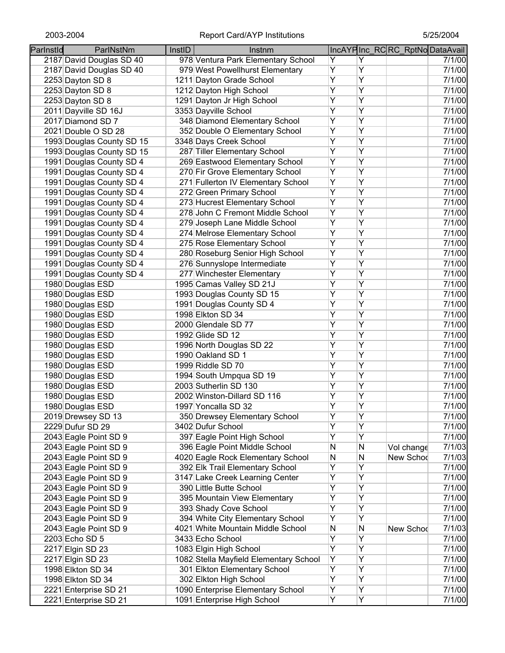| Parlnstld | ParlNstNm                 | InstID | Instnm                                 |                |                | IncAYPInc_RCRC_RptNoDataAvail |        |
|-----------|---------------------------|--------|----------------------------------------|----------------|----------------|-------------------------------|--------|
|           | 2187 David Douglas SD 40  |        | 978 Ventura Park Elementary School     | Y              | Y              |                               | 7/1/00 |
|           | 2187 David Douglas SD 40  |        | 979 West Powellhurst Elementary        | Y              | $\overline{Y}$ |                               | 7/1/00 |
|           | 2253 Dayton SD 8          |        | 1211 Dayton Grade School               | Y              | Ÿ              |                               | 7/1/00 |
|           | 2253 Dayton SD 8          |        | 1212 Dayton High School                | $\overline{Y}$ | $\overline{Y}$ |                               | 7/1/00 |
|           | 2253 Dayton SD 8          |        | 1291 Dayton Jr High School             | $\overline{Y}$ | Ÿ              |                               | 7/1/00 |
|           | 2011 Dayville SD 16J      |        | 3353 Dayville School                   | $\overline{Y}$ | Y              |                               | 7/1/00 |
|           | 2017 Diamond SD 7         |        | 348 Diamond Elementary School          | $\overline{Y}$ | Υ              |                               | 7/1/00 |
|           | 2021 Double O SD 28       |        | 352 Double O Elementary School         | Υ              | Y              |                               | 7/1/00 |
|           | 1993 Douglas County SD 15 |        | 3348 Days Creek School                 | $\overline{Y}$ | $\overline{Y}$ |                               | 7/1/00 |
|           | 1993 Douglas County SD 15 |        | 287 Tiller Elementary School           | Υ              | Y              |                               | 7/1/00 |
|           | 1991 Douglas County SD 4  |        | 269 Eastwood Elementary School         | Y              | Y              |                               | 7/1/00 |
|           | 1991 Douglas County SD 4  |        | 270 Fir Grove Elementary School        | Y              | Y              |                               | 7/1/00 |
|           | 1991 Douglas County SD 4  |        | 271 Fullerton IV Elementary School     | $\overline{Y}$ | $\overline{Y}$ |                               | 7/1/00 |
|           | 1991 Douglas County SD 4  |        | 272 Green Primary School               | $\overline{Y}$ | Y              |                               | 7/1/00 |
|           | 1991 Douglas County SD 4  |        | 273 Hucrest Elementary School          | $\overline{Y}$ | Y              |                               | 7/1/00 |
|           | 1991 Douglas County SD 4  |        | 278 John C Fremont Middle School       | Υ              | Y              |                               | 7/1/00 |
|           | 1991 Douglas County SD 4  |        | 279 Joseph Lane Middle School          | Y              | Y              |                               | 7/1/00 |
|           | 1991 Douglas County SD 4  |        | 274 Melrose Elementary School          | Y              | Ÿ              |                               | 7/1/00 |
|           | 1991 Douglas County SD 4  |        | 275 Rose Elementary School             | Y              | Ÿ              |                               | 7/1/00 |
|           | 1991 Douglas County SD 4  |        | 280 Roseburg Senior High School        | $\overline{Y}$ | Ÿ              |                               | 7/1/00 |
|           | 1991 Douglas County SD 4  |        | 276 Sunnyslope Intermediate            | $\overline{Y}$ | Ÿ              |                               | 7/1/00 |
|           | 1991 Douglas County SD 4  |        | 277 Winchester Elementary              | $\overline{Y}$ | Ÿ              |                               | 7/1/00 |
|           | 1980 Douglas ESD          |        | 1995 Camas Valley SD 21J               | $\overline{Y}$ | Y              |                               | 7/1/00 |
|           | 1980 Douglas ESD          |        | 1993 Douglas County SD 15              | Ÿ              | Ÿ              |                               | 7/1/00 |
|           | 1980 Douglas ESD          |        | 1991 Douglas County SD 4               | Ÿ              | Ÿ              |                               | 7/1/00 |
|           | 1980 Douglas ESD          |        | 1998 Elkton SD 34                      | Ÿ              | Ÿ              |                               | 7/1/00 |
|           | 1980 Douglas ESD          |        | 2000 Glendale SD 77                    | Y              | Y              |                               | 7/1/00 |
|           | 1980 Douglas ESD          |        | 1992 Glide SD 12                       | Y              | Y              |                               | 7/1/00 |
|           | 1980 Douglas ESD          |        | 1996 North Douglas SD 22               | $\overline{Y}$ | $\overline{Y}$ |                               | 7/1/00 |
|           | 1980 Douglas ESD          |        | 1990 Oakland SD 1                      | Ÿ              | Ÿ              |                               | 7/1/00 |
|           | 1980 Douglas ESD          |        | 1999 Riddle SD 70                      | Y              | Y              |                               | 7/1/00 |
|           | 1980 Douglas ESD          |        | 1994 South Umpqua SD 19                | Υ              | Y              |                               | 7/1/00 |
|           | 1980 Douglas ESD          |        | 2003 Sutherlin SD 130                  | Υ              | Y              |                               | 7/1/00 |
|           | 1980 Douglas ESD          |        | 2002 Winston-Dillard SD 116            | Υ              | Υ              |                               | 7/1/00 |
|           | 1980 Douglas ESD          |        | 1997 Yoncalla SD 32                    | Υ              | Υ              |                               | 7/1/00 |
|           | 2019 Drewsey SD 13        |        | 350 Drewsey Elementary School          | Y              | Y              |                               | 7/1/00 |
|           | 2229 Dufur SD 29          |        | 3402 Dufur School                      | Y              | Υ              |                               | 7/1/00 |
|           | 2043 Eagle Point SD 9     |        | 397 Eagle Point High School            | Ÿ              | Ÿ              |                               | 7/1/00 |
|           | 2043 Eagle Point SD 9     |        | 396 Eagle Point Middle School          | N              | N              | Vol change                    | 7/1/03 |
|           | 2043 Eagle Point SD 9     |        | 4020 Eagle Rock Elementary School      | N              | N              | New Schod                     | 7/1/03 |
|           | 2043 Eagle Point SD 9     |        | 392 Elk Trail Elementary School        | Υ              | Y              |                               | 7/1/00 |
|           | 2043 Eagle Point SD 9     |        | 3147 Lake Creek Learning Center        | Y              | Ÿ              |                               | 7/1/00 |
|           | 2043 Eagle Point SD 9     |        | 390 Little Butte School                | Y              | Ÿ              |                               | 7/1/00 |
|           | 2043 Eagle Point SD 9     |        | 395 Mountain View Elementary           | Υ              | Ÿ              |                               | 7/1/00 |
|           | 2043 Eagle Point SD 9     |        | 393 Shady Cove School                  | Υ              | Y              |                               | 7/1/00 |
|           | 2043 Eagle Point SD 9     |        | 394 White City Elementary School       | Y              | Y              |                               | 7/1/00 |
|           | 2043 Eagle Point SD 9     |        | 4021 White Mountain Middle School      | N              | N              | New Schod                     | 7/1/03 |
|           | 2203 Echo SD 5            |        | 3433 Echo School                       | Υ              | Υ              |                               | 7/1/00 |
|           | 2217 Elgin SD 23          |        | 1083 Elgin High School                 | Y              | Υ              |                               | 7/1/00 |
|           | 2217 Elgin SD 23          |        | 1082 Stella Mayfield Elementary School | Υ              | Υ              |                               | 7/1/00 |
|           | 1998 Elkton SD 34         |        | 301 Elkton Elementary School           | Υ              | Υ              |                               | 7/1/00 |
|           | 1998 Elkton SD 34         |        | 302 Elkton High School                 | Y              | Υ              |                               | 7/1/00 |
|           | 2221 Enterprise SD 21     |        | 1090 Enterprise Elementary School      | Υ              | Υ              |                               | 7/1/00 |
|           | 2221 Enterprise SD 21     |        | 1091 Enterprise High School            | Y              | Y              |                               | 7/1/00 |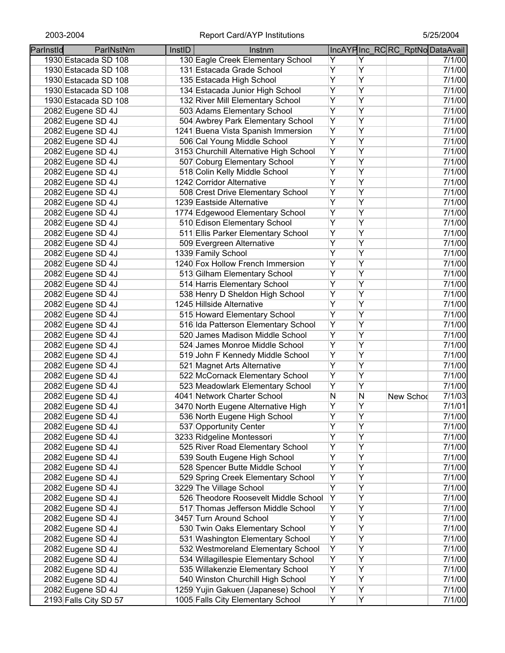| Parlnstld         | ParlNstNm             | InstID | Instnm                                 |   |                | IncAYPInc_RCRC_RptNoDataAvail |        |
|-------------------|-----------------------|--------|----------------------------------------|---|----------------|-------------------------------|--------|
|                   | 1930 Estacada SD 108  |        | 130 Eagle Creek Elementary School      | Y | Y              |                               | 7/1/00 |
|                   | 1930 Estacada SD 108  |        | 131 Estacada Grade School              | Υ | Υ              |                               | 7/1/00 |
|                   | 1930 Estacada SD 108  |        | 135 Estacada High School               | Υ | Υ              |                               | 7/1/00 |
|                   | 1930 Estacada SD 108  |        | 134 Estacada Junior High School        | Υ | Ÿ              |                               | 7/1/00 |
|                   | 1930 Estacada SD 108  |        | 132 River Mill Elementary School       | Y | Ÿ              |                               | 7/1/00 |
| 2082 Eugene SD 4J |                       |        | 503 Adams Elementary School            | Y | $\overline{Y}$ |                               | 7/1/00 |
| 2082 Eugene SD 4J |                       |        | 504 Awbrey Park Elementary School      | Υ | Υ              |                               | 7/1/00 |
| 2082 Eugene SD 4J |                       |        | 1241 Buena Vista Spanish Immersion     | Υ | Υ              |                               | 7/1/00 |
| 2082 Eugene SD 4J |                       |        | 506 Cal Young Middle School            | Υ | Υ              |                               | 7/1/00 |
| 2082 Eugene SD 4J |                       |        | 3153 Churchill Alternative High School | Υ | Υ              |                               | 7/1/00 |
| 2082 Eugene SD 4J |                       |        | 507 Coburg Elementary School           | Ÿ | Ÿ              |                               | 7/1/00 |
|                   |                       |        | 518 Colin Kelly Middle School          | Ÿ | Ÿ              |                               | 7/1/00 |
| 2082 Eugene SD 4J |                       |        | 1242 Corridor Alternative              | Ÿ | Ÿ              |                               | 7/1/00 |
| 2082 Eugene SD 4J |                       |        | 508 Crest Drive Elementary School      | Υ | Y              |                               | 7/1/00 |
| 2082 Eugene SD 4J |                       |        | 1239 Eastside Alternative              | Y | $\overline{Y}$ |                               |        |
| 2082 Eugene SD 4J |                       |        |                                        | Y | Y              |                               | 7/1/00 |
| 2082 Eugene SD 4J |                       |        | 1774 Edgewood Elementary School        | Y | Y              |                               | 7/1/00 |
| 2082 Eugene SD 4J |                       |        | 510 Edison Elementary School           |   |                |                               | 7/1/00 |
| 2082 Eugene SD 4J |                       |        | 511 Ellis Parker Elementary School     | Υ | Υ              |                               | 7/1/00 |
| 2082 Eugene SD 4J |                       |        | 509 Evergreen Alternative              | Υ | Ÿ              |                               | 7/1/00 |
| 2082 Eugene SD 4J |                       |        | 1339 Family School                     | Υ | Ÿ              |                               | 7/1/00 |
| 2082 Eugene SD 4J |                       |        | 1240 Fox Hollow French Immersion       | Ÿ | Ÿ              |                               | 7/1/00 |
| 2082 Eugene SD 4J |                       |        | 513 Gilham Elementary School           | Υ | Ÿ              |                               | 7/1/00 |
| 2082 Eugene SD 4J |                       |        | 514 Harris Elementary School           | Ÿ | $\overline{Y}$ |                               | 7/1/00 |
| 2082 Eugene SD 4J |                       |        | 538 Henry D Sheldon High School        | Ÿ | Y              |                               | 7/1/00 |
| 2082 Eugene SD 4J |                       |        | 1245 Hillside Alternative              | Ÿ | Ÿ              |                               | 7/1/00 |
| 2082 Eugene SD 4J |                       |        | 515 Howard Elementary School           | Ÿ | Ÿ              |                               | 7/1/00 |
| 2082 Eugene SD 4J |                       |        | 516 Ida Patterson Elementary School    | Ÿ | Ÿ              |                               | 7/1/00 |
| 2082 Eugene SD 4J |                       |        | 520 James Madison Middle School        | Ÿ | Ÿ              |                               | 7/1/00 |
| 2082 Eugene SD 4J |                       |        | 524 James Monroe Middle School         | Ÿ | Y              |                               | 7/1/00 |
| 2082 Eugene SD 4J |                       |        | 519 John F Kennedy Middle School       | Y | $\overline{Y}$ |                               | 7/1/00 |
| 2082 Eugene SD 4J |                       |        | 521 Magnet Arts Alternative            | Ÿ | $\overline{Y}$ |                               | 7/1/00 |
| 2082 Eugene SD 4J |                       |        | 522 McCornack Elementary School        | Υ | Υ              |                               | 7/1/00 |
| 2082 Eugene SD 4J |                       |        | 523 Meadowlark Elementary School       | Υ | Υ              |                               | 7/1/00 |
| 2082 Eugene SD 4J |                       |        | 4041 Network Charter School            | N | N              | New Schod                     | 7/1/03 |
| 2082 Eugene SD 4J |                       |        | 3470 North Eugene Alternative High     | Y | Υ              |                               | 7/1/01 |
| 2082 Eugene SD 4J |                       |        | 536 North Eugene High School           | Y | Y              |                               | 7/1/00 |
| 2082 Eugene SD 4J |                       |        | 537 Opportunity Center                 | Ÿ | Ÿ              |                               | 7/1/00 |
| 2082 Eugene SD 4J |                       |        | 3233 Ridgeline Montessori              | Υ | Ÿ              |                               | 7/1/00 |
| 2082 Eugene SD 4J |                       |        | 525 River Road Elementary School       | Υ | Y              |                               | 7/1/00 |
| 2082 Eugene SD 4J |                       |        | 539 South Eugene High School           | Ϋ | $\overline{Y}$ |                               | 7/1/00 |
| 2082 Eugene SD 4J |                       |        | 528 Spencer Butte Middle School        | Y | Y              |                               | 7/1/00 |
| 2082 Eugene SD 4J |                       |        | 529 Spring Creek Elementary School     | Υ | Ÿ              |                               | 7/1/00 |
| 2082 Eugene SD 4J |                       |        | 3229 The Village School                | Y | Ÿ              |                               | 7/1/00 |
| 2082 Eugene SD 4J |                       |        | 526 Theodore Roosevelt Middle School   | Y | Ÿ              |                               | 7/1/00 |
| 2082 Eugene SD 4J |                       |        | 517 Thomas Jefferson Middle School     | Y | Ÿ              |                               | 7/1/00 |
| 2082 Eugene SD 4J |                       |        | 3457 Turn Around School                | Ϋ | Y              |                               | 7/1/00 |
| 2082 Eugene SD 4J |                       |        | 530 Twin Oaks Elementary School        | Υ | Y              |                               | 7/1/00 |
| 2082 Eugene SD 4J |                       |        | 531 Washington Elementary School       | Ϋ | $\overline{Y}$ |                               | 7/1/00 |
| 2082 Eugene SD 4J |                       |        | 532 Westmoreland Elementary School     | Y | Y              |                               | 7/1/00 |
| 2082 Eugene SD 4J |                       |        | 534 Willagillespie Elementary School   | Y | Υ              |                               | 7/1/00 |
| 2082 Eugene SD 4J |                       |        | 535 Willakenzie Elementary School      | Y | Υ              |                               | 7/1/00 |
| 2082 Eugene SD 4J |                       |        | 540 Winston Churchill High School      | Υ | Υ              |                               | 7/1/00 |
| 2082 Eugene SD 4J |                       |        | 1259 Yujin Gakuen (Japanese) School    | Y | Υ              |                               | 7/1/00 |
|                   | 2193 Falls City SD 57 |        | 1005 Falls City Elementary School      | Y | Y              |                               | 7/1/00 |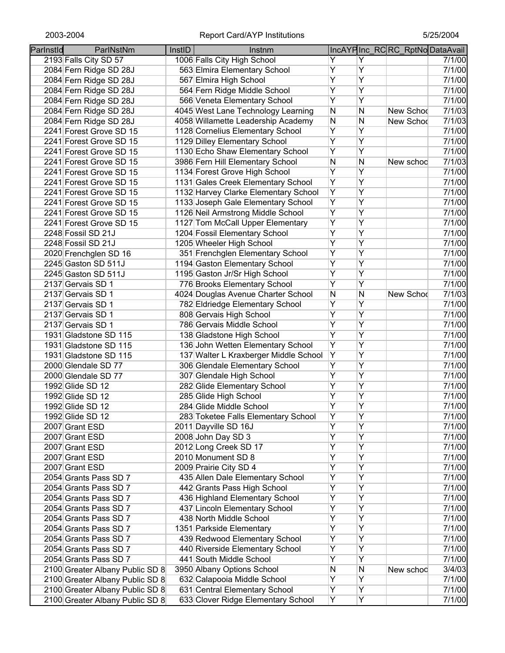| Parlnstld | ParlNstNm                       | InstID | Instnm                                |   |                | IncAYPInc RCRC RptNoDataAvail |        |
|-----------|---------------------------------|--------|---------------------------------------|---|----------------|-------------------------------|--------|
|           | 2193 Falls City SD 57           |        | 1006 Falls City High School           | Y | Y              |                               | 7/1/00 |
|           | 2084 Fern Ridge SD 28J          |        | 563 Elmira Elementary School          | Ÿ | $\overline{Y}$ |                               | 7/1/00 |
|           | 2084 Fern Ridge SD 28J          |        | 567 Elmira High School                | Ÿ | $\overline{Y}$ |                               | 7/1/00 |
|           | 2084 Fern Ridge SD 28J          |        | 564 Fern Ridge Middle School          | Ÿ | $\overline{Y}$ |                               | 7/1/00 |
|           | 2084 Fern Ridge SD 28J          |        | 566 Veneta Elementary School          | Ÿ | $\overline{Y}$ |                               | 7/1/00 |
|           | 2084 Fern Ridge SD 28J          |        | 4045 West Lane Technology Learning    | N | N              | New Schod                     | 7/1/03 |
|           | 2084 Fern Ridge SD 28J          |        | 4058 Willamette Leadership Academy    | N | N              | New Schod                     | 7/1/03 |
|           | 2241 Forest Grove SD 15         |        | 1128 Cornelius Elementary School      | Ÿ | $\overline{Y}$ |                               | 7/1/00 |
|           | 2241 Forest Grove SD 15         |        | 1129 Dilley Elementary School         | Ÿ | Y              |                               | 7/1/00 |
|           | 2241 Forest Grove SD 15         |        | 1130 Echo Shaw Elementary School      | Ÿ | $\overline{Y}$ |                               | 7/1/00 |
|           | 2241 Forest Grove SD 15         |        | 3986 Fern Hill Elementary School      | N | N              | New schod                     | 7/1/03 |
|           | 2241 Forest Grove SD 15         |        | 1134 Forest Grove High School         | Ÿ | $\overline{Y}$ |                               | 7/1/00 |
|           | 2241 Forest Grove SD 15         |        | 1131 Gales Creek Elementary School    | Ÿ | $\overline{Y}$ |                               | 7/1/00 |
|           | 2241 Forest Grove SD 15         |        | 1132 Harvey Clarke Elementary School  | Y | $\overline{Y}$ |                               | 7/1/00 |
|           | 2241 Forest Grove SD 15         |        | 1133 Joseph Gale Elementary School    | Y | Y              |                               | 7/1/00 |
|           | 2241 Forest Grove SD 15         |        | 1126 Neil Armstrong Middle School     | Ÿ | $\overline{Y}$ |                               | 7/1/00 |
|           | 2241 Forest Grove SD 15         |        | 1127 Tom McCall Upper Elementary      | Ÿ | $\overline{Y}$ |                               | 7/1/00 |
|           | 2248 Fossil SD 21J              |        | 1204 Fossil Elementary School         | Ÿ | $\overline{Y}$ |                               | 7/1/00 |
|           | 2248 Fossil SD 21J              |        | 1205 Wheeler High School              | Ÿ | $\overline{Y}$ |                               | 7/1/00 |
|           | 2020 Frenchglen SD 16           |        | 351 Frenchglen Elementary School      | Ÿ | $\overline{Y}$ |                               | 7/1/00 |
|           | 2245 Gaston SD 511J             |        | 1194 Gaston Elementary School         | Y | $\overline{Y}$ |                               | 7/1/00 |
|           | 2245 Gaston SD 511J             |        | 1195 Gaston Jr/Sr High School         | Ÿ | $\overline{Y}$ |                               | 7/1/00 |
|           | 2137 Gervais SD 1               |        | 776 Brooks Elementary School          | Ÿ | $\overline{Y}$ |                               | 7/1/00 |
|           | 2137 Gervais SD 1               |        | 4024 Douglas Avenue Charter School    | N | N              | New Schod                     | 7/1/03 |
|           | 2137 Gervais SD 1               |        | 782 Eldriedge Elementary School       | Ÿ | $\overline{Y}$ |                               | 7/1/00 |
|           | 2137 Gervais SD 1               |        | 808 Gervais High School               | Ÿ | $\overline{Y}$ |                               | 7/1/00 |
|           | 2137 Gervais SD 1               |        | 786 Gervais Middle School             | Ÿ | $\overline{Y}$ |                               | 7/1/00 |
|           | 1931 Gladstone SD 115           |        | 138 Gladstone High School             | Ÿ | $\overline{Y}$ |                               | 7/1/00 |
|           | 1931 Gladstone SD 115           |        | 136 John Wetten Elementary School     | Ÿ | $\overline{Y}$ |                               | 7/1/00 |
|           | 1931 Gladstone SD 115           |        | 137 Walter L Kraxberger Middle School | Y | $\overline{Y}$ |                               | 7/1/00 |
|           | 2000 Glendale SD 77             |        | 306 Glendale Elementary School        | Υ | Y              |                               | 7/1/00 |
|           | 2000 Glendale SD 77             |        | 307 Glendale High School              | Υ | Y              |                               | 7/1/00 |
|           | 1992 Glide SD 12                |        | 282 Glide Elementary School           | Υ | Y              |                               | 7/1/00 |
|           | 1992 Glide SD 12                |        | 285 Glide High School                 | Υ | Y              |                               | 7/1/00 |
|           | 1992 Glide SD 12                |        | 284 Glide Middle School               | Ÿ | $\overline{Y}$ |                               | 7/1/00 |
|           | 1992 Glide SD 12                |        | 283 Toketee Falls Elementary School   | Υ | Υ              |                               | 7/1/00 |
|           | 2007 Grant ESD                  |        | 2011 Dayville SD 16J                  | Ÿ | $\overline{Y}$ |                               | 7/1/00 |
|           | 2007 Grant ESD                  |        | 2008 John Day SD 3                    | Ÿ | $\overline{Y}$ |                               | 7/1/00 |
|           | 2007 Grant ESD                  |        | 2012 Long Creek SD 17                 | Ÿ | $\overline{Y}$ |                               | 7/1/00 |
|           | 2007 Grant ESD                  |        | 2010 Monument SD 8                    | Ÿ | $\overline{Y}$ |                               | 7/1/00 |
|           | 2007 Grant ESD                  |        | 2009 Prairie City SD 4                | Ÿ | $\overline{Y}$ |                               | 7/1/00 |
|           | 2054 Grants Pass SD 7           |        | 435 Allen Dale Elementary School      | Ÿ | $\overline{Y}$ |                               | 7/1/00 |
|           | 2054 Grants Pass SD 7           |        | 442 Grants Pass High School           | Ÿ | $\overline{Y}$ |                               | 7/1/00 |
|           | 2054 Grants Pass SD 7           |        | 436 Highland Elementary School        | Y | Y              |                               | 7/1/00 |
|           | 2054 Grants Pass SD 7           |        | 437 Lincoln Elementary School         | Y | Y              |                               | 7/1/00 |
|           | 2054 Grants Pass SD 7           |        | 438 North Middle School               | Y | $\overline{Y}$ |                               | 7/1/00 |
|           | 2054 Grants Pass SD 7           |        | 1351 Parkside Elementary              | Y | Y              |                               | 7/1/00 |
|           | 2054 Grants Pass SD 7           |        | 439 Redwood Elementary School         | Υ | Υ              |                               | 7/1/00 |
|           | 2054 Grants Pass SD 7           |        | 440 Riverside Elementary School       | Υ | Υ              |                               | 7/1/00 |
|           | 2054 Grants Pass SD 7           |        | 441 South Middle School               | Υ | Υ              |                               | 7/1/00 |
|           | 2100 Greater Albany Public SD 8 |        | 3950 Albany Options School            | N | N              | New schoo                     | 3/4/03 |
|           | 2100 Greater Albany Public SD 8 |        | 632 Calapooia Middle School           | Ÿ | Y              |                               | 7/1/00 |
|           | 2100 Greater Albany Public SD 8 |        | 631 Central Elementary School         | Y | Y              |                               | 7/1/00 |
|           | 2100 Greater Albany Public SD 8 |        | 633 Clover Ridge Elementary School    | Y | Y              |                               | 7/1/00 |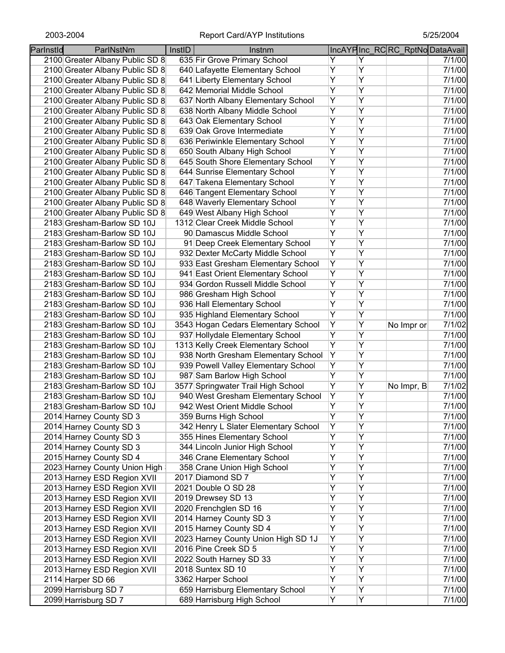| Parlnstld | ParlNstNm                       | InstID | Instnm                               |                |                | IncAYPInc_RCRC_RptNoDataAvail |                     |
|-----------|---------------------------------|--------|--------------------------------------|----------------|----------------|-------------------------------|---------------------|
|           | 2100 Greater Albany Public SD 8 |        | 635 Fir Grove Primary School         | Y              | Y              |                               | $\overline{7}/1/00$ |
|           | 2100 Greater Albany Public SD 8 |        | 640 Lafayette Elementary School      | Υ              | Ÿ              |                               | 7/1/00              |
|           | 2100 Greater Albany Public SD 8 |        | 641 Liberty Elementary School        | Υ              | Υ              |                               | 7/1/00              |
|           | 2100 Greater Albany Public SD 8 |        | 642 Memorial Middle School           | Ÿ              | $\overline{Y}$ |                               | 7/1/00              |
|           | 2100 Greater Albany Public SD 8 |        | 637 North Albany Elementary School   | Ÿ              | Y              |                               | 7/1/00              |
|           | 2100 Greater Albany Public SD 8 |        | 638 North Albany Middle School       | Ÿ              | Y              |                               | 7/1/00              |
|           | 2100 Greater Albany Public SD 8 |        | 643 Oak Elementary School            | Υ              | Y              |                               | 7/1/00              |
|           | 2100 Greater Albany Public SD 8 |        | 639 Oak Grove Intermediate           | Υ              | Y              |                               | 7/1/00              |
|           | 2100 Greater Albany Public SD 8 |        | 636 Periwinkle Elementary School     | Ÿ              | Y              |                               | 7/1/00              |
|           | 2100 Greater Albany Public SD 8 |        | 650 South Albany High School         | Υ              | Y              |                               | 7/1/00              |
|           | 2100 Greater Albany Public SD 8 |        | 645 South Shore Elementary School    | Ÿ              | Y              |                               | 7/1/00              |
|           | 2100 Greater Albany Public SD 8 |        | 644 Sunrise Elementary School        | Y              | Υ              |                               | 7/1/00              |
|           | 2100 Greater Albany Public SD 8 |        | 647 Takena Elementary School         | Ÿ              | $\overline{Y}$ |                               | 7/1/00              |
|           | 2100 Greater Albany Public SD 8 |        | 646 Tangent Elementary School        | Ÿ              | Y              |                               | 7/1/00              |
|           | 2100 Greater Albany Public SD 8 |        | 648 Waverly Elementary School        | Ÿ              | Y              |                               | 7/1/00              |
|           | 2100 Greater Albany Public SD 8 |        | 649 West Albany High School          | Υ              | Y              |                               | 7/1/00              |
|           | 2183 Gresham-Barlow SD 10J      |        | 1312 Clear Creek Middle School       | Υ              | Y              |                               | 7/1/00              |
|           |                                 |        |                                      | Ÿ              | Y              |                               | 7/1/00              |
|           | 2183 Gresham-Barlow SD 10J      |        | 90 Damascus Middle School            | Ÿ              | Ÿ              |                               |                     |
|           | 2183 Gresham-Barlow SD 10J      |        | 91 Deep Creek Elementary School      |                |                |                               | 7/1/00              |
|           | 2183 Gresham-Barlow SD 10J      |        | 932 Dexter McCarty Middle School     | Y              | $\overline{Y}$ |                               | 7/1/00              |
|           | 2183 Gresham-Barlow SD 10J      |        | 933 East Gresham Elementary School   | $\overline{Y}$ | $\overline{Y}$ |                               | 7/1/00              |
|           | 2183 Gresham-Barlow SD 10J      |        | 941 East Orient Elementary School    | Ÿ              | Y              |                               | 7/1/00              |
|           | 2183 Gresham-Barlow SD 10J      |        | 934 Gordon Russell Middle School     | Ÿ              | Y              |                               | 7/1/00              |
|           | 2183 Gresham-Barlow SD 10J      |        | 986 Gresham High School              | Ÿ              | Y              |                               | 7/1/00              |
|           | 2183 Gresham-Barlow SD 10J      |        | 936 Hall Elementary School           | Ÿ              | Y              |                               | 7/1/00              |
|           | 2183 Gresham-Barlow SD 10J      |        | 935 Highland Elementary School       | Ÿ              | Y              |                               | 7/1/00              |
|           | 2183 Gresham-Barlow SD 10J      |        | 3543 Hogan Cedars Elementary School  | Y              | Y              | No Impr or                    | 7/1/02              |
|           | 2183 Gresham-Barlow SD 10J      |        | 937 Hollydale Elementary School      | Y              | $\overline{Y}$ |                               | 7/1/00              |
|           | 2183 Gresham-Barlow SD 10J      |        | 1313 Kelly Creek Elementary School   | Ϋ              | $\overline{Y}$ |                               | 7/1/00              |
|           | 2183 Gresham-Barlow SD 10J      |        | 938 North Gresham Elementary School  | Ϋ              | Y              |                               | 7/1/00              |
|           | 2183 Gresham-Barlow SD 10J      |        | 939 Powell Valley Elementary School  | Y              | Y              |                               | 7/1/00              |
|           | 2183 Gresham-Barlow SD 10J      |        | 987 Sam Barlow High School           | Υ              | Y              |                               | 7/1/00              |
|           | 2183 Gresham-Barlow SD 10J      |        | 3577 Springwater Trail High School   | Υ              | Υ              | No Impr, B                    | 7/1/02              |
|           | 2183 Gresham-Barlow SD 10J      |        | 940 West Gresham Elementary School   | Υ              | Y              |                               | 7/1/00              |
|           | 2183 Gresham-Barlow SD 10J      |        | 942 West Orient Middle School        | Υ              | Υ              |                               | 7/1/00              |
|           | 2014 Harney County SD 3         |        | 359 Burns High School                | Ÿ              | Ÿ              |                               | 7/1/00              |
|           | 2014 Harney County SD 3         |        | 342 Henry L Slater Elementary School | Y              | Υ              |                               | 7/1/00              |
|           | 2014 Harney County SD 3         |        | 355 Hines Elementary School          | Ÿ              | Ÿ              |                               | 7/1/00              |
|           | 2014 Harney County SD 3         |        | 344 Lincoln Junior High School       | Ϋ              | Ÿ              |                               | 7/1/00              |
|           | 2015 Harney County SD 4         |        | 346 Crane Elementary School          | Ÿ              | Ÿ              |                               | 7/1/00              |
|           | 2023 Harney County Union High   |        | 358 Crane Union High School          | Y              | Ÿ              |                               | 7/1/00              |
|           | 2013 Harney ESD Region XVII     |        | 2017 Diamond SD 7                    | Ÿ              | Ÿ              |                               | 7/1/00              |
|           | 2013 Harney ESD Region XVII     |        | 2021 Double O SD 28                  | Ÿ              | Ÿ              |                               | 7/1/00              |
|           | 2013 Harney ESD Region XVII     |        | 2019 Drewsey SD 13                   | Ÿ              | Ÿ              |                               | 7/1/00              |
|           | 2013 Harney ESD Region XVII     |        | 2020 Frenchglen SD 16                | Y              | Y              |                               | 7/1/00              |
|           | 2013 Harney ESD Region XVII     |        | 2014 Harney County SD 3              | Y              | Y              |                               | 7/1/00              |
|           | 2013 Harney ESD Region XVII     |        | 2015 Harney County SD 4              | Y              | Y              |                               | 7/1/00              |
|           | 2013 Harney ESD Region XVII     |        | 2023 Harney County Union High SD 1J  | Ϋ              | Y              |                               | 7/1/00              |
|           | 2013 Harney ESD Region XVII     |        | 2016 Pine Creek SD 5                 | Υ              | Υ              |                               | 7/1/00              |
|           | 2013 Harney ESD Region XVII     |        | 2022 South Harney SD 33              | Υ              | Υ              |                               | 7/1/00              |
|           | 2013 Harney ESD Region XVII     |        | 2018 Suntex SD 10                    | Υ              | Υ              |                               | 7/1/00              |
|           | 2114 Harper SD 66               |        | 3362 Harper School                   | Y              | Υ              |                               | 7/1/00              |
|           |                                 |        | 659 Harrisburg Elementary School     | Υ              | Υ              |                               | 7/1/00              |
|           | 2099 Harrisburg SD 7            |        |                                      | Y              | $\overline{Y}$ |                               |                     |
|           | 2099 Harrisburg SD 7            |        | 689 Harrisburg High School           |                |                |                               | 7/1/00              |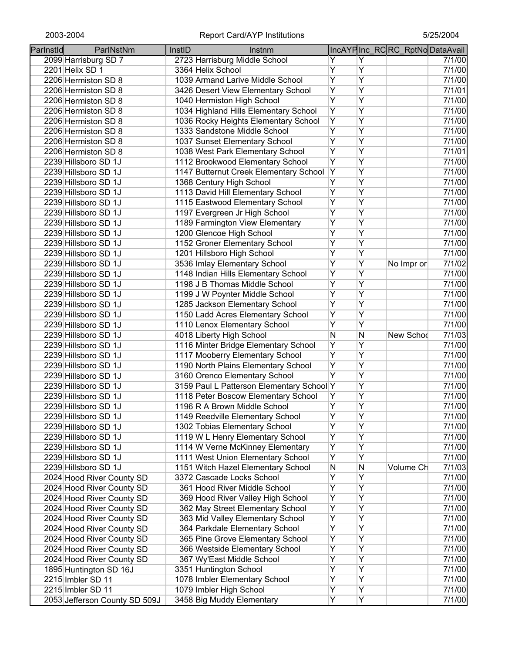| Parlnstld | ParlNstNm                     | InstID | Instnm                                    |                |   | IncAYPInc_RCRC_RptNoDataAvail |        |
|-----------|-------------------------------|--------|-------------------------------------------|----------------|---|-------------------------------|--------|
|           | 2099 Harrisburg SD 7          |        | 2723 Harrisburg Middle School             | Y              | Y |                               | 7/1/00 |
|           | 2201 Helix SD 1               |        | 3364 Helix School                         | Ÿ              | Ÿ |                               | 7/1/00 |
|           | 2206 Hermiston SD 8           |        | 1039 Armand Larive Middle School          | $\overline{Y}$ | Ÿ |                               | 7/1/00 |
|           | 2206 Hermiston SD 8           |        | 3426 Desert View Elementary School        | Ÿ              | Ÿ |                               | 7/1/01 |
|           | 2206 Hermiston SD 8           |        | 1040 Hermiston High School                | $\overline{Y}$ | Ÿ |                               | 7/1/00 |
|           | 2206 Hermiston SD 8           |        | 1034 Highland Hills Elementary School     | Y              | Y |                               | 7/1/00 |
|           | 2206 Hermiston SD 8           |        | 1036 Rocky Heights Elementary School      | $\overline{Y}$ | Ÿ |                               | 7/1/00 |
|           | 2206 Hermiston SD 8           |        | 1333 Sandstone Middle School              | $\overline{Y}$ | Ÿ |                               | 7/1/00 |
|           | 2206 Hermiston SD 8           |        | 1037 Sunset Elementary School             | Υ              | Y |                               | 7/1/00 |
|           | 2206 Hermiston SD 8           |        | 1038 West Park Elementary School          | $\overline{Y}$ | Y |                               | 7/1/01 |
|           | 2239 Hillsboro SD 1J          |        | 1112 Brookwood Elementary School          | $\overline{Y}$ | Y |                               | 7/1/00 |
|           | 2239 Hillsboro SD 1J          |        | 1147 Butternut Creek Elementary School    | Y              | Ÿ |                               | 7/1/00 |
|           | 2239 Hillsboro SD 1J          |        | 1368 Century High School                  | Y              | Y |                               | 7/1/00 |
|           | 2239 Hillsboro SD 1J          |        | 1113 David Hill Elementary School         | Y              | Ÿ |                               | 7/1/00 |
|           | 2239 Hillsboro SD 1J          |        | 1115 Eastwood Elementary School           | Y              | Y |                               | 7/1/00 |
|           | 2239 Hillsboro SD 1J          |        | 1197 Evergreen Jr High School             | Y              | Ÿ |                               | 7/1/00 |
|           | 2239 Hillsboro SD 1J          |        | 1189 Farmington View Elementary           | Y              | Ÿ |                               | 7/1/00 |
|           | 2239 Hillsboro SD 1J          |        | 1200 Glencoe High School                  | Ÿ              | Ÿ |                               | 7/1/00 |
|           | 2239 Hillsboro SD 1J          |        | 1152 Groner Elementary School             | Y              | Ÿ |                               | 7/1/00 |
|           | 2239 Hillsboro SD 1J          |        | 1201 Hillsboro High School                | $\overline{Y}$ | Ÿ |                               | 7/1/00 |
|           | 2239 Hillsboro SD 1J          |        | 3536 Imlay Elementary School              | Ÿ              | Ÿ | No Impr or                    | 7/1/02 |
|           | 2239 Hillsboro SD 1J          |        | 1148 Indian Hills Elementary School       | $\overline{Y}$ | Ÿ |                               | 7/1/00 |
|           | 2239 Hillsboro SD 1J          |        | 1198 J B Thomas Middle School             | Ÿ              | Ÿ |                               | 7/1/00 |
|           | 2239 Hillsboro SD 1J          |        | 1199 J W Poynter Middle School            | Ÿ              | Ÿ |                               | 7/1/00 |
|           | 2239 Hillsboro SD 1J          |        | 1285 Jackson Elementary School            | Ÿ              | Ÿ |                               | 7/1/00 |
|           | 2239 Hillsboro SD 1J          |        | 1150 Ladd Acres Elementary School         | Y              | Ÿ |                               | 7/1/00 |
|           | 2239 Hillsboro SD 1J          |        | 1110 Lenox Elementary School              | Y              | Ÿ |                               | 7/1/00 |
|           | 2239 Hillsboro SD 1J          |        | 4018 Liberty High School                  | ${\sf N}$      | N | New Schod                     | 7/1/03 |
|           | 2239 Hillsboro SD 1J          |        | 1116 Minter Bridge Elementary School      | Y              | Ÿ |                               | 7/1/00 |
|           | 2239 Hillsboro SD 1J          |        | 1117 Mooberry Elementary School           | $\overline{Y}$ | Ÿ |                               | 7/1/00 |
|           | 2239 Hillsboro SD 1J          |        | 1190 North Plains Elementary School       | Υ              | Ÿ |                               | 7/1/00 |
|           | 2239 Hillsboro SD 1J          |        | 3160 Orenco Elementary School             | Y              | Y |                               | 7/1/00 |
|           | 2239 Hillsboro SD 1J          |        | 3159 Paul L Patterson Elementary School Y |                | Y |                               | 7/1/00 |
|           | 2239 Hillsboro SD 1J          |        | 1118 Peter Boscow Elementary School       | Y              | Υ |                               | 7/1/00 |
|           | 2239 Hillsboro SD 1J          |        | 1196 R A Brown Middle School              | Υ              | Ÿ |                               | 7/1/00 |
|           | 2239 Hillsboro SD 1J          |        | 1149 Reedville Elementary School          | Υ              | Υ |                               | 7/1/00 |
|           | 2239 Hillsboro SD 1J          |        | 1302 Tobias Elementary School             | Ÿ              | Ÿ |                               | 7/1/00 |
|           | 2239 Hillsboro SD 1J          |        | 1119 W L Henry Elementary School          | Y              | Ÿ |                               | 7/1/00 |
|           | 2239 Hillsboro SD 1J          |        | 1114 W Verne McKinney Elementary          | Ÿ              | Ÿ |                               | 7/1/00 |
|           | 2239 Hillsboro SD 1J          |        | 1111 West Union Elementary School         | Y              | Ÿ |                               | 7/1/00 |
|           | 2239 Hillsboro SD 1J          |        | 1151 Witch Hazel Elementary School        | N              | Ν | Volume Ch                     | 7/1/03 |
|           | 2024 Hood River County SD     |        | 3372 Cascade Locks School                 | Y              | Ÿ |                               | 7/1/00 |
|           | 2024 Hood River County SD     |        | 361 Hood River Middle School              | Y              | Ÿ |                               | 7/1/00 |
|           | 2024 Hood River County SD     |        | 369 Hood River Valley High School         | Υ              | Ÿ |                               | 7/1/00 |
|           | 2024 Hood River County SD     |        | 362 May Street Elementary School          | Y              | Ÿ |                               | 7/1/00 |
|           | 2024 Hood River County SD     |        | 363 Mid Valley Elementary School          | Υ              | Ÿ |                               | 7/1/00 |
|           | 2024 Hood River County SD     |        | 364 Parkdale Elementary School            | Υ              | Y |                               | 7/1/00 |
|           | 2024 Hood River County SD     |        | 365 Pine Grove Elementary School          | Υ              | Υ |                               | 7/1/00 |
|           | 2024 Hood River County SD     |        | 366 Westside Elementary School            | Υ              | Y |                               | 7/1/00 |
|           | 2024 Hood River County SD     |        | 367 Wy'East Middle School                 | Υ              | Υ |                               | 7/1/00 |
|           | 1895 Huntington SD 16J        |        | 3351 Huntington School                    | Υ              | Ÿ |                               | 7/1/00 |
|           | 2215 Imbler SD 11             |        | 1078 Imbler Elementary School             | Υ              | Ÿ |                               | 7/1/00 |
|           | 2215 Imbler SD 11             |        | 1079 Imbler High School                   | Y              | Ÿ |                               | 7/1/00 |
|           | 2053 Jefferson County SD 509J |        | 3458 Big Muddy Elementary                 | Υ              | Y |                               | 7/1/00 |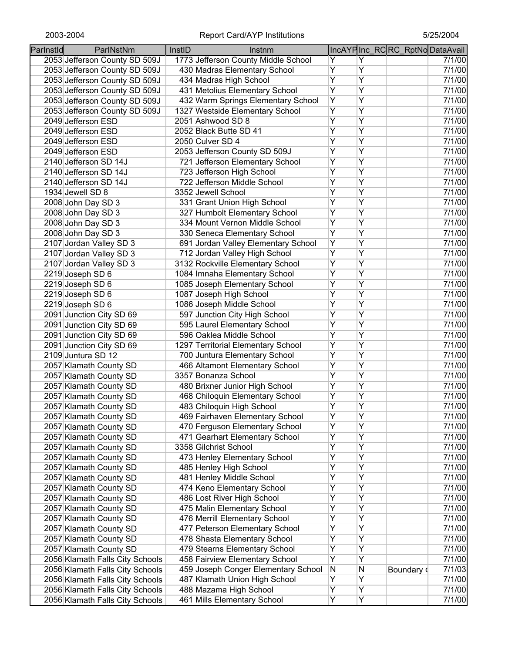| Parlnstld | ParlNstNm                       | InstID | Instnm                              |                |                | IncAYPInc_RCRC_RptNoDataAvail |        |
|-----------|---------------------------------|--------|-------------------------------------|----------------|----------------|-------------------------------|--------|
|           | 2053 Jefferson County SD 509J   |        | 1773 Jefferson County Middle School | Y              | Y              |                               | 7/1/00 |
|           | 2053 Jefferson County SD 509J   |        | 430 Madras Elementary School        | Y              | Υ              |                               | 7/1/00 |
|           | 2053 Jefferson County SD 509J   |        | 434 Madras High School              | $\overline{Y}$ | Ÿ              |                               | 7/1/00 |
|           | 2053 Jefferson County SD 509J   |        | 431 Metolius Elementary School      | Ÿ              | $\overline{Y}$ |                               | 7/1/00 |
|           | 2053 Jefferson County SD 509J   |        | 432 Warm Springs Elementary School  | Ÿ              | $\overline{Y}$ |                               | 7/1/00 |
|           | 2053 Jefferson County SD 509J   |        | 1327 Westside Elementary School     | $\overline{Y}$ | $\overline{Y}$ |                               | 7/1/00 |
|           | 2049 Jefferson ESD              |        | 2051 Ashwood SD 8                   | $\overline{Y}$ | $\overline{Y}$ |                               | 7/1/00 |
|           | 2049 Jefferson ESD              |        | 2052 Black Butte SD 41              | $\overline{Y}$ | $\overline{Y}$ |                               | 7/1/00 |
|           | 2049 Jefferson ESD              |        | 2050 Culver SD 4                    | $\overline{Y}$ | $\overline{Y}$ |                               | 7/1/00 |
|           | 2049 Jefferson ESD              |        | 2053 Jefferson County SD 509J       | $\overline{Y}$ | $\overline{Y}$ |                               | 7/1/00 |
|           | 2140 Jefferson SD 14J           |        | 721 Jefferson Elementary School     | $\overline{Y}$ | $\overline{Y}$ |                               | 7/1/00 |
|           | 2140 Jefferson SD 14J           |        | 723 Jefferson High School           | $\overline{Y}$ | $\overline{Y}$ |                               | 7/1/00 |
|           | 2140 Jefferson SD 14J           |        | 722 Jefferson Middle School         | $\overline{Y}$ | Ÿ              |                               | 7/1/00 |
|           | 1934 Jewell SD 8                |        | 3352 Jewell School                  | Ÿ              | $\overline{Y}$ |                               | 7/1/00 |
|           | 2008 John Day SD 3              |        | 331 Grant Union High School         | Ÿ              | $\overline{Y}$ |                               | 7/1/00 |
|           | 2008 John Day SD 3              |        | 327 Humbolt Elementary School       | $\overline{Y}$ | $\overline{Y}$ |                               | 7/1/00 |
|           | 2008 John Day SD 3              |        | 334 Mount Vernon Middle School      | $\overline{Y}$ | $\overline{Y}$ |                               | 7/1/00 |
|           | 2008 John Day SD 3              |        | 330 Seneca Elementary School        | $\overline{Y}$ | $\overline{Y}$ |                               | 7/1/00 |
|           | 2107 Jordan Valley SD 3         |        | 691 Jordan Valley Elementary School | $\overline{Y}$ | $\overline{Y}$ |                               | 7/1/00 |
|           | 2107 Jordan Valley SD 3         |        | 712 Jordan Valley High School       | $\overline{Y}$ | Ÿ              |                               | 7/1/00 |
|           | 2107 Jordan Valley SD 3         |        | 3132 Rockville Elementary School    | Ÿ              | Υ              |                               | 7/1/00 |
|           | 2219 Joseph SD 6                |        | 1084 Imnaha Elementary School       | $\overline{Y}$ | $\overline{Y}$ |                               | 7/1/00 |
|           | 2219 Joseph SD 6                |        | 1085 Joseph Elementary School       | $\overline{Y}$ | $\overline{Y}$ |                               | 7/1/00 |
|           | 2219 Joseph SD 6                |        | 1087 Joseph High School             | $\overline{Y}$ | $\overline{Y}$ |                               | 7/1/00 |
|           | 2219 Joseph SD 6                |        | 1086 Joseph Middle School           | $\overline{Y}$ | $\overline{Y}$ |                               | 7/1/00 |
|           | 2091 Junction City SD 69        |        | 597 Junction City High School       | $\overline{Y}$ | $\overline{Y}$ |                               | 7/1/00 |
|           | 2091 Junction City SD 69        |        | 595 Laurel Elementary School        | $\overline{Y}$ | $\overline{Y}$ |                               | 7/1/00 |
|           | 2091 Junction City SD 69        |        | 596 Oaklea Middle School            | $\overline{Y}$ | $\overline{Y}$ |                               | 7/1/00 |
|           | 2091 Junction City SD 69        |        | 1297 Territorial Elementary School  | Ÿ              | Ÿ              |                               | 7/1/00 |
|           | 2109 Juntura SD 12              |        | 700 Juntura Elementary School       | Ÿ              | $\overline{Y}$ |                               | 7/1/00 |
|           | 2057 Klamath County SD          |        | 466 Altamont Elementary School      | Ÿ              | $\overline{Y}$ |                               | 7/1/00 |
|           | 2057 Klamath County SD          |        | 3357 Bonanza School                 | $\overline{Y}$ | $\overline{Y}$ |                               | 7/1/00 |
|           | 2057 Klamath County SD          |        | 480 Brixner Junior High School      | Υ              | $\overline{Y}$ |                               | 7/1/00 |
|           | 2057 Klamath County SD          |        | 468 Chiloquin Elementary School     | Υ              | Y              |                               | 7/1/00 |
|           | 2057 Klamath County SD          |        | 483 Chiloquin High School           | Ÿ              | $\overline{Y}$ |                               | 7/1/00 |
|           | 2057 Klamath County SD          |        | 469 Fairhaven Elementary School     | Y              | Y              |                               | 7/1/00 |
|           | 2057 Klamath County SD          |        | 470 Ferguson Elementary School      | Ÿ              | Υ              |                               | 7/1/00 |
|           | 2057 Klamath County SD          |        | 471 Gearhart Elementary School      | Υ              | Υ              |                               | 7/1/00 |
|           | 2057 Klamath County SD          |        | 3358 Gilchrist School               | Ÿ              | Ÿ              |                               | 7/1/00 |
|           | 2057 Klamath County SD          |        | 473 Henley Elementary School        | Y              | Ÿ              |                               | 7/1/00 |
|           | 2057 Klamath County SD          |        | 485 Henley High School              | $\overline{Y}$ | Ÿ              |                               | 7/1/00 |
|           | 2057 Klamath County SD          |        | 481 Henley Middle School            | Y              | Ÿ              |                               | 7/1/00 |
|           | 2057 Klamath County SD          |        | 474 Keno Elementary School          | Υ              | Ÿ              |                               | 7/1/00 |
|           | 2057 Klamath County SD          |        | 486 Lost River High School          | Ÿ              | Ÿ              |                               | 7/1/00 |
|           | 2057 Klamath County SD          |        | 475 Malin Elementary School         | Ÿ              | Ÿ              |                               | 7/1/00 |
|           | 2057 Klamath County SD          |        | 476 Merrill Elementary School       | Y              | Ÿ              |                               | 7/1/00 |
|           | 2057 Klamath County SD          |        | 477 Peterson Elementary School      | Y              | Ÿ              |                               | 7/1/00 |
|           | 2057 Klamath County SD          |        | 478 Shasta Elementary School        | Y              | Y              |                               | 7/1/00 |
|           | 2057 Klamath County SD          |        | 479 Stearns Elementary School       | Y              | Y              |                               | 7/1/00 |
|           | 2056 Klamath Falls City Schools |        | 458 Fairview Elementary School      | Y              | Y              |                               | 7/1/00 |
|           | 2056 Klamath Falls City Schools |        | 459 Joseph Conger Elementary School | N              | N              | Boundary o                    | 7/1/03 |
|           | 2056 Klamath Falls City Schools |        | 487 Klamath Union High School       | Y              | Υ              |                               | 7/1/00 |
|           | 2056 Klamath Falls City Schools |        | 488 Mazama High School              | Υ              | Υ              |                               | 7/1/00 |
|           | 2056 Klamath Falls City Schools |        | 461 Mills Elementary School         | Y              | Υ              |                               | 7/1/00 |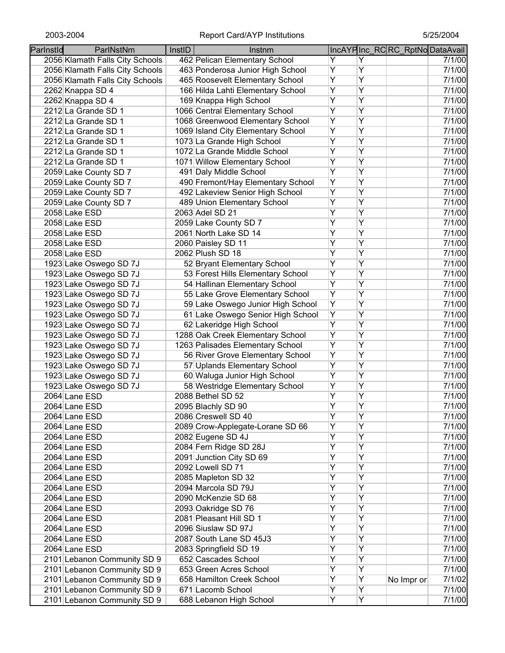| 2056 Klamath Falls City Schools<br>462 Pelican Elementary School<br>Y<br>Y<br>Ÿ<br>Υ<br>2056 Klamath Falls City Schools<br>463 Ponderosa Junior High School<br>Ÿ<br>Ÿ<br>465 Roosevelt Elementary School<br>2056 Klamath Falls City Schools<br>Y<br>Ÿ<br>166 Hilda Lahti Elementary School<br>2262 Knappa SD 4<br>Ÿ<br>Ÿ<br>2262 Knappa SD 4<br>169 Knappa High School<br>Ÿ<br>Ÿ<br>1066 Central Elementary School<br>2212 La Grande SD 1<br>$\overline{Y}$<br>Y<br>1068 Greenwood Elementary School<br>2212 La Grande SD 1<br>Υ<br>Y<br>1069 Island City Elementary School<br>2212 La Grande SD 1<br>Υ<br>Y<br>1073 La Grande High School<br>2212 La Grande SD 1<br>$\overline{Y}$<br>Ÿ<br>1072 La Grande Middle School<br>2212 La Grande SD 1<br>Ÿ<br>Ÿ<br>1071 Willow Elementary School<br>2212 La Grande SD 1<br>Ÿ<br>Ÿ<br>491 Daly Middle School<br>2059 Lake County SD 7<br>Y<br>Ÿ<br>490 Fremont/Hay Elementary School<br>2059 Lake County SD 7<br>Ÿ<br>Ÿ<br>492 Lakeview Senior High School<br>2059 Lake County SD 7<br>Y<br>Ÿ<br>489 Union Elementary School<br>2059 Lake County SD 7<br>Ÿ<br>Ÿ<br>2063 Adel SD 21<br>2058 Lake ESD<br>Y<br>Ÿ<br>2059 Lake County SD 7<br>2058 Lake ESD<br>Ÿ<br>Ÿ<br>2061 North Lake SD 14<br>2058 Lake ESD<br>Ÿ<br>Ÿ<br>2060 Paisley SD 11<br>2058 Lake ESD<br>Ÿ<br>Ÿ<br>2062 Plush SD 18<br>2058 Lake ESD<br>Y<br>Ÿ<br>52 Bryant Elementary School<br>1923 Lake Oswego SD 7J<br>Ÿ<br>Y<br>53 Forest Hills Elementary School<br>1923 Lake Oswego SD 7J<br>Y<br>Ÿ<br>54 Hallinan Elementary School<br>1923 Lake Oswego SD 7J<br>$\overline{Y}$<br>Ÿ<br>55 Lake Grove Elementary School<br>1923 Lake Oswego SD 7J<br>Y<br>Ÿ<br>59 Lake Oswego Junior High School<br>1923 Lake Oswego SD 7J<br>Ÿ<br>Y<br>61 Lake Oswego Senior High School<br>1923 Lake Oswego SD 7J<br>Ÿ<br>Ÿ<br>62 Lakeridge High School<br>1923 Lake Oswego SD 7J<br>Ÿ<br>Ÿ<br>1288 Oak Creek Elementary School<br>1923 Lake Oswego SD 7J<br>Y<br>Ÿ<br>1263 Palisades Elementary School<br>1923 Lake Oswego SD 7J<br>Ÿ<br>Y<br>1923 Lake Oswego SD 7J<br>56 River Grove Elementary School<br>Ÿ<br>Y<br>1923 Lake Oswego SD 7J<br>57 Uplands Elementary School<br>Υ<br>Υ<br>1923 Lake Oswego SD 7J<br>60 Waluga Junior High School<br>Υ<br>Υ<br>1923 Lake Oswego SD 7J<br>58 Westridge Elementary School<br>Υ<br>Υ<br>2088 Bethel SD 52<br>2064 Lane ESD<br>Ÿ<br>Y<br>2064 Lane ESD<br>2095 Blachly SD 90<br>2086 Creswell SD 40<br>Υ<br>Y<br>2064 Lane ESD<br>Ÿ<br>Ÿ<br>2089 Crow-Applegate-Lorane SD 66<br>2064 Lane ESD<br>Ÿ<br>Y<br>2082 Eugene SD 4J<br>2064 Lane ESD<br>$\overline{Y}$<br>Ÿ<br>2084 Fern Ridge SD 28J<br>2064 Lane ESD<br>$\overline{Y}$<br>Ÿ<br>2091 Junction City SD 69<br>2064 Lane ESD<br>$\overline{Y}$<br>Ÿ<br>2092 Lowell SD 71<br>2064 Lane ESD<br>$\overline{Y}$<br>Ÿ<br>2064 Lane ESD<br>2085 Mapleton SD 32 | Parlnstld | ParlNstNm     | InstID | Instnm              |                |   | IncAYPInc_RCRC_RptNoDataAvail |        |
|-------------------------------------------------------------------------------------------------------------------------------------------------------------------------------------------------------------------------------------------------------------------------------------------------------------------------------------------------------------------------------------------------------------------------------------------------------------------------------------------------------------------------------------------------------------------------------------------------------------------------------------------------------------------------------------------------------------------------------------------------------------------------------------------------------------------------------------------------------------------------------------------------------------------------------------------------------------------------------------------------------------------------------------------------------------------------------------------------------------------------------------------------------------------------------------------------------------------------------------------------------------------------------------------------------------------------------------------------------------------------------------------------------------------------------------------------------------------------------------------------------------------------------------------------------------------------------------------------------------------------------------------------------------------------------------------------------------------------------------------------------------------------------------------------------------------------------------------------------------------------------------------------------------------------------------------------------------------------------------------------------------------------------------------------------------------------------------------------------------------------------------------------------------------------------------------------------------------------------------------------------------------------------------------------------------------------------------------------------------------------------------------------------------------------------------------------------------------------------------------------------------------------------------------------------------------------------------------------------------------------------------------------------------------------------------------------------------------------------------------------------------------------------------------------------------------------------------------------------|-----------|---------------|--------|---------------------|----------------|---|-------------------------------|--------|
| 7/1/00<br>7/1/00<br>7/1/00<br>7/1/00<br>7/1/00<br>7/1/00<br>7/1/00<br>7/1/00<br>7/1/00<br>7/1/00<br>7/1/00<br>7/1/00<br>7/1/00<br>7/1/00<br>7/1/00<br>7/1/00<br>7/1/00<br>7/1/00<br>7/1/00<br>7/1/00<br>7/1/00<br>7/1/00<br>7/1/00<br>7/1/00<br>7/1/00<br>7/1/00<br>7/1/00<br>7/1/00<br>7/1/00<br>7/1/00<br>7/1/00<br>7/1/00<br>7/1/00                                                                                                                                                                                                                                                                                                                                                                                                                                                                                                                                                                                                                                                                                                                                                                                                                                                                                                                                                                                                                                                                                                                                                                                                                                                                                                                                                                                                                                                                                                                                                                                                                                                                                                                                                                                                                                                                                                                                                                                                                                                                                                                                                                                                                                                                                                                                                                                                                                                                                                                |           |               |        |                     |                |   |                               | 7/1/00 |
| 7/1/00                                                                                                                                                                                                                                                                                                                                                                                                                                                                                                                                                                                                                                                                                                                                                                                                                                                                                                                                                                                                                                                                                                                                                                                                                                                                                                                                                                                                                                                                                                                                                                                                                                                                                                                                                                                                                                                                                                                                                                                                                                                                                                                                                                                                                                                                                                                                                                                                                                                                                                                                                                                                                                                                                                                                                                                                                                                |           |               |        |                     |                |   |                               |        |
|                                                                                                                                                                                                                                                                                                                                                                                                                                                                                                                                                                                                                                                                                                                                                                                                                                                                                                                                                                                                                                                                                                                                                                                                                                                                                                                                                                                                                                                                                                                                                                                                                                                                                                                                                                                                                                                                                                                                                                                                                                                                                                                                                                                                                                                                                                                                                                                                                                                                                                                                                                                                                                                                                                                                                                                                                                                       |           |               |        |                     |                |   |                               |        |
|                                                                                                                                                                                                                                                                                                                                                                                                                                                                                                                                                                                                                                                                                                                                                                                                                                                                                                                                                                                                                                                                                                                                                                                                                                                                                                                                                                                                                                                                                                                                                                                                                                                                                                                                                                                                                                                                                                                                                                                                                                                                                                                                                                                                                                                                                                                                                                                                                                                                                                                                                                                                                                                                                                                                                                                                                                                       |           |               |        |                     |                |   |                               |        |
| 7/1/00<br>7/1/00<br>7/1/00<br>7/1/00<br>7/1/00<br>7/1/00<br>7/1/00                                                                                                                                                                                                                                                                                                                                                                                                                                                                                                                                                                                                                                                                                                                                                                                                                                                                                                                                                                                                                                                                                                                                                                                                                                                                                                                                                                                                                                                                                                                                                                                                                                                                                                                                                                                                                                                                                                                                                                                                                                                                                                                                                                                                                                                                                                                                                                                                                                                                                                                                                                                                                                                                                                                                                                                    |           |               |        |                     |                |   |                               |        |
|                                                                                                                                                                                                                                                                                                                                                                                                                                                                                                                                                                                                                                                                                                                                                                                                                                                                                                                                                                                                                                                                                                                                                                                                                                                                                                                                                                                                                                                                                                                                                                                                                                                                                                                                                                                                                                                                                                                                                                                                                                                                                                                                                                                                                                                                                                                                                                                                                                                                                                                                                                                                                                                                                                                                                                                                                                                       |           |               |        |                     |                |   |                               |        |
|                                                                                                                                                                                                                                                                                                                                                                                                                                                                                                                                                                                                                                                                                                                                                                                                                                                                                                                                                                                                                                                                                                                                                                                                                                                                                                                                                                                                                                                                                                                                                                                                                                                                                                                                                                                                                                                                                                                                                                                                                                                                                                                                                                                                                                                                                                                                                                                                                                                                                                                                                                                                                                                                                                                                                                                                                                                       |           |               |        |                     |                |   |                               |        |
|                                                                                                                                                                                                                                                                                                                                                                                                                                                                                                                                                                                                                                                                                                                                                                                                                                                                                                                                                                                                                                                                                                                                                                                                                                                                                                                                                                                                                                                                                                                                                                                                                                                                                                                                                                                                                                                                                                                                                                                                                                                                                                                                                                                                                                                                                                                                                                                                                                                                                                                                                                                                                                                                                                                                                                                                                                                       |           |               |        |                     |                |   |                               |        |
|                                                                                                                                                                                                                                                                                                                                                                                                                                                                                                                                                                                                                                                                                                                                                                                                                                                                                                                                                                                                                                                                                                                                                                                                                                                                                                                                                                                                                                                                                                                                                                                                                                                                                                                                                                                                                                                                                                                                                                                                                                                                                                                                                                                                                                                                                                                                                                                                                                                                                                                                                                                                                                                                                                                                                                                                                                                       |           |               |        |                     |                |   |                               |        |
|                                                                                                                                                                                                                                                                                                                                                                                                                                                                                                                                                                                                                                                                                                                                                                                                                                                                                                                                                                                                                                                                                                                                                                                                                                                                                                                                                                                                                                                                                                                                                                                                                                                                                                                                                                                                                                                                                                                                                                                                                                                                                                                                                                                                                                                                                                                                                                                                                                                                                                                                                                                                                                                                                                                                                                                                                                                       |           |               |        |                     |                |   |                               |        |
|                                                                                                                                                                                                                                                                                                                                                                                                                                                                                                                                                                                                                                                                                                                                                                                                                                                                                                                                                                                                                                                                                                                                                                                                                                                                                                                                                                                                                                                                                                                                                                                                                                                                                                                                                                                                                                                                                                                                                                                                                                                                                                                                                                                                                                                                                                                                                                                                                                                                                                                                                                                                                                                                                                                                                                                                                                                       |           |               |        |                     |                |   |                               |        |
|                                                                                                                                                                                                                                                                                                                                                                                                                                                                                                                                                                                                                                                                                                                                                                                                                                                                                                                                                                                                                                                                                                                                                                                                                                                                                                                                                                                                                                                                                                                                                                                                                                                                                                                                                                                                                                                                                                                                                                                                                                                                                                                                                                                                                                                                                                                                                                                                                                                                                                                                                                                                                                                                                                                                                                                                                                                       |           |               |        |                     |                |   |                               |        |
|                                                                                                                                                                                                                                                                                                                                                                                                                                                                                                                                                                                                                                                                                                                                                                                                                                                                                                                                                                                                                                                                                                                                                                                                                                                                                                                                                                                                                                                                                                                                                                                                                                                                                                                                                                                                                                                                                                                                                                                                                                                                                                                                                                                                                                                                                                                                                                                                                                                                                                                                                                                                                                                                                                                                                                                                                                                       |           |               |        |                     |                |   |                               |        |
|                                                                                                                                                                                                                                                                                                                                                                                                                                                                                                                                                                                                                                                                                                                                                                                                                                                                                                                                                                                                                                                                                                                                                                                                                                                                                                                                                                                                                                                                                                                                                                                                                                                                                                                                                                                                                                                                                                                                                                                                                                                                                                                                                                                                                                                                                                                                                                                                                                                                                                                                                                                                                                                                                                                                                                                                                                                       |           |               |        |                     |                |   |                               |        |
|                                                                                                                                                                                                                                                                                                                                                                                                                                                                                                                                                                                                                                                                                                                                                                                                                                                                                                                                                                                                                                                                                                                                                                                                                                                                                                                                                                                                                                                                                                                                                                                                                                                                                                                                                                                                                                                                                                                                                                                                                                                                                                                                                                                                                                                                                                                                                                                                                                                                                                                                                                                                                                                                                                                                                                                                                                                       |           |               |        |                     |                |   |                               |        |
|                                                                                                                                                                                                                                                                                                                                                                                                                                                                                                                                                                                                                                                                                                                                                                                                                                                                                                                                                                                                                                                                                                                                                                                                                                                                                                                                                                                                                                                                                                                                                                                                                                                                                                                                                                                                                                                                                                                                                                                                                                                                                                                                                                                                                                                                                                                                                                                                                                                                                                                                                                                                                                                                                                                                                                                                                                                       |           |               |        |                     |                |   |                               |        |
|                                                                                                                                                                                                                                                                                                                                                                                                                                                                                                                                                                                                                                                                                                                                                                                                                                                                                                                                                                                                                                                                                                                                                                                                                                                                                                                                                                                                                                                                                                                                                                                                                                                                                                                                                                                                                                                                                                                                                                                                                                                                                                                                                                                                                                                                                                                                                                                                                                                                                                                                                                                                                                                                                                                                                                                                                                                       |           |               |        |                     |                |   |                               |        |
|                                                                                                                                                                                                                                                                                                                                                                                                                                                                                                                                                                                                                                                                                                                                                                                                                                                                                                                                                                                                                                                                                                                                                                                                                                                                                                                                                                                                                                                                                                                                                                                                                                                                                                                                                                                                                                                                                                                                                                                                                                                                                                                                                                                                                                                                                                                                                                                                                                                                                                                                                                                                                                                                                                                                                                                                                                                       |           |               |        |                     |                |   |                               |        |
|                                                                                                                                                                                                                                                                                                                                                                                                                                                                                                                                                                                                                                                                                                                                                                                                                                                                                                                                                                                                                                                                                                                                                                                                                                                                                                                                                                                                                                                                                                                                                                                                                                                                                                                                                                                                                                                                                                                                                                                                                                                                                                                                                                                                                                                                                                                                                                                                                                                                                                                                                                                                                                                                                                                                                                                                                                                       |           |               |        |                     |                |   |                               |        |
|                                                                                                                                                                                                                                                                                                                                                                                                                                                                                                                                                                                                                                                                                                                                                                                                                                                                                                                                                                                                                                                                                                                                                                                                                                                                                                                                                                                                                                                                                                                                                                                                                                                                                                                                                                                                                                                                                                                                                                                                                                                                                                                                                                                                                                                                                                                                                                                                                                                                                                                                                                                                                                                                                                                                                                                                                                                       |           |               |        |                     |                |   |                               |        |
|                                                                                                                                                                                                                                                                                                                                                                                                                                                                                                                                                                                                                                                                                                                                                                                                                                                                                                                                                                                                                                                                                                                                                                                                                                                                                                                                                                                                                                                                                                                                                                                                                                                                                                                                                                                                                                                                                                                                                                                                                                                                                                                                                                                                                                                                                                                                                                                                                                                                                                                                                                                                                                                                                                                                                                                                                                                       |           |               |        |                     |                |   |                               |        |
|                                                                                                                                                                                                                                                                                                                                                                                                                                                                                                                                                                                                                                                                                                                                                                                                                                                                                                                                                                                                                                                                                                                                                                                                                                                                                                                                                                                                                                                                                                                                                                                                                                                                                                                                                                                                                                                                                                                                                                                                                                                                                                                                                                                                                                                                                                                                                                                                                                                                                                                                                                                                                                                                                                                                                                                                                                                       |           |               |        |                     |                |   |                               |        |
|                                                                                                                                                                                                                                                                                                                                                                                                                                                                                                                                                                                                                                                                                                                                                                                                                                                                                                                                                                                                                                                                                                                                                                                                                                                                                                                                                                                                                                                                                                                                                                                                                                                                                                                                                                                                                                                                                                                                                                                                                                                                                                                                                                                                                                                                                                                                                                                                                                                                                                                                                                                                                                                                                                                                                                                                                                                       |           |               |        |                     |                |   |                               |        |
|                                                                                                                                                                                                                                                                                                                                                                                                                                                                                                                                                                                                                                                                                                                                                                                                                                                                                                                                                                                                                                                                                                                                                                                                                                                                                                                                                                                                                                                                                                                                                                                                                                                                                                                                                                                                                                                                                                                                                                                                                                                                                                                                                                                                                                                                                                                                                                                                                                                                                                                                                                                                                                                                                                                                                                                                                                                       |           |               |        |                     |                |   |                               |        |
|                                                                                                                                                                                                                                                                                                                                                                                                                                                                                                                                                                                                                                                                                                                                                                                                                                                                                                                                                                                                                                                                                                                                                                                                                                                                                                                                                                                                                                                                                                                                                                                                                                                                                                                                                                                                                                                                                                                                                                                                                                                                                                                                                                                                                                                                                                                                                                                                                                                                                                                                                                                                                                                                                                                                                                                                                                                       |           |               |        |                     |                |   |                               |        |
|                                                                                                                                                                                                                                                                                                                                                                                                                                                                                                                                                                                                                                                                                                                                                                                                                                                                                                                                                                                                                                                                                                                                                                                                                                                                                                                                                                                                                                                                                                                                                                                                                                                                                                                                                                                                                                                                                                                                                                                                                                                                                                                                                                                                                                                                                                                                                                                                                                                                                                                                                                                                                                                                                                                                                                                                                                                       |           |               |        |                     |                |   |                               |        |
|                                                                                                                                                                                                                                                                                                                                                                                                                                                                                                                                                                                                                                                                                                                                                                                                                                                                                                                                                                                                                                                                                                                                                                                                                                                                                                                                                                                                                                                                                                                                                                                                                                                                                                                                                                                                                                                                                                                                                                                                                                                                                                                                                                                                                                                                                                                                                                                                                                                                                                                                                                                                                                                                                                                                                                                                                                                       |           |               |        |                     |                |   |                               |        |
|                                                                                                                                                                                                                                                                                                                                                                                                                                                                                                                                                                                                                                                                                                                                                                                                                                                                                                                                                                                                                                                                                                                                                                                                                                                                                                                                                                                                                                                                                                                                                                                                                                                                                                                                                                                                                                                                                                                                                                                                                                                                                                                                                                                                                                                                                                                                                                                                                                                                                                                                                                                                                                                                                                                                                                                                                                                       |           |               |        |                     |                |   |                               |        |
|                                                                                                                                                                                                                                                                                                                                                                                                                                                                                                                                                                                                                                                                                                                                                                                                                                                                                                                                                                                                                                                                                                                                                                                                                                                                                                                                                                                                                                                                                                                                                                                                                                                                                                                                                                                                                                                                                                                                                                                                                                                                                                                                                                                                                                                                                                                                                                                                                                                                                                                                                                                                                                                                                                                                                                                                                                                       |           |               |        |                     |                |   |                               |        |
|                                                                                                                                                                                                                                                                                                                                                                                                                                                                                                                                                                                                                                                                                                                                                                                                                                                                                                                                                                                                                                                                                                                                                                                                                                                                                                                                                                                                                                                                                                                                                                                                                                                                                                                                                                                                                                                                                                                                                                                                                                                                                                                                                                                                                                                                                                                                                                                                                                                                                                                                                                                                                                                                                                                                                                                                                                                       |           |               |        |                     |                |   |                               |        |
|                                                                                                                                                                                                                                                                                                                                                                                                                                                                                                                                                                                                                                                                                                                                                                                                                                                                                                                                                                                                                                                                                                                                                                                                                                                                                                                                                                                                                                                                                                                                                                                                                                                                                                                                                                                                                                                                                                                                                                                                                                                                                                                                                                                                                                                                                                                                                                                                                                                                                                                                                                                                                                                                                                                                                                                                                                                       |           |               |        |                     |                |   |                               |        |
|                                                                                                                                                                                                                                                                                                                                                                                                                                                                                                                                                                                                                                                                                                                                                                                                                                                                                                                                                                                                                                                                                                                                                                                                                                                                                                                                                                                                                                                                                                                                                                                                                                                                                                                                                                                                                                                                                                                                                                                                                                                                                                                                                                                                                                                                                                                                                                                                                                                                                                                                                                                                                                                                                                                                                                                                                                                       |           |               |        |                     |                |   |                               |        |
|                                                                                                                                                                                                                                                                                                                                                                                                                                                                                                                                                                                                                                                                                                                                                                                                                                                                                                                                                                                                                                                                                                                                                                                                                                                                                                                                                                                                                                                                                                                                                                                                                                                                                                                                                                                                                                                                                                                                                                                                                                                                                                                                                                                                                                                                                                                                                                                                                                                                                                                                                                                                                                                                                                                                                                                                                                                       |           |               |        |                     |                |   |                               |        |
|                                                                                                                                                                                                                                                                                                                                                                                                                                                                                                                                                                                                                                                                                                                                                                                                                                                                                                                                                                                                                                                                                                                                                                                                                                                                                                                                                                                                                                                                                                                                                                                                                                                                                                                                                                                                                                                                                                                                                                                                                                                                                                                                                                                                                                                                                                                                                                                                                                                                                                                                                                                                                                                                                                                                                                                                                                                       |           |               |        |                     |                |   |                               |        |
|                                                                                                                                                                                                                                                                                                                                                                                                                                                                                                                                                                                                                                                                                                                                                                                                                                                                                                                                                                                                                                                                                                                                                                                                                                                                                                                                                                                                                                                                                                                                                                                                                                                                                                                                                                                                                                                                                                                                                                                                                                                                                                                                                                                                                                                                                                                                                                                                                                                                                                                                                                                                                                                                                                                                                                                                                                                       |           |               |        |                     |                |   |                               |        |
|                                                                                                                                                                                                                                                                                                                                                                                                                                                                                                                                                                                                                                                                                                                                                                                                                                                                                                                                                                                                                                                                                                                                                                                                                                                                                                                                                                                                                                                                                                                                                                                                                                                                                                                                                                                                                                                                                                                                                                                                                                                                                                                                                                                                                                                                                                                                                                                                                                                                                                                                                                                                                                                                                                                                                                                                                                                       |           |               |        |                     |                |   |                               |        |
|                                                                                                                                                                                                                                                                                                                                                                                                                                                                                                                                                                                                                                                                                                                                                                                                                                                                                                                                                                                                                                                                                                                                                                                                                                                                                                                                                                                                                                                                                                                                                                                                                                                                                                                                                                                                                                                                                                                                                                                                                                                                                                                                                                                                                                                                                                                                                                                                                                                                                                                                                                                                                                                                                                                                                                                                                                                       |           |               |        |                     |                |   |                               |        |
|                                                                                                                                                                                                                                                                                                                                                                                                                                                                                                                                                                                                                                                                                                                                                                                                                                                                                                                                                                                                                                                                                                                                                                                                                                                                                                                                                                                                                                                                                                                                                                                                                                                                                                                                                                                                                                                                                                                                                                                                                                                                                                                                                                                                                                                                                                                                                                                                                                                                                                                                                                                                                                                                                                                                                                                                                                                       |           |               |        |                     |                |   |                               |        |
|                                                                                                                                                                                                                                                                                                                                                                                                                                                                                                                                                                                                                                                                                                                                                                                                                                                                                                                                                                                                                                                                                                                                                                                                                                                                                                                                                                                                                                                                                                                                                                                                                                                                                                                                                                                                                                                                                                                                                                                                                                                                                                                                                                                                                                                                                                                                                                                                                                                                                                                                                                                                                                                                                                                                                                                                                                                       |           |               |        |                     |                |   |                               |        |
|                                                                                                                                                                                                                                                                                                                                                                                                                                                                                                                                                                                                                                                                                                                                                                                                                                                                                                                                                                                                                                                                                                                                                                                                                                                                                                                                                                                                                                                                                                                                                                                                                                                                                                                                                                                                                                                                                                                                                                                                                                                                                                                                                                                                                                                                                                                                                                                                                                                                                                                                                                                                                                                                                                                                                                                                                                                       |           |               |        |                     |                |   |                               |        |
|                                                                                                                                                                                                                                                                                                                                                                                                                                                                                                                                                                                                                                                                                                                                                                                                                                                                                                                                                                                                                                                                                                                                                                                                                                                                                                                                                                                                                                                                                                                                                                                                                                                                                                                                                                                                                                                                                                                                                                                                                                                                                                                                                                                                                                                                                                                                                                                                                                                                                                                                                                                                                                                                                                                                                                                                                                                       |           |               |        |                     |                |   |                               |        |
|                                                                                                                                                                                                                                                                                                                                                                                                                                                                                                                                                                                                                                                                                                                                                                                                                                                                                                                                                                                                                                                                                                                                                                                                                                                                                                                                                                                                                                                                                                                                                                                                                                                                                                                                                                                                                                                                                                                                                                                                                                                                                                                                                                                                                                                                                                                                                                                                                                                                                                                                                                                                                                                                                                                                                                                                                                                       |           |               |        |                     |                |   |                               |        |
|                                                                                                                                                                                                                                                                                                                                                                                                                                                                                                                                                                                                                                                                                                                                                                                                                                                                                                                                                                                                                                                                                                                                                                                                                                                                                                                                                                                                                                                                                                                                                                                                                                                                                                                                                                                                                                                                                                                                                                                                                                                                                                                                                                                                                                                                                                                                                                                                                                                                                                                                                                                                                                                                                                                                                                                                                                                       |           | 2064 Lane ESD |        | 2094 Marcola SD 79J | $\overline{Y}$ | Ÿ |                               | 7/1/00 |
| Ÿ<br>Ÿ<br>2090 McKenzie SD 68<br>7/1/00<br>2064 Lane ESD                                                                                                                                                                                                                                                                                                                                                                                                                                                                                                                                                                                                                                                                                                                                                                                                                                                                                                                                                                                                                                                                                                                                                                                                                                                                                                                                                                                                                                                                                                                                                                                                                                                                                                                                                                                                                                                                                                                                                                                                                                                                                                                                                                                                                                                                                                                                                                                                                                                                                                                                                                                                                                                                                                                                                                                              |           |               |        |                     |                |   |                               |        |
| Ÿ<br>Ÿ<br>2093 Oakridge SD 76<br>7/1/00<br>2064 Lane ESD                                                                                                                                                                                                                                                                                                                                                                                                                                                                                                                                                                                                                                                                                                                                                                                                                                                                                                                                                                                                                                                                                                                                                                                                                                                                                                                                                                                                                                                                                                                                                                                                                                                                                                                                                                                                                                                                                                                                                                                                                                                                                                                                                                                                                                                                                                                                                                                                                                                                                                                                                                                                                                                                                                                                                                                              |           |               |        |                     |                |   |                               |        |
| Ÿ<br>Ϋ<br>2081 Pleasant Hill SD 1<br>2064 Lane ESD<br>7/1/00                                                                                                                                                                                                                                                                                                                                                                                                                                                                                                                                                                                                                                                                                                                                                                                                                                                                                                                                                                                                                                                                                                                                                                                                                                                                                                                                                                                                                                                                                                                                                                                                                                                                                                                                                                                                                                                                                                                                                                                                                                                                                                                                                                                                                                                                                                                                                                                                                                                                                                                                                                                                                                                                                                                                                                                          |           |               |        |                     |                |   |                               |        |
| $\overline{Y}$<br>Ÿ<br>2096 Siuslaw SD 97J<br>2064 Lane ESD<br>7/1/00                                                                                                                                                                                                                                                                                                                                                                                                                                                                                                                                                                                                                                                                                                                                                                                                                                                                                                                                                                                                                                                                                                                                                                                                                                                                                                                                                                                                                                                                                                                                                                                                                                                                                                                                                                                                                                                                                                                                                                                                                                                                                                                                                                                                                                                                                                                                                                                                                                                                                                                                                                                                                                                                                                                                                                                 |           |               |        |                     |                |   |                               |        |
| Ÿ<br>Ÿ<br>2087 South Lane SD 45J3<br>7/1/00<br>2064 Lane ESD                                                                                                                                                                                                                                                                                                                                                                                                                                                                                                                                                                                                                                                                                                                                                                                                                                                                                                                                                                                                                                                                                                                                                                                                                                                                                                                                                                                                                                                                                                                                                                                                                                                                                                                                                                                                                                                                                                                                                                                                                                                                                                                                                                                                                                                                                                                                                                                                                                                                                                                                                                                                                                                                                                                                                                                          |           |               |        |                     |                |   |                               |        |
| Ÿ<br>Ÿ<br>7/1/00<br>2064 Lane ESD<br>2083 Springfield SD 19                                                                                                                                                                                                                                                                                                                                                                                                                                                                                                                                                                                                                                                                                                                                                                                                                                                                                                                                                                                                                                                                                                                                                                                                                                                                                                                                                                                                                                                                                                                                                                                                                                                                                                                                                                                                                                                                                                                                                                                                                                                                                                                                                                                                                                                                                                                                                                                                                                                                                                                                                                                                                                                                                                                                                                                           |           |               |        |                     |                |   |                               |        |
| Ϋ<br>Y<br>652 Cascades School<br>2101 Lebanon Community SD 9<br>7/1/00                                                                                                                                                                                                                                                                                                                                                                                                                                                                                                                                                                                                                                                                                                                                                                                                                                                                                                                                                                                                                                                                                                                                                                                                                                                                                                                                                                                                                                                                                                                                                                                                                                                                                                                                                                                                                                                                                                                                                                                                                                                                                                                                                                                                                                                                                                                                                                                                                                                                                                                                                                                                                                                                                                                                                                                |           |               |        |                     |                |   |                               |        |
| Y<br>Ÿ<br>653 Green Acres School<br>2101 Lebanon Community SD 9<br>7/1/00                                                                                                                                                                                                                                                                                                                                                                                                                                                                                                                                                                                                                                                                                                                                                                                                                                                                                                                                                                                                                                                                                                                                                                                                                                                                                                                                                                                                                                                                                                                                                                                                                                                                                                                                                                                                                                                                                                                                                                                                                                                                                                                                                                                                                                                                                                                                                                                                                                                                                                                                                                                                                                                                                                                                                                             |           |               |        |                     |                |   |                               |        |
| Y<br>Ÿ<br>2101 Lebanon Community SD 9<br>7/1/02<br>658 Hamilton Creek School<br>No Impr or                                                                                                                                                                                                                                                                                                                                                                                                                                                                                                                                                                                                                                                                                                                                                                                                                                                                                                                                                                                                                                                                                                                                                                                                                                                                                                                                                                                                                                                                                                                                                                                                                                                                                                                                                                                                                                                                                                                                                                                                                                                                                                                                                                                                                                                                                                                                                                                                                                                                                                                                                                                                                                                                                                                                                            |           |               |        |                     |                |   |                               |        |
| Y<br>Y<br>2101 Lebanon Community SD 9<br>671 Lacomb School<br>7/1/00                                                                                                                                                                                                                                                                                                                                                                                                                                                                                                                                                                                                                                                                                                                                                                                                                                                                                                                                                                                                                                                                                                                                                                                                                                                                                                                                                                                                                                                                                                                                                                                                                                                                                                                                                                                                                                                                                                                                                                                                                                                                                                                                                                                                                                                                                                                                                                                                                                                                                                                                                                                                                                                                                                                                                                                  |           |               |        |                     |                |   |                               |        |
| Ÿ<br>Y<br>2101 Lebanon Community SD 9<br>688 Lebanon High School<br>7/1/00                                                                                                                                                                                                                                                                                                                                                                                                                                                                                                                                                                                                                                                                                                                                                                                                                                                                                                                                                                                                                                                                                                                                                                                                                                                                                                                                                                                                                                                                                                                                                                                                                                                                                                                                                                                                                                                                                                                                                                                                                                                                                                                                                                                                                                                                                                                                                                                                                                                                                                                                                                                                                                                                                                                                                                            |           |               |        |                     |                |   |                               |        |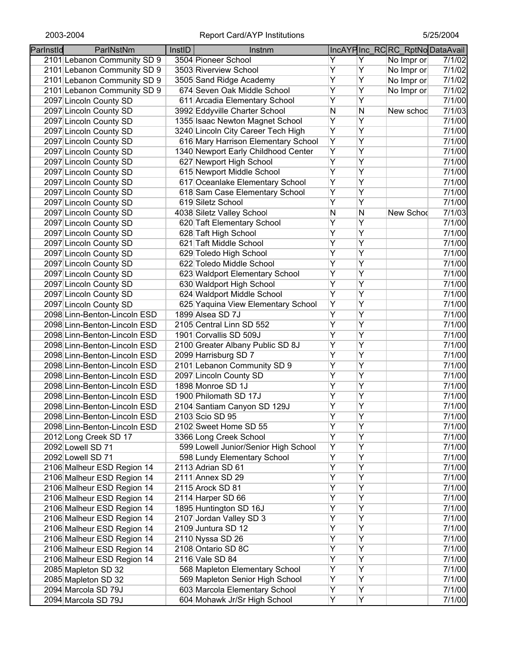| Parlnstld | ParlNstNm                    | InstID | Instnm                               |                |   | IncAYPInc_RCRC_RptNoDataAvail |        |
|-----------|------------------------------|--------|--------------------------------------|----------------|---|-------------------------------|--------|
|           | 2101 Lebanon Community SD 9  |        | 3504 Pioneer School                  | Y              | Y | No Impr or                    | 7/1/02 |
|           | 2101 Lebanon Community SD 9  |        | 3503 Riverview School                | Ÿ              | Ÿ | No Impr or                    | 7/1/02 |
|           | 2101 Lebanon Community SD 9  |        | 3505 Sand Ridge Academy              | Ÿ              | Ÿ | No Impr or                    | 7/1/02 |
|           | 2101 Lebanon Community SD 9  |        | 674 Seven Oak Middle School          | Ÿ              | Ÿ | No Impr or                    | 7/1/02 |
|           | 2097 Lincoln County SD       |        | 611 Arcadia Elementary School        | Υ              | Ÿ |                               | 7/1/00 |
|           | 2097 Lincoln County SD       |        | 3992 Eddyville Charter School        | N              | N | New schoo                     | 7/1/03 |
|           | 2097 Lincoln County SD       |        | 1355 Isaac Newton Magnet School      | Υ              | Ÿ |                               | 7/1/00 |
|           | 2097 Lincoln County SD       |        | 3240 Lincoln City Career Tech High   | $\overline{Y}$ | Ÿ |                               | 7/1/00 |
|           | 2097 Lincoln County SD       |        | 616 Mary Harrison Elementary School  | Υ              | Ÿ |                               | 7/1/00 |
|           | 2097 Lincoln County SD       |        | 1340 Newport Early Childhood Center  | Υ              | Ÿ |                               | 7/1/00 |
|           | 2097 Lincoln County SD       |        | 627 Newport High School              | $\overline{Y}$ | Ÿ |                               | 7/1/00 |
|           | 2097 Lincoln County SD       |        | 615 Newport Middle School            | $\overline{Y}$ | Ÿ |                               | 7/1/00 |
|           | 2097 Lincoln County SD       |        | 617 Oceanlake Elementary School      | Ÿ              | Ÿ |                               | 7/1/00 |
|           | 2097 Lincoln County SD       |        | 618 Sam Case Elementary School       | Y              | Y |                               | 7/1/00 |
|           | 2097 Lincoln County SD       |        | 619 Siletz School                    | $\overline{Y}$ | Ÿ |                               | 7/1/00 |
|           | 2097 Lincoln County SD       |        | 4038 Siletz Valley School            | N              | Ν | New Schod                     | 7/1/03 |
|           | 2097 Lincoln County SD       |        | 620 Taft Elementary School           | Y              | Ÿ |                               | 7/1/00 |
|           | 2097 Lincoln County SD       |        | 628 Taft High School                 | Y              | Ÿ |                               | 7/1/00 |
|           | 2097 Lincoln County SD       |        | 621 Taft Middle School               | Ÿ              | Ÿ |                               | 7/1/00 |
|           | 2097 Lincoln County SD       |        | 629 Toledo High School               | Ÿ              | Ÿ |                               | 7/1/00 |
|           | 2097 Lincoln County SD       |        | 622 Toledo Middle School             | Ÿ              | Ÿ |                               | 7/1/00 |
|           | 2097 Lincoln County SD       |        | 623 Waldport Elementary School       | Y              | Ÿ |                               | 7/1/00 |
|           | 2097 Lincoln County SD       |        | 630 Waldport High School             | $\overline{Y}$ | Ÿ |                               | 7/1/00 |
|           | 2097 Lincoln County SD       |        | 624 Waldport Middle School           | $\overline{Y}$ | Ÿ |                               | 7/1/00 |
|           | 2097 Lincoln County SD       |        | 625 Yaquina View Elementary School   | Ÿ              | Ÿ |                               | 7/1/00 |
|           | 2098 Linn-Benton-Lincoln ESD |        | 1899 Alsea SD 7J                     | Ÿ              | Ÿ |                               | 7/1/00 |
|           | 2098 Linn-Benton-Lincoln ESD |        | 2105 Central Linn SD 552             | $\overline{Y}$ | Ÿ |                               | 7/1/00 |
|           | 2098 Linn-Benton-Lincoln ESD |        | 1901 Corvallis SD 509J               | Ÿ              | Ÿ |                               | 7/1/00 |
|           | 2098 Linn-Benton-Lincoln ESD |        | 2100 Greater Albany Public SD 8J     | Ÿ              | Ÿ |                               | 7/1/00 |
|           | 2098 Linn-Benton-Lincoln ESD |        | 2099 Harrisburg SD 7                 | Ÿ              | Y |                               | 7/1/00 |
|           | 2098 Linn-Benton-Lincoln ESD |        | 2101 Lebanon Community SD 9          | $\overline{Y}$ | Ÿ |                               | 7/1/00 |
|           | 2098 Linn-Benton-Lincoln ESD |        | 2097 Lincoln County SD               | Υ              | Y |                               | 7/1/00 |
|           | 2098 Linn-Benton-Lincoln ESD |        | 1898 Monroe SD 1J                    | Y              | Υ |                               | 7/1/00 |
|           | 2098 Linn-Benton-Lincoln ESD |        | 1900 Philomath SD 17J                | Υ              | Υ |                               | 7/1/00 |
|           | 2098 Linn-Benton-Lincoln ESD |        | 2104 Santiam Canyon SD 129J          | Υ              | Ÿ |                               | 7/1/00 |
|           | 2098 Linn-Benton-Lincoln ESD |        | 2103 Scio SD 95                      | Y              | Y |                               | 7/1/00 |
|           | 2098 Linn-Benton-Lincoln ESD |        | 2102 Sweet Home SD 55                | Ÿ              | Ÿ |                               | 7/1/00 |
|           | 2012 Long Creek SD 17        |        | 3366 Long Creek School               | Y              | Ÿ |                               | 7/1/00 |
|           | 2092 Lowell SD 71            |        | 599 Lowell Junior/Senior High School | Ϋ              | Y |                               | 7/1/00 |
|           | 2092 Lowell SD 71            |        | 598 Lundy Elementary School          | $\overline{Y}$ | Ÿ |                               | 7/1/00 |
|           | 2106 Malheur ESD Region 14   |        | 2113 Adrian SD 61                    | Y              | Ÿ |                               | 7/1/00 |
|           | 2106 Malheur ESD Region 14   |        | 2111 Annex SD 29                     | $\overline{Y}$ | Ÿ |                               | 7/1/00 |
|           | 2106 Malheur ESD Region 14   |        | 2115 Arock SD 81                     | Y              | Ÿ |                               | 7/1/00 |
|           | 2106 Malheur ESD Region 14   |        | 2114 Harper SD 66                    | $\overline{Y}$ | Ÿ |                               | 7/1/00 |
|           | 2106 Malheur ESD Region 14   |        | 1895 Huntington SD 16J               | $\overline{Y}$ | Ÿ |                               | 7/1/00 |
|           | 2106 Malheur ESD Region 14   |        | 2107 Jordan Valley SD 3              | Ÿ              | Ÿ |                               | 7/1/00 |
|           | 2106 Malheur ESD Region 14   |        | 2109 Juntura SD 12                   | Ϋ              | Ÿ |                               | 7/1/00 |
|           | 2106 Malheur ESD Region 14   |        | 2110 Nyssa SD 26                     | Ϋ              | Ÿ |                               | 7/1/00 |
|           | 2106 Malheur ESD Region 14   |        | 2108 Ontario SD 8C                   | Ϋ              | Ÿ |                               | 7/1/00 |
|           | 2106 Malheur ESD Region 14   |        | 2116 Vale SD 84                      | Ϋ              | Y |                               | 7/1/00 |
|           | 2085 Mapleton SD 32          |        | 568 Mapleton Elementary School       | Υ              | Υ |                               | 7/1/00 |
|           | 2085 Mapleton SD 32          |        | 569 Mapleton Senior High School      | Y              | Y |                               | 7/1/00 |
|           | 2094 Marcola SD 79J          |        | 603 Marcola Elementary School        | Y              | Υ |                               | 7/1/00 |
|           | 2094 Marcola SD 79J          |        | 604 Mohawk Jr/Sr High School         | Y              | Y |                               | 7/1/00 |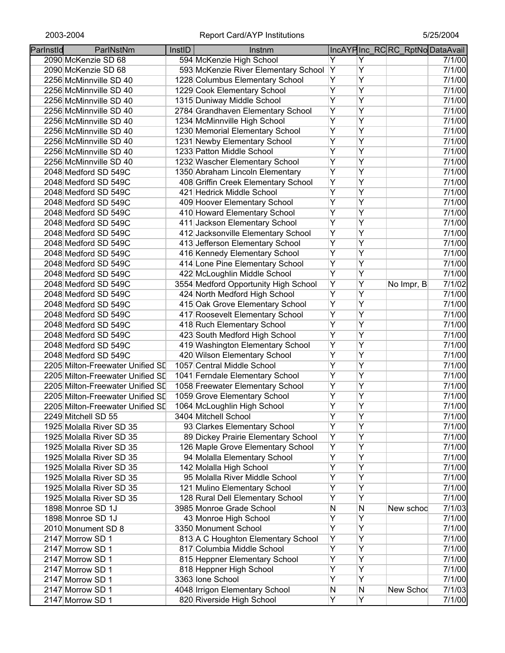| Parlnstld | ParlNstNm                        | InstID | Instnm                               |                |                | IncAYPInc_RCRC_RptNoDataAvail |        |
|-----------|----------------------------------|--------|--------------------------------------|----------------|----------------|-------------------------------|--------|
|           | 2090 McKenzie SD 68              |        | 594 McKenzie High School             | Y              | Y              |                               | 7/1/00 |
|           | 2090 McKenzie SD 68              |        | 593 McKenzie River Elementary School | Υ              | Y              |                               | 7/1/00 |
|           | 2256 McMinnville SD 40           |        | 1228 Columbus Elementary School      | Υ              | Y              |                               | 7/1/00 |
|           | 2256 McMinnville SD 40           |        | 1229 Cook Elementary School          | $\overline{Y}$ | Y              |                               | 7/1/00 |
|           | 2256 McMinnville SD 40           |        | 1315 Duniway Middle School           | Ÿ              | Ÿ              |                               | 7/1/00 |
|           | 2256 McMinnville SD 40           |        | 2784 Grandhaven Elementary School    | Ÿ              | Ÿ              |                               | 7/1/00 |
|           | 2256 McMinnville SD 40           |        | 1234 McMinnville High School         | $\overline{Y}$ | Y              |                               | 7/1/00 |
|           | 2256 McMinnville SD 40           |        | 1230 Memorial Elementary School      | $\overline{Y}$ | $\overline{Y}$ |                               | 7/1/00 |
|           | 2256 McMinnville SD 40           |        | 1231 Newby Elementary School         | $\overline{Y}$ | $\overline{Y}$ |                               | 7/1/00 |
|           | 2256 McMinnville SD 40           |        | 1233 Patton Middle School            | $\overline{Y}$ | $\overline{Y}$ |                               | 7/1/00 |
|           | 2256 McMinnville SD 40           |        | 1232 Wascher Elementary School       | $\overline{Y}$ | $\overline{Y}$ |                               | 7/1/00 |
|           | 2048 Medford SD 549C             |        | 1350 Abraham Lincoln Elementary      | Y              | Ÿ              |                               | 7/1/00 |
|           | 2048 Medford SD 549C             |        | 408 Griffin Creek Elementary School  | $\overline{Y}$ | $\overline{Y}$ |                               | 7/1/00 |
|           | 2048 Medford SD 549C             |        | 421 Hedrick Middle School            | $\overline{Y}$ | $\overline{Y}$ |                               | 7/1/00 |
|           | 2048 Medford SD 549C             |        | 409 Hoover Elementary School         | $\overline{Y}$ | $\overline{Y}$ |                               | 7/1/00 |
|           | 2048 Medford SD 549C             |        | 410 Howard Elementary School         | Y              | Y              |                               | 7/1/00 |
|           | 2048 Medford SD 549C             |        | 411 Jackson Elementary School        | $\overline{Y}$ | $\overline{Y}$ |                               | 7/1/00 |
|           | 2048 Medford SD 549C             |        | 412 Jacksonville Elementary School   | $\overline{Y}$ | $\overline{Y}$ |                               | 7/1/00 |
|           | 2048 Medford SD 549C             |        | 413 Jefferson Elementary School      | $\overline{Y}$ | Y              |                               | 7/1/00 |
|           | 2048 Medford SD 549C             |        | 416 Kennedy Elementary School        | Y              | Y              |                               | 7/1/00 |
|           | 2048 Medford SD 549C             |        | 414 Lone Pine Elementary School      | $\overline{Y}$ | Y              |                               | 7/1/00 |
|           | 2048 Medford SD 549C             |        | 422 McLoughlin Middle School         | $\overline{Y}$ | Ÿ              |                               | 7/1/00 |
|           |                                  |        |                                      | Y              | Ÿ              |                               | 7/1/02 |
|           | 2048 Medford SD 549C             |        | 3554 Medford Opportunity High School | $\overline{Y}$ | Ÿ              | No Impr, B                    |        |
|           | 2048 Medford SD 549C             |        | 424 North Medford High School        | $\overline{Y}$ | $\overline{Y}$ |                               | 7/1/00 |
|           | 2048 Medford SD 549C             |        | 415 Oak Grove Elementary School      | $\overline{Y}$ | $\overline{Y}$ |                               | 7/1/00 |
|           | 2048 Medford SD 549C             |        | 417 Roosevelt Elementary School      | $\overline{Y}$ | Ÿ              |                               | 7/1/00 |
|           | 2048 Medford SD 549C             |        | 418 Ruch Elementary School           | $\overline{Y}$ |                |                               | 7/1/00 |
|           | 2048 Medford SD 549C             |        | 423 South Medford High School        |                | Ÿ              |                               | 7/1/00 |
|           | 2048 Medford SD 549C             |        | 419 Washington Elementary School     | $\overline{Y}$ | $\overline{Y}$ |                               | 7/1/00 |
|           | 2048 Medford SD 549C             |        | 420 Wilson Elementary School         | Ÿ              | Ÿ              |                               | 7/1/00 |
|           | 2205 Milton-Freewater Unified SD |        | 1057 Central Middle School           | Ÿ              | Y              |                               | 7/1/00 |
|           | 2205 Milton-Freewater Unified SD |        | 1041 Ferndale Elementary School      | $\overline{Y}$ | Y              |                               | 7/1/00 |
|           | 2205 Milton-Freewater Unified SD |        | 1058 Freewater Elementary School     | Υ              | Ÿ              |                               | 7/1/00 |
|           | 2205 Milton-Freewater Unified SD |        | 1059 Grove Elementary School         | Υ              | Υ              |                               | 7/1/00 |
|           | 2205 Milton-Freewater Unified SD |        | 1064 McLoughlin High School          | Y              | Y              |                               | 7/1/00 |
|           | 2249 Mitchell SD 55              |        | 3404 Mitchell School                 | Y              | Y              |                               | 7/1/00 |
|           | 1925 Molalla River SD 35         |        | 93 Clarkes Elementary School         | Ÿ              | Y              |                               | 7/1/00 |
|           | 1925 Molalla River SD 35         |        | 89 Dickey Prairie Elementary School  | Y              | Ÿ              |                               | 7/1/00 |
|           | 1925 Molalla River SD 35         |        | 126 Maple Grove Elementary School    | Y              | Y              |                               | 7/1/00 |
|           | 1925 Molalla River SD 35         |        | 94 Molalla Elementary School         | Y              | Y              |                               | 7/1/00 |
|           | 1925 Molalla River SD 35         |        | 142 Molalla High School              | Y              | Ÿ              |                               | 7/1/00 |
|           | 1925 Molalla River SD 35         |        | 95 Molalla River Middle School       | $\overline{Y}$ | $\overline{Y}$ |                               | 7/1/00 |
|           | 1925 Molalla River SD 35         |        | 121 Mulino Elementary School         | Ÿ              | Y              |                               | 7/1/00 |
|           | 1925 Molalla River SD 35         |        | 128 Rural Dell Elementary School     | $\overline{Y}$ | Ÿ              |                               | 7/1/00 |
|           | 1898 Monroe SD 1J                |        | 3985 Monroe Grade School             | N              | N              | New schoo                     | 7/1/03 |
|           | 1898 Monroe SD 1J                |        | 43 Monroe High School                | Ÿ              | Ÿ              |                               | 7/1/00 |
|           | 2010 Monument SD 8               |        | 3350 Monument School                 | $\overline{Y}$ | Ÿ              |                               | 7/1/00 |
|           | 2147 Morrow SD 1                 |        | 813 A C Houghton Elementary School   | Y              | Ÿ              |                               | 7/1/00 |
|           | 2147 Morrow SD 1                 |        | 817 Columbia Middle School           | $\overline{Y}$ | Y              |                               | 7/1/00 |
|           | 2147 Morrow SD 1                 |        | 815 Heppner Elementary School        | $\overline{Y}$ | $\overline{Y}$ |                               | 7/1/00 |
|           | 2147 Morrow SD 1                 |        | 818 Heppner High School              | Ÿ              | $\overline{Y}$ |                               | 7/1/00 |
|           | 2147 Morrow SD 1                 |        | 3363 Ione School                     | Y              | Ÿ              |                               | 7/1/00 |
|           | 2147 Morrow SD 1                 |        | 4048 Irrigon Elementary School       | N              | N              | New Schod                     | 7/1/03 |
|           | 2147 Morrow SD 1                 |        | 820 Riverside High School            | Y              | Y              |                               | 7/1/00 |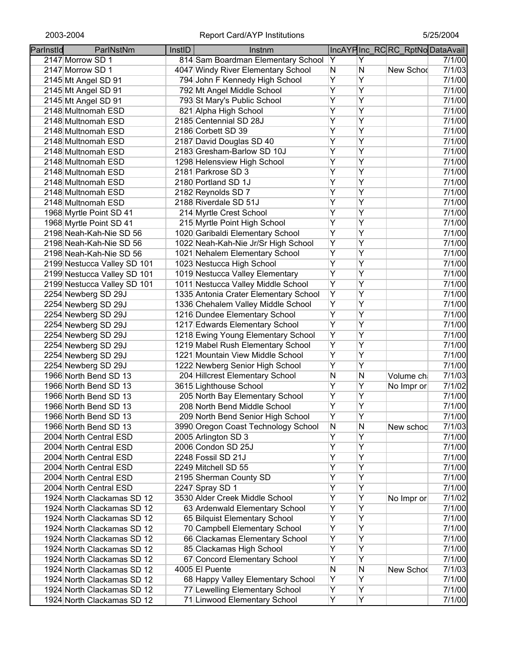| Parlnstld | ParlNstNm                   | InstID | Instnm                                |                |                | IncAYPInc_RCRC_RptNoDataAvail |        |
|-----------|-----------------------------|--------|---------------------------------------|----------------|----------------|-------------------------------|--------|
|           | 2147 Morrow SD 1            |        | 814 Sam Boardman Elementary School    | Y              | Υ              |                               | 7/1/00 |
|           | 2147 Morrow SD 1            |        | 4047 Windy River Elementary School    | N              | $\mathsf{N}$   | New Schod                     | 7/1/03 |
|           | 2145 Mt Angel SD 91         |        | 794 John F Kennedy High School        | Ÿ              | $\overline{Y}$ |                               | 7/1/00 |
|           | 2145 Mt Angel SD 91         |        | 792 Mt Angel Middle School            | Ÿ              | $\overline{Y}$ |                               | 7/1/00 |
|           | 2145 Mt Angel SD 91         |        | 793 St Mary's Public School           | Ÿ              | Y              |                               | 7/1/00 |
|           | 2148 Multnomah ESD          |        | 821 Alpha High School                 | Ÿ              | Ÿ              |                               | 7/1/00 |
|           | 2148 Multnomah ESD          |        | 2185 Centennial SD 28J                | Ÿ              | Y              |                               | 7/1/00 |
|           | 2148 Multnomah ESD          |        | 2186 Corbett SD 39                    | Υ              | Y              |                               | 7/1/00 |
|           | 2148 Multnomah ESD          |        | 2187 David Douglas SD 40              | Ÿ              | Y              |                               | 7/1/00 |
|           | 2148 Multnomah ESD          |        | 2183 Gresham-Barlow SD 10J            | Ÿ              | Y              |                               | 7/1/00 |
|           | 2148 Multnomah ESD          |        | 1298 Helensview High School           | Ÿ              | $\overline{Y}$ |                               | 7/1/00 |
|           | 2148 Multnomah ESD          |        | 2181 Parkrose SD 3                    | Ÿ              | Y              |                               | 7/1/00 |
|           | 2148 Multnomah ESD          |        | 2180 Portland SD 1J                   | Ÿ              | Ÿ              |                               | 7/1/00 |
|           | 2148 Multnomah ESD          |        | 2182 Reynolds SD 7                    | Y              | Y              |                               | 7/1/00 |
|           | 2148 Multnomah ESD          |        | 2188 Riverdale SD 51J                 | Ÿ              | Y              |                               | 7/1/00 |
|           | 1968 Myrtle Point SD 41     |        | 214 Myrtle Crest School               | Ÿ              | Y              |                               | 7/1/00 |
|           | 1968 Myrtle Point SD 41     |        | 215 Myrtle Point High School          | Ÿ              | Ÿ              |                               | 7/1/00 |
|           | 2198 Neah-Kah-Nie SD 56     |        | 1020 Garibaldi Elementary School      | Y              | $\overline{Y}$ |                               | 7/1/00 |
|           | 2198 Neah-Kah-Nie SD 56     |        | 1022 Neah-Kah-Nie Jr/Sr High School   | Ÿ              | $\overline{Y}$ |                               | 7/1/00 |
|           | 2198 Neah-Kah-Nie SD 56     |        | 1021 Nehalem Elementary School        | Ÿ              | Y              |                               | 7/1/00 |
|           | 2199 Nestucca Valley SD 101 |        | 1023 Nestucca High School             | $\overline{Y}$ | Y              |                               | 7/1/00 |
|           | 2199 Nestucca Valley SD 101 |        | 1019 Nestucca Valley Elementary       | Ÿ              | Y              |                               | 7/1/00 |
|           | 2199 Nestucca Valley SD 101 |        | 1011 Nestucca Valley Middle School    | Ÿ              | Y              |                               | 7/1/00 |
|           | 2254 Newberg SD 29J         |        | 1335 Antonia Crater Elementary School | Ÿ              | Y              |                               | 7/1/00 |
|           | 2254 Newberg SD 29J         |        | 1336 Chehalem Valley Middle School    | Ÿ              | Y              |                               | 7/1/00 |
|           | 2254 Newberg SD 29J         |        | 1216 Dundee Elementary School         | Ÿ              | $\overline{Y}$ |                               | 7/1/00 |
|           | 2254 Newberg SD 29J         |        | 1217 Edwards Elementary School        | Ÿ              | $\overline{Y}$ |                               | 7/1/00 |
|           | 2254 Newberg SD 29J         |        | 1218 Ewing Young Elementary School    | Ÿ              | Y              |                               | 7/1/00 |
|           | 2254 Newberg SD 29J         |        | 1219 Mabel Rush Elementary School     | Ÿ              | Y              |                               | 7/1/00 |
|           | 2254 Newberg SD 29J         |        | 1221 Mountain View Middle School      | Y              | Y              |                               | 7/1/00 |
|           | 2254 Newberg SD 29J         |        | 1222 Newberg Senior High School       | Ÿ              | Y              |                               | 7/1/00 |
|           | 1966 North Bend SD 13       |        | 204 Hillcrest Elementary School       | N              | N              | Volume ch                     | 7/1/03 |
|           | 1966 North Bend SD 13       |        | 3615 Lighthouse School                | Y              | Y              | No Impr or                    | 7/1/02 |
|           | 1966 North Bend SD 13       |        | 205 North Bay Elementary School       | Υ              | Υ              |                               | 7/1/00 |
|           | 1966 North Bend SD 13       |        | 208 North Bend Middle School          | Ÿ              | $\overline{Y}$ |                               | 7/1/00 |
|           | 1966 North Bend SD 13       |        | 209 North Bend Senior High School     | Υ              | Υ              |                               | 7/1/00 |
|           | 1966 North Bend SD 13       |        | 3990 Oregon Coast Technology School   | N              | N              | New schoo                     | 7/1/03 |
|           | 2004 North Central ESD      |        | 2005 Arlington SD 3                   | Ÿ              | $\overline{Y}$ |                               | 7/1/00 |
|           | 2004 North Central ESD      |        | 2006 Condon SD 25J                    | Ÿ              | Ÿ              |                               | 7/1/00 |
|           | 2004 North Central ESD      |        | 2248 Fossil SD 21J                    | Ÿ              | Ÿ              |                               | 7/1/00 |
|           | 2004 North Central ESD      |        | 2249 Mitchell SD 55                   | Ÿ              | Ÿ              |                               | 7/1/00 |
|           | 2004 North Central ESD      |        | 2195 Sherman County SD                | Ÿ              | Ÿ              |                               | 7/1/00 |
|           | 2004 North Central ESD      |        | 2247 Spray SD 1                       | Y              | Y              |                               | 7/1/00 |
|           | 1924 North Clackamas SD 12  |        | 3530 Alder Creek Middle School        | Ϋ              | Y              | No Impr or                    | 7/1/02 |
|           | 1924 North Clackamas SD 12  |        | 63 Ardenwald Elementary School        | Ϋ              | Y              |                               | 7/1/00 |
|           | 1924 North Clackamas SD 12  |        | 65 Bilquist Elementary School         | Ϋ              | Y              |                               | 7/1/00 |
|           | 1924 North Clackamas SD 12  |        | 70 Campbell Elementary School         | Υ              | Y              |                               | 7/1/00 |
|           | 1924 North Clackamas SD 12  |        | 66 Clackamas Elementary School        | Υ              | Υ              |                               | 7/1/00 |
|           | 1924 North Clackamas SD 12  |        | 85 Clackamas High School              | Υ              | Υ              |                               | 7/1/00 |
|           | 1924 North Clackamas SD 12  |        | 67 Concord Elementary School          | Y              | Υ              |                               | 7/1/00 |
|           | 1924 North Clackamas SD 12  |        | 4005 El Puente                        | N              | N              | New Schod                     | 7/1/03 |
|           | 1924 North Clackamas SD 12  |        | 68 Happy Valley Elementary School     | Y              | $\overline{Y}$ |                               | 7/1/00 |
|           | 1924 North Clackamas SD 12  |        | 77 Lewelling Elementary School        | Y              | Y              |                               | 7/1/00 |
|           | 1924 North Clackamas SD 12  |        | 71 Linwood Elementary School          | Ÿ              | $\overline{Y}$ |                               | 7/1/00 |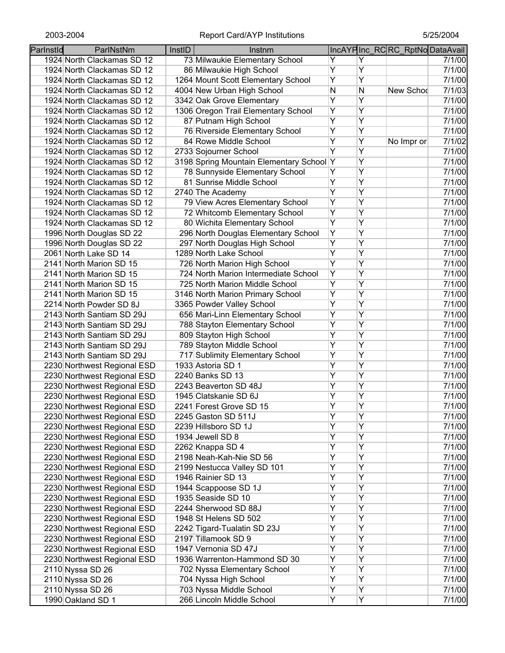| Parlnstld | ParlNstNm                   | InstID | Instnm                                   |                |                | IncAYPInc RCRC RptNoDataAvail |        |
|-----------|-----------------------------|--------|------------------------------------------|----------------|----------------|-------------------------------|--------|
|           | 1924 North Clackamas SD 12  |        | 73 Milwaukie Elementary School           | Y              | Y              |                               | 7/1/00 |
|           | 1924 North Clackamas SD 12  |        | 86 Milwaukie High School                 | $\overline{Y}$ | Υ              |                               | 7/1/00 |
|           | 1924 North Clackamas SD 12  |        | 1264 Mount Scott Elementary School       | $\overline{Y}$ | $\overline{Y}$ |                               | 7/1/00 |
|           | 1924 North Clackamas SD 12  |        | 4004 New Urban High School               | N              | $\mathsf{N}$   | New Schod                     | 7/1/03 |
|           | 1924 North Clackamas SD 12  |        | 3342 Oak Grove Elementary                | $\overline{Y}$ | $\overline{Y}$ |                               | 7/1/00 |
|           | 1924 North Clackamas SD 12  |        | 1306 Oregon Trail Elementary School      | Ÿ              | $\overline{Y}$ |                               | 7/1/00 |
|           | 1924 North Clackamas SD 12  |        | 87 Putnam High School                    | Υ              | Y              |                               | 7/1/00 |
|           | 1924 North Clackamas SD 12  |        | 76 Riverside Elementary School           | $\overline{Y}$ | $\overline{Y}$ |                               | 7/1/00 |
|           | 1924 North Clackamas SD 12  |        | 84 Rowe Middle School                    | Υ              | Υ              | No Impr or                    | 7/1/02 |
|           | 1924 North Clackamas SD 12  |        | 2733 Sojourner School                    | $\overline{Y}$ | Y              |                               | 7/1/00 |
|           | 1924 North Clackamas SD 12  |        | 3198 Spring Mountain Elementary School Y |                | Y              |                               | 7/1/00 |
|           | 1924 North Clackamas SD 12  |        | 78 Sunnyside Elementary School           | Ÿ              | $\overline{Y}$ |                               | 7/1/00 |
|           | 1924 North Clackamas SD 12  |        | 81 Sunrise Middle School                 | Ÿ              | $\overline{Y}$ |                               | 7/1/00 |
|           | 1924 North Clackamas SD 12  |        | 2740 The Academy                         | $\overline{Y}$ | $\overline{Y}$ |                               | 7/1/00 |
|           | 1924 North Clackamas SD 12  |        | 79 View Acres Elementary School          | Y              | Y              |                               | 7/1/00 |
|           | 1924 North Clackamas SD 12  |        | 72 Whitcomb Elementary School            | Y              | Y              |                               | 7/1/00 |
|           | 1924 North Clackamas SD 12  |        | 80 Wichita Elementary School             | Y              | Y              |                               | 7/1/00 |
|           | 1996 North Douglas SD 22    |        | 296 North Douglas Elementary School      | Y              | Υ              |                               | 7/1/00 |
|           | 1996 North Douglas SD 22    |        | 297 North Douglas High School            | Ÿ              | $\overline{Y}$ |                               | 7/1/00 |
|           | 2061 North Lake SD 14       |        | 1289 North Lake School                   | $\overline{Y}$ | $\overline{Y}$ |                               | 7/1/00 |
|           | 2141 North Marion SD 15     |        | 726 North Marion High School             | $\overline{Y}$ | $\overline{Y}$ |                               | 7/1/00 |
|           | 2141 North Marion SD 15     |        | 724 North Marion Intermediate School     | $\overline{Y}$ | $\overline{Y}$ |                               | 7/1/00 |
|           | 2141 North Marion SD 15     |        | 725 North Marion Middle School           | $\overline{Y}$ | $\overline{Y}$ |                               | 7/1/00 |
|           | 2141 North Marion SD 15     |        | 3146 North Marion Primary School         | $\overline{Y}$ | $\overline{Y}$ |                               | 7/1/00 |
|           | 2214 North Powder SD 8J     |        | 3365 Powder Valley School                | $\overline{Y}$ | $\overline{Y}$ |                               | 7/1/00 |
|           | 2143 North Santiam SD 29J   |        | 656 Mari-Linn Elementary School          | $\overline{Y}$ | Ÿ              |                               | 7/1/00 |
|           | 2143 North Santiam SD 29J   |        | 788 Stayton Elementary School            | Ÿ              | $\overline{Y}$ |                               | 7/1/00 |
|           | 2143 North Santiam SD 29J   |        | 809 Stayton High School                  | $\overline{Y}$ | $\overline{Y}$ |                               | 7/1/00 |
|           | 2143 North Santiam SD 29J   |        | 789 Stayton Middle School                | $\overline{Y}$ | $\overline{Y}$ |                               | 7/1/00 |
|           | 2143 North Santiam SD 29J   |        | 717 Sublimity Elementary School          | $\overline{Y}$ | $\overline{Y}$ |                               | 7/1/00 |
|           | 2230 Northwest Regional ESD |        | 1933 Astoria SD 1                        | Ÿ              | $\overline{Y}$ |                               | 7/1/00 |
|           | 2230 Northwest Regional ESD |        | 2240 Banks SD 13                         | Y              | Y              |                               | 7/1/00 |
|           | 2230 Northwest Regional ESD |        | 2243 Beaverton SD 48J                    | Υ              | Y              |                               | 7/1/00 |
|           | 2230 Northwest Regional ESD |        | 1945 Clatskanie SD 6J                    | Υ              | Υ              |                               | 7/1/00 |
|           | 2230 Northwest Regional ESD |        | 2241 Forest Grove SD 15                  | Y              | $\overline{Y}$ |                               | 7/1/00 |
|           | 2230 Northwest Regional ESD |        | 2245 Gaston SD 511J                      | Y              | Y              |                               | 7/1/00 |
|           | 2230 Northwest Regional ESD |        | 2239 Hillsboro SD 1J                     | Ÿ              | Ÿ              |                               | 7/1/00 |
|           | 2230 Northwest Regional ESD |        | 1934 Jewell SD 8                         | Y              | Y              |                               | 7/1/00 |
|           | 2230 Northwest Regional ESD |        | 2262 Knappa SD 4                         | $\overline{Y}$ | Ÿ              |                               | 7/1/00 |
|           | 2230 Northwest Regional ESD |        | 2198 Neah-Kah-Nie SD 56                  | Ÿ              | Ÿ              |                               | 7/1/00 |
|           | 2230 Northwest Regional ESD |        | 2199 Nestucca Valley SD 101              | Ÿ              | Ÿ              |                               | 7/1/00 |
|           | 2230 Northwest Regional ESD |        | 1946 Rainier SD 13                       | $\overline{Y}$ | Ÿ              |                               | 7/1/00 |
|           | 2230 Northwest Regional ESD |        | 1944 Scappoose SD 1J                     | $\overline{Y}$ | Ÿ              |                               | 7/1/00 |
|           | 2230 Northwest Regional ESD |        | 1935 Seaside SD 10                       | $\overline{Y}$ | Ÿ              |                               | 7/1/00 |
|           | 2230 Northwest Regional ESD |        | 2244 Sherwood SD 88J                     | $\overline{Y}$ | Ÿ              |                               | 7/1/00 |
|           | 2230 Northwest Regional ESD |        | 1948 St Helens SD 502                    | Y              | Y              |                               | 7/1/00 |
|           | 2230 Northwest Regional ESD |        | 2242 Tigard-Tualatin SD 23J              | $\overline{Y}$ | Y              |                               | 7/1/00 |
|           | 2230 Northwest Regional ESD |        | 2197 Tillamook SD 9                      | Y              | Y              |                               | 7/1/00 |
|           | 2230 Northwest Regional ESD |        | 1947 Vernonia SD 47J                     | Ÿ              | Y              |                               | 7/1/00 |
|           | 2230 Northwest Regional ESD |        | 1936 Warrenton-Hammond SD 30             | Υ              | Υ              |                               | 7/1/00 |
|           | 2110 Nyssa SD 26            |        | 702 Nyssa Elementary School              | Υ              | Υ              |                               | 7/1/00 |
|           | 2110 Nyssa SD 26            |        | 704 Nyssa High School                    | Υ              | Υ              |                               | 7/1/00 |
|           | 2110 Nyssa SD 26            |        | 703 Nyssa Middle School                  | Ÿ              | Y              |                               | 7/1/00 |
|           | 1990 Oakland SD 1           |        | 266 Lincoln Middle School                | Y              | Y              |                               | 7/1/00 |
|           |                             |        |                                          |                |                |                               |        |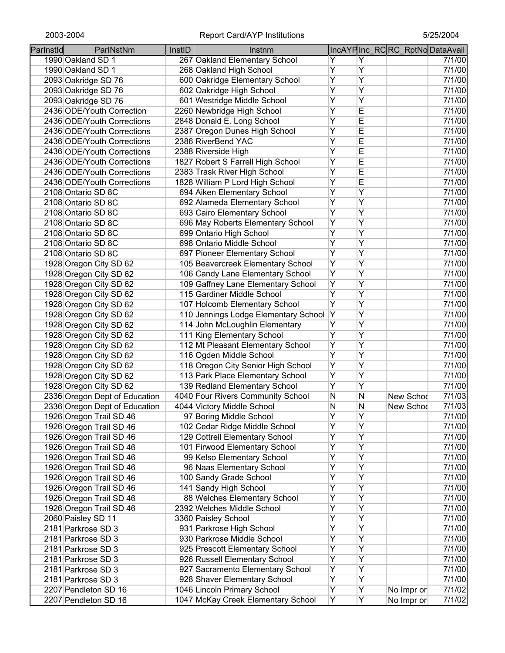| Parlnstld | ParlNstNm                     | InstID | Instnm                               |                |                     | IncAYPInc_RCRC_RptNoDataAvail |        |
|-----------|-------------------------------|--------|--------------------------------------|----------------|---------------------|-------------------------------|--------|
|           | 1990 Oakland SD 1             |        | 267 Oakland Elementary School        | Y              | Y                   |                               | 7/1/00 |
|           | 1990 Oakland SD 1             |        | 268 Oakland High School              | Υ              | Υ                   |                               | 7/1/00 |
|           | 2093 Oakridge SD 76           |        | 600 Oakridge Elementary School       | Υ              | Υ                   |                               | 7/1/00 |
|           | 2093 Oakridge SD 76           |        | 602 Oakridge High School             | Ÿ              | $\overline{Y}$      |                               | 7/1/00 |
|           | 2093 Oakridge SD 76           |        | 601 Westridge Middle School          | Y              | Ÿ                   |                               | 7/1/00 |
|           | 2436 ODE/Youth Correction     |        | 2260 Newbridge High School           | $\overline{Y}$ | E                   |                               | 7/1/00 |
|           | 2436 ODE/Youth Corrections    |        | 2848 Donald E. Long School           | Υ              | E                   |                               | 7/1/00 |
|           | 2436 ODE/Youth Corrections    |        | 2387 Oregon Dunes High School        | Υ              | E                   |                               | 7/1/00 |
|           | 2436 ODE/Youth Corrections    |        | 2386 RiverBend YAC                   | Υ              | E                   |                               | 7/1/00 |
|           | 2436 ODE/Youth Corrections    |        | 2388 Riverside High                  | Υ              | E                   |                               | 7/1/00 |
|           | 2436 ODE/Youth Corrections    |        | 1827 Robert S Farrell High School    | Ÿ              | E                   |                               | 7/1/00 |
|           | 2436 ODE/Youth Corrections    |        | 2383 Trask River High School         | Ÿ              | E                   |                               | 7/1/00 |
|           | 2436 ODE/Youth Corrections    |        | 1828 William P Lord High School      | Y              | E                   |                               | 7/1/00 |
|           | 2108 Ontario SD 8C            |        | 694 Aiken Elementary School          | Y              | Ÿ                   |                               | 7/1/00 |
|           | 2108 Ontario SD 8C            |        | 692 Alameda Elementary School        | $\overline{Y}$ | $\overline{Y}$      |                               | 7/1/00 |
|           | 2108 Ontario SD 8C            |        | 693 Cairo Elementary School          | $\overline{Y}$ | Υ                   |                               | 7/1/00 |
|           | 2108 Ontario SD 8C            |        | 696 May Roberts Elementary School    | Ÿ              | Y                   |                               | 7/1/00 |
|           | 2108 Ontario SD 8C            |        | 699 Ontario High School              | Υ              | Y                   |                               | 7/1/00 |
|           | 2108 Ontario SD 8C            |        | 698 Ontario Middle School            | Ÿ              | Y                   |                               | 7/1/00 |
|           | 2108 Ontario SD 8C            |        | 697 Pioneer Elementary School        | Ÿ              | Υ                   |                               | 7/1/00 |
|           | 1928 Oregon City SD 62        |        | 105 Beavercreek Elementary School    | Y              | Ÿ                   |                               | 7/1/00 |
|           | 1928 Oregon City SD 62        |        | 106 Candy Lane Elementary School     | Y              | Ÿ                   |                               | 7/1/00 |
|           | 1928 Oregon City SD 62        |        | 109 Gaffney Lane Elementary School   | Y              | $\overline{Y}$      |                               | 7/1/00 |
|           |                               |        | 115 Gardiner Middle School           | $\overline{Y}$ | Y                   |                               | 7/1/00 |
|           | 1928 Oregon City SD 62        |        |                                      | $\overline{Y}$ | Y                   |                               |        |
|           | 1928 Oregon City SD 62        |        | 107 Holcomb Elementary School        |                | Ÿ                   |                               | 7/1/00 |
|           | 1928 Oregon City SD 62        |        | 110 Jennings Lodge Elementary School | Y<br>Ÿ         |                     |                               | 7/1/00 |
|           | 1928 Oregon City SD 62        |        | 114 John McLoughlin Elementary       | Ÿ              | Y                   |                               | 7/1/00 |
|           | 1928 Oregon City SD 62        |        | 111 King Elementary School           |                | Y                   |                               | 7/1/00 |
|           | 1928 Oregon City SD 62        |        | 112 Mt Pleasant Elementary School    | Y              | Y                   |                               | 7/1/00 |
|           | 1928 Oregon City SD 62        |        | 116 Ogden Middle School              | Ÿ              | Y<br>$\overline{Y}$ |                               | 7/1/00 |
|           | 1928 Oregon City SD 62        |        | 118 Oregon City Senior High School   | Ÿ              |                     |                               | 7/1/00 |
|           | 1928 Oregon City SD 62        |        | 113 Park Place Elementary School     | Y              | Υ                   |                               | 7/1/00 |
|           | 1928 Oregon City SD 62        |        | 139 Redland Elementary School        | Υ              | Υ                   |                               | 7/1/00 |
|           | 2336 Oregon Dept of Education |        | 4040 Four Rivers Community School    | N              | N                   | New Schod                     | 7/1/03 |
|           | 2336 Oregon Dept of Education |        | 4044 Victory Middle School           | N              | N                   | New Schod                     | 7/1/03 |
|           | 1926 Oregon Trail SD 46       |        | 97 Boring Middle School              | Y              | Y                   |                               | 7/1/00 |
|           | 1926 Oregon Trail SD 46       |        | 102 Cedar Ridge Middle School        | Ÿ              | Y                   |                               | 7/1/00 |
|           | 1926 Oregon Trail SD 46       |        | 129 Cottrell Elementary School       | Y              | Ÿ                   |                               | 7/1/00 |
|           | 1926 Oregon Trail SD 46       |        | 101 Firwood Elementary School        | Y              | Y                   |                               | 7/1/00 |
|           | 1926 Oregon Trail SD 46       |        | 99 Kelso Elementary School           | $\overline{Y}$ | Ÿ                   |                               | 7/1/00 |
|           | 1926 Oregon Trail SD 46       |        | 96 Naas Elementary School            | Y              | Ÿ                   |                               | 7/1/00 |
|           | 1926 Oregon Trail SD 46       |        | 100 Sandy Grade School               | $\overline{Y}$ | Ÿ                   |                               | 7/1/00 |
|           | 1926 Oregon Trail SD 46       |        | 141 Sandy High School                | Y              | Y                   |                               | 7/1/00 |
|           | 1926 Oregon Trail SD 46       |        | 88 Welches Elementary School         | Ÿ              | Ÿ                   |                               | 7/1/00 |
|           | 1926 Oregon Trail SD 46       |        | 2392 Welches Middle School           | Ÿ              | Ÿ                   |                               | 7/1/00 |
|           | 2060 Paisley SD 11            |        | 3360 Paisley School                  | Ÿ              | Ÿ                   |                               | 7/1/00 |
|           | 2181 Parkrose SD 3            |        | 931 Parkrose High School             | Y              | Y                   |                               | 7/1/00 |
|           | 2181 Parkrose SD 3            |        | 930 Parkrose Middle School           | $\overline{Y}$ | Y                   |                               | 7/1/00 |
|           | 2181 Parkrose SD 3            |        | 925 Prescott Elementary School       | Υ              | Ÿ                   |                               | 7/1/00 |
|           | 2181 Parkrose SD 3            |        | 926 Russell Elementary School        | Y              | Ÿ                   |                               | 7/1/00 |
|           | 2181 Parkrose SD 3            |        | 927 Sacramento Elementary School     | Υ              | Υ                   |                               | 7/1/00 |
|           | 2181 Parkrose SD 3            |        | 928 Shaver Elementary School         | Υ              | Υ                   |                               | 7/1/00 |
|           | 2207 Pendleton SD 16          |        | 1046 Lincoln Primary School          | Y              | Υ                   | No Impr or                    | 7/1/02 |
|           | 2207 Pendleton SD 16          |        | 1047 McKay Creek Elementary School   | Y              | Y                   | No Impr or                    | 7/1/02 |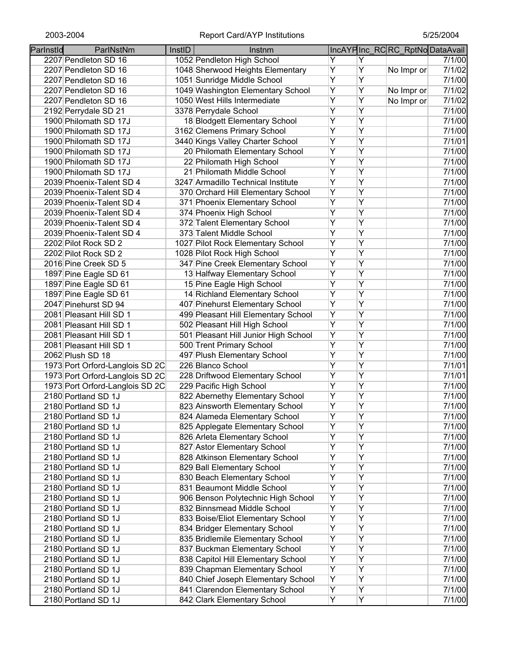| Parlnstld | ParlNstNm                       | InstID | Instnm                                                            |                |   | IncAYPInc_RCRC_RptNoDataAvail |        |
|-----------|---------------------------------|--------|-------------------------------------------------------------------|----------------|---|-------------------------------|--------|
|           | 2207 Pendleton SD 16            |        | 1052 Pendleton High School                                        | Y              | Y |                               | 7/1/00 |
|           | 2207 Pendleton SD 16            |        | 1048 Sherwood Heights Elementary                                  | Ÿ              | Ÿ | No Impr or                    | 7/1/02 |
|           | 2207 Pendleton SD 16            |        | 1051 Sunridge Middle School                                       | Ÿ              | Ÿ |                               | 7/1/00 |
|           | 2207 Pendleton SD 16            |        | 1049 Washington Elementary School                                 | Ÿ              | Ÿ | No Impr or                    | 7/1/02 |
|           | 2207 Pendleton SD 16            |        | 1050 West Hills Intermediate                                      | Ÿ              | Ÿ | No Impr or                    | 7/1/02 |
|           | 2192 Perrydale SD 21            |        | 3378 Perrydale School                                             | $\overline{Y}$ | Ÿ |                               | 7/1/00 |
|           | 1900 Philomath SD 17J           |        | 18 Blodgett Elementary School                                     | $\overline{Y}$ | Ÿ |                               | 7/1/00 |
|           | 1900 Philomath SD 17J           |        | 3162 Clemens Primary School                                       | Υ              | Ÿ |                               | 7/1/00 |
|           | 1900 Philomath SD 17J           |        | 3440 Kings Valley Charter School                                  | $\overline{Y}$ | Ÿ |                               | 7/1/01 |
|           | 1900 Philomath SD 17J           |        | 20 Philomath Elementary School                                    | Ÿ              | Y |                               | 7/1/00 |
|           | 1900 Philomath SD 17J           |        | 22 Philomath High School                                          | Ÿ              | Ÿ |                               | 7/1/00 |
|           | 1900 Philomath SD 17J           |        | 21 Philomath Middle School                                        | Y              | Y |                               | 7/1/00 |
|           | 2039 Phoenix-Talent SD 4        |        | 3247 Armadillo Technical Institute                                | $\overline{Y}$ | Ÿ |                               | 7/1/00 |
|           | 2039 Phoenix-Talent SD 4        |        | 370 Orchard Hill Elementary School                                | Y              | Ÿ |                               | 7/1/00 |
|           | 2039 Phoenix-Talent SD 4        |        | 371 Phoenix Elementary School                                     | Ÿ              | Ÿ |                               | 7/1/00 |
|           | 2039 Phoenix-Talent SD 4        |        | 374 Phoenix High School                                           | Y              | Y |                               | 7/1/00 |
|           | 2039 Phoenix-Talent SD 4        |        | 372 Talent Elementary School                                      | Y              | Ÿ |                               | 7/1/00 |
|           | 2039 Phoenix-Talent SD 4        |        | 373 Talent Middle School                                          | Ÿ              | Ÿ |                               | 7/1/00 |
|           | 2202 Pilot Rock SD 2            |        | 1027 Pilot Rock Elementary School                                 | Ÿ              | Ÿ |                               | 7/1/00 |
|           | 2202 Pilot Rock SD 2            |        | 1028 Pilot Rock High School                                       | Y              | Ÿ |                               | 7/1/00 |
|           | 2016 Pine Creek SD 5            |        | 347 Pine Creek Elementary School                                  | $\overline{Y}$ | Ÿ |                               | 7/1/00 |
|           | 1897 Pine Eagle SD 61           |        | 13 Halfway Elementary School                                      | Y              | Ÿ |                               | 7/1/00 |
|           | 1897 Pine Eagle SD 61           |        | 15 Pine Eagle High School                                         | $\overline{Y}$ | Ÿ |                               | 7/1/00 |
|           | 1897 Pine Eagle SD 61           |        | 14 Richland Elementary School                                     | $\overline{Y}$ | Ÿ |                               | 7/1/00 |
|           | 2047 Pinehurst SD 94            |        | 407 Pinehurst Elementary School                                   | $\overline{Y}$ | Ÿ |                               | 7/1/00 |
|           | 2081 Pleasant Hill SD 1         |        | 499 Pleasant Hill Elementary School                               | Y              | Ÿ |                               | 7/1/00 |
|           | 2081 Pleasant Hill SD 1         |        | 502 Pleasant Hill High School                                     | $\overline{Y}$ | Ÿ |                               | 7/1/00 |
|           | 2081 Pleasant Hill SD 1         |        | 501 Pleasant Hill Junior High School                              | Y              | Y |                               | 7/1/00 |
|           | 2081 Pleasant Hill SD 1         |        | 500 Trent Primary School                                          | $\overline{Y}$ | Ÿ |                               | 7/1/00 |
|           | 2062 Plush SD 18                |        | 497 Plush Elementary School                                       | Ÿ              | Y |                               | 7/1/00 |
|           | 1973 Port Orford-Langlois SD 2C |        | 226 Blanco School                                                 | $\overline{Y}$ | Ÿ |                               | 7/1/01 |
|           | 1973 Port Orford-Langlois SD 2C |        | 228 Driftwood Elementary School                                   | Υ              | Υ |                               | 7/1/01 |
|           | 1973 Port Orford-Langlois SD 2C |        | 229 Pacific High School                                           | Υ              | Y |                               | 7/1/00 |
|           | 2180 Portland SD 1J             |        | 822 Abernethy Elementary School                                   | Υ              | Ÿ |                               | 7/1/00 |
|           | 2180 Portland SD 1J             |        | 823 Ainsworth Elementary School                                   | Υ              | Ÿ |                               | 7/1/00 |
|           | 2180 Portland SD 1J             |        | 824 Alameda Elementary School                                     | Y              | Ÿ |                               | 7/1/00 |
|           | 2180 Portland SD 1J             |        | 825 Applegate Elementary School                                   | Y              | Ÿ |                               | 7/1/00 |
|           | 2180 Portland SD 1J             |        | 826 Arleta Elementary School                                      | Y              | Ÿ |                               | 7/1/00 |
|           | 2180 Portland SD 1J             |        | 827 Astor Elementary School                                       | Y              | Ÿ |                               | 7/1/00 |
|           | 2180 Portland SD 1J             |        | 828 Atkinson Elementary School                                    | $\overline{Y}$ | Ÿ |                               | 7/1/00 |
|           | 2180 Portland SD 1J             |        | 829 Ball Elementary School                                        | Y              | Ÿ |                               | 7/1/00 |
|           | 2180 Portland SD 1J             |        | 830 Beach Elementary School                                       | Y              | Ÿ |                               | 7/1/00 |
|           | 2180 Portland SD 1J             |        | 831 Beaumont Middle School                                        | Y              | Ÿ |                               | 7/1/00 |
|           |                                 |        |                                                                   | Y              | Ÿ |                               | 7/1/00 |
|           | 2180 Portland SD 1J             |        | 906 Benson Polytechnic High School<br>832 Binnsmead Middle School | Υ              | Ÿ |                               |        |
|           | 2180 Portland SD 1J             |        |                                                                   | Υ              | Ÿ |                               | 7/1/00 |
|           | 2180 Portland SD 1J             |        | 833 Boise/Eliot Elementary School                                 | Y              | Ÿ |                               | 7/1/00 |
|           | 2180 Portland SD 1J             |        | 834 Bridger Elementary School                                     |                |   |                               | 7/1/00 |
|           | 2180 Portland SD 1J             |        | 835 Bridlemile Elementary School                                  | Y              | Y |                               | 7/1/00 |
|           | 2180 Portland SD 1J             |        | 837 Buckman Elementary School                                     | Υ              | Υ |                               | 7/1/00 |
|           | 2180 Portland SD 1J             |        | 838 Capitol Hill Elementary School                                | Υ              | Ÿ |                               | 7/1/00 |
|           | 2180 Portland SD 1J             |        | 839 Chapman Elementary School                                     | Υ              | Υ |                               | 7/1/00 |
|           | 2180 Portland SD 1J             |        | 840 Chief Joseph Elementary School                                | Υ              | Ÿ |                               | 7/1/00 |
|           | 2180 Portland SD 1J             |        | 841 Clarendon Elementary School                                   | Υ              | Y |                               | 7/1/00 |
|           | 2180 Portland SD 1J             |        | 842 Clark Elementary School                                       | Y              | Ÿ |                               | 7/1/00 |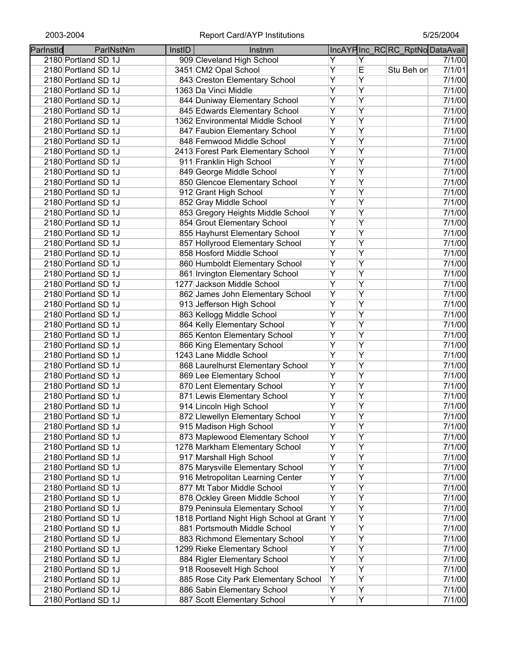| Parlnstld | ParlNstNm           | InstID | Instnm                                     |                         |                | IncAYPInc RCRC RptNoDataAvail |        |
|-----------|---------------------|--------|--------------------------------------------|-------------------------|----------------|-------------------------------|--------|
|           | 2180 Portland SD 1J |        | 909 Cleveland High School                  | Y                       | Y              |                               | 7/1/00 |
|           | 2180 Portland SD 1J |        | 3451 CM2 Opal School                       | Ÿ                       | E              | Stu Beh on                    | 7/1/01 |
|           | 2180 Portland SD 1J |        | 843 Creston Elementary School              | $\overline{Y}$          | $\overline{Y}$ |                               | 7/1/00 |
|           |                     |        | 1363 Da Vinci Middle                       | $\overline{Y}$          | $\overline{Y}$ |                               | 7/1/00 |
|           | 2180 Portland SD 1J |        |                                            | $\overline{Y}$          | Ÿ              |                               |        |
|           | 2180 Portland SD 1J |        | 844 Duniway Elementary School              |                         |                |                               | 7/1/00 |
|           | 2180 Portland SD 1J |        | 845 Edwards Elementary School              | $\overline{Y}$          | Ÿ              |                               | 7/1/00 |
|           | 2180 Portland SD 1J |        | 1362 Environmental Middle School           | $\overline{Y}$          | $\overline{Y}$ |                               | 7/1/00 |
|           | 2180 Portland SD 1J |        | 847 Faubion Elementary School              | $\overline{Y}$          | Ÿ              |                               | 7/1/00 |
|           | 2180 Portland SD 1J |        | 848 Fernwood Middle School                 | $\overline{Y}$          | Y              |                               | 7/1/00 |
|           | 2180 Portland SD 1J |        | 2413 Forest Park Elementary School         | $\overline{Y}$          | Y              |                               | 7/1/00 |
|           | 2180 Portland SD 1J |        | 911 Franklin High School                   | $\overline{Y}$          | $\overline{Y}$ |                               | 7/1/00 |
|           | 2180 Portland SD 1J |        | 849 George Middle School                   | $\overline{Y}$          | $\overline{Y}$ |                               | 7/1/00 |
|           | 2180 Portland SD 1J |        | 850 Glencoe Elementary School              | Ÿ                       | $\overline{Y}$ |                               | 7/1/00 |
|           | 2180 Portland SD 1J |        | 912 Grant High School                      | $\overline{\mathsf{Y}}$ | Y              |                               | 7/1/00 |
|           | 2180 Portland SD 1J |        | 852 Gray Middle School                     | $\overline{Y}$          | Y              |                               | 7/1/00 |
|           | 2180 Portland SD 1J |        | 853 Gregory Heights Middle School          | Y                       | Y              |                               | 7/1/00 |
|           | 2180 Portland SD 1J |        | 854 Grout Elementary School                | $\overline{Y}$          | Ÿ              |                               | 7/1/00 |
|           | 2180 Portland SD 1J |        | 855 Hayhurst Elementary School             | $\overline{Y}$          | Ÿ              |                               | 7/1/00 |
|           | 2180 Portland SD 1J |        | 857 Hollyrood Elementary School            | $\overline{Y}$          | $\overline{Y}$ |                               | 7/1/00 |
|           | 2180 Portland SD 1J |        | 858 Hosford Middle School                  | $\overline{Y}$          | $\overline{Y}$ |                               | 7/1/00 |
|           | 2180 Portland SD 1J |        | 860 Humboldt Elementary School             | $\overline{Y}$          | $\overline{Y}$ |                               | 7/1/00 |
|           | 2180 Portland SD 1J |        | 861 Irvington Elementary School            | $\overline{Y}$          | Ÿ              |                               | 7/1/00 |
|           | 2180 Portland SD 1J |        | 1277 Jackson Middle School                 | $\overline{Y}$          | Ÿ              |                               | 7/1/00 |
|           | 2180 Portland SD 1J |        | 862 James John Elementary School           | $\overline{Y}$          | Ÿ              |                               | 7/1/00 |
|           | 2180 Portland SD 1J |        | 913 Jefferson High School                  | $\overline{Y}$          | $\overline{Y}$ |                               | 7/1/00 |
|           |                     |        | 863 Kellogg Middle School                  | $\overline{Y}$          | Ÿ              |                               | 7/1/00 |
|           | 2180 Portland SD 1J |        |                                            | $\overline{Y}$          | Ÿ              |                               |        |
|           | 2180 Portland SD 1J |        | 864 Kelly Elementary School                |                         |                |                               | 7/1/00 |
|           | 2180 Portland SD 1J |        | 865 Kenton Elementary School               | $\overline{Y}$          | $\overline{Y}$ |                               | 7/1/00 |
|           | 2180 Portland SD 1J |        | 866 King Elementary School                 | $\overline{Y}$          | $\overline{Y}$ |                               | 7/1/00 |
|           | 2180 Portland SD 1J |        | 1243 Lane Middle School                    | $\overline{Y}$          | Ÿ              |                               | 7/1/00 |
|           | 2180 Portland SD 1J |        | 868 Laurelhurst Elementary School          | Y                       | Y              |                               | 7/1/00 |
|           | 2180 Portland SD 1J |        | 869 Lee Elementary School                  | Υ                       | Y              |                               | 7/1/00 |
|           | 2180 Portland SD 1J |        | 870 Lent Elementary School                 | Υ                       | $\overline{Y}$ |                               | 7/1/00 |
|           | 2180 Portland SD 1J |        | 871 Lewis Elementary School                | Υ                       | Υ              |                               | 7/1/00 |
|           | 2180 Portland SD 1J |        | 914 Lincoln High School                    | Υ                       | $\overline{Y}$ |                               | 7/1/00 |
|           | 2180 Portland SD 1J |        | 872 Llewellyn Elementary School            | Υ                       | Υ              |                               | 7/1/00 |
|           | 2180 Portland SD 1J |        | 915 Madison High School                    | $\overline{Y}$          | $\overline{Y}$ |                               | 7/1/00 |
|           | 2180 Portland SD 1J |        | 873 Maplewood Elementary School            | Ÿ                       | Y              |                               | 7/1/00 |
|           | 2180 Portland SD 1J |        | 1278 Markham Elementary School             | $\overline{Y}$          | Ÿ              |                               | 7/1/00 |
|           | 2180 Portland SD 1J |        | 917 Marshall High School                   | Y                       | Y              |                               | 7/1/00 |
|           | 2180 Portland SD 1J |        | 875 Marysville Elementary School           | $\overline{Y}$          | Ÿ              |                               | 7/1/00 |
|           | 2180 Portland SD 1J |        | 916 Metropolitan Learning Center           | Ÿ                       | Ÿ              |                               | 7/1/00 |
|           | 2180 Portland SD 1J |        | 877 Mt Tabor Middle School                 | Ÿ                       | Ÿ              |                               | 7/1/00 |
|           | 2180 Portland SD 1J |        | 878 Ockley Green Middle School             | Y                       | Y              |                               | 7/1/00 |
|           | 2180 Portland SD 1J |        | 879 Peninsula Elementary School            | Y                       | $\overline{Y}$ |                               | 7/1/00 |
|           | 2180 Portland SD 1J |        | 1818 Portland Night High School at Grant Y |                         | Y              |                               | 7/1/00 |
|           | 2180 Portland SD 1J |        | 881 Portsmouth Middle School               | Υ                       | Y              |                               | 7/1/00 |
|           | 2180 Portland SD 1J |        | 883 Richmond Elementary School             | Υ                       | Υ              |                               | 7/1/00 |
|           | 2180 Portland SD 1J |        | 1299 Rieke Elementary School               | Υ                       | Υ              |                               | 7/1/00 |
|           | 2180 Portland SD 1J |        | 884 Rigler Elementary School               | Υ                       | Y              |                               | 7/1/00 |
|           | 2180 Portland SD 1J |        | 918 Roosevelt High School                  | Y                       | Ÿ              |                               | 7/1/00 |
|           | 2180 Portland SD 1J |        | 885 Rose City Park Elementary School       | Υ                       | Υ              |                               | 7/1/00 |
|           | 2180 Portland SD 1J |        | 886 Sabin Elementary School                | Y                       | Y              |                               | 7/1/00 |
|           | 2180 Portland SD 1J |        | 887 Scott Elementary School                | $\overline{Y}$          | Y              |                               | 7/1/00 |
|           |                     |        |                                            |                         |                |                               |        |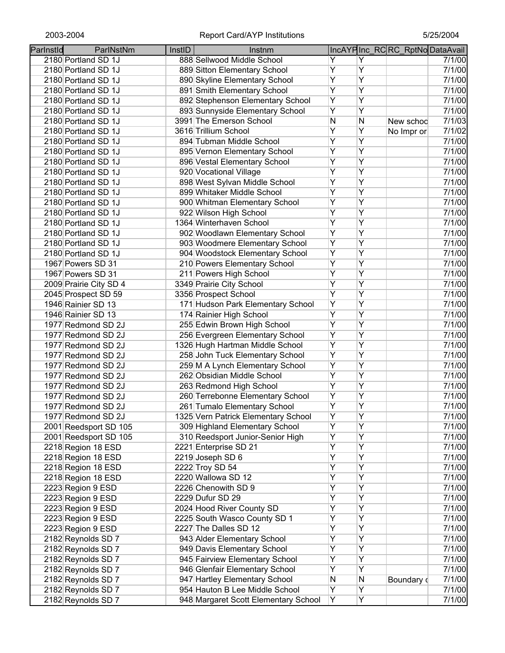| Parlnstld | ParlNstNm              | InstID | Instnm                               |                |   | IncAYPInc RCRC RptNoDataAvail |        |
|-----------|------------------------|--------|--------------------------------------|----------------|---|-------------------------------|--------|
|           | 2180 Portland SD 1J    |        | 888 Sellwood Middle School           | Y              | Y |                               | 7/1/00 |
|           | 2180 Portland SD 1J    |        | 889 Sitton Elementary School         | Υ              | Ÿ |                               | 7/1/00 |
|           | 2180 Portland SD 1J    |        | 890 Skyline Elementary School        | Ÿ              | Ÿ |                               | 7/1/00 |
|           | 2180 Portland SD 1J    |        | 891 Smith Elementary School          | Y              | Ÿ |                               | 7/1/00 |
|           | 2180 Portland SD 1J    |        | 892 Stephenson Elementary School     | Y              | Ÿ |                               | 7/1/00 |
|           | 2180 Portland SD 1J    |        | 893 Sunnyside Elementary School      | Ÿ              | Ÿ |                               | 7/1/00 |
|           | 2180 Portland SD 1J    |        | 3991 The Emerson School              | N              | N | New schoo                     | 7/1/03 |
|           | 2180 Portland SD 1J    |        | 3616 Trillium School                 | Υ              | Y | No Impr or                    | 7/1/02 |
|           | 2180 Portland SD 1J    |        | 894 Tubman Middle School             | Υ              | Ÿ |                               | 7/1/00 |
|           | 2180 Portland SD 1J    |        | 895 Vernon Elementary School         | $\overline{Y}$ | Ÿ |                               | 7/1/00 |
|           | 2180 Portland SD 1J    |        | 896 Vestal Elementary School         | Ÿ              | Ÿ |                               | 7/1/00 |
|           | 2180 Portland SD 1J    |        | 920 Vocational Village               | Ÿ              | Ÿ |                               | 7/1/00 |
|           | 2180 Portland SD 1J    |        | 898 West Sylvan Middle School        | Y              | Ÿ |                               | 7/1/00 |
|           | 2180 Portland SD 1J    |        | 899 Whitaker Middle School           | $\overline{Y}$ | Ÿ |                               | 7/1/00 |
|           | 2180 Portland SD 1J    |        | 900 Whitman Elementary School        | Ÿ              | Ÿ |                               | 7/1/00 |
|           | 2180 Portland SD 1J    |        | 922 Wilson High School               | Ÿ              | Ÿ |                               | 7/1/00 |
|           | 2180 Portland SD 1J    |        | 1364 Winterhaven School              | Y              | Ÿ |                               | 7/1/00 |
|           | 2180 Portland SD 1J    |        | 902 Woodlawn Elementary School       | Y              | Ÿ |                               | 7/1/00 |
|           | 2180 Portland SD 1J    |        | 903 Woodmere Elementary School       | Ÿ              | Ÿ |                               | 7/1/00 |
|           | 2180 Portland SD 1J    |        | 904 Woodstock Elementary School      | Ÿ              | Ÿ |                               | 7/1/00 |
|           | 1967 Powers SD 31      |        | 210 Powers Elementary School         | Ϋ              | Ÿ |                               | 7/1/00 |
|           | 1967 Powers SD 31      |        | 211 Powers High School               | $\overline{Y}$ | Ÿ |                               | 7/1/00 |
|           | 2009 Prairie City SD 4 |        | 3349 Prairie City School             | $\overline{Y}$ | Ÿ |                               | 7/1/00 |
|           | 2045 Prospect SD 59    |        | 3356 Prospect School                 | $\overline{Y}$ | Ÿ |                               | 7/1/00 |
|           | 1946 Rainier SD 13     |        | 171 Hudson Park Elementary School    | Y              | Ÿ |                               | 7/1/00 |
|           | 1946 Rainier SD 13     |        | 174 Rainier High School              | Ÿ              | Ÿ |                               | 7/1/00 |
|           | 1977 Redmond SD 2J     |        | 255 Edwin Brown High School          | Ÿ              | Ÿ |                               | 7/1/00 |
|           | 1977 Redmond SD 2J     |        | 256 Evergreen Elementary School      | Ÿ              | Ÿ |                               | 7/1/00 |
|           | 1977 Redmond SD 2J     |        | 1326 Hugh Hartman Middle School      | Y              | Ÿ |                               | 7/1/00 |
|           | 1977 Redmond SD 2J     |        | 258 John Tuck Elementary School      | Ÿ              | Ÿ |                               | 7/1/00 |
|           | 1977 Redmond SD 2J     |        | 259 M A Lynch Elementary School      | Ÿ              | Ÿ |                               | 7/1/00 |
|           | 1977 Redmond SD 2J     |        | 262 Obsidian Middle School           | Υ              | Υ |                               | 7/1/00 |
|           | 1977 Redmond SD 2J     |        | 263 Redmond High School              | $\overline{Y}$ | Υ |                               | 7/1/00 |
|           | 1977 Redmond SD 2J     |        | 260 Terrebonne Elementary School     | Υ              | Υ |                               | 7/1/00 |
|           | 1977 Redmond SD 2J     |        | 261 Tumalo Elementary School         | Υ              | Ÿ |                               | 7/1/00 |
|           | 1977 Redmond SD 2J     |        | 1325 Vern Patrick Elementary School  | Υ              | Y |                               | 7/1/00 |
|           | 2001 Reedsport SD 105  |        | 309 Highland Elementary School       | Ÿ              | Ÿ |                               | 7/1/00 |
|           | 2001 Reedsport SD 105  |        | 310 Reedsport Junior-Senior High     | Y              | Ÿ |                               | 7/1/00 |
|           | 2218 Region 18 ESD     |        | 2221 Enterprise SD 21                | Ÿ              | Ÿ |                               | 7/1/00 |
|           | 2218 Region 18 ESD     |        | 2219 Joseph SD 6                     | Ÿ              | Ÿ |                               | 7/1/00 |
|           | 2218 Region 18 ESD     |        | 2222 Troy SD 54                      | Ÿ              | Ÿ |                               | 7/1/00 |
|           | 2218 Region 18 ESD     |        | 2220 Wallowa SD 12                   | Ÿ              | Ÿ |                               | 7/1/00 |
|           | 2223 Region 9 ESD      |        | 2226 Chenowith SD 9                  | Ÿ              | Ÿ |                               | 7/1/00 |
|           | 2223 Region 9 ESD      |        | 2229 Dufur SD 29                     | Ÿ              | Ÿ |                               | 7/1/00 |
|           | 2223 Region 9 ESD      |        | 2024 Hood River County SD            | Ÿ              | Ÿ |                               | 7/1/00 |
|           | 2223 Region 9 ESD      |        | 2225 South Wasco County SD 1         | Υ              | Ÿ |                               | 7/1/00 |
|           | 2223 Region 9 ESD      |        | 2227 The Dalles SD 12                | Ϋ              | Ÿ |                               | 7/1/00 |
|           | 2182 Reynolds SD 7     |        | 943 Alder Elementary School          | Ϋ              | Y |                               | 7/1/00 |
|           | 2182 Reynolds SD 7     |        | 949 Davis Elementary School          | Y              | Y |                               | 7/1/00 |
|           | 2182 Reynolds SD 7     |        | 945 Fairview Elementary School       | Υ              | Υ |                               | 7/1/00 |
|           | 2182 Reynolds SD 7     |        | 946 Glenfair Elementary School       | Y              | Υ |                               | 7/1/00 |
|           | 2182 Reynolds SD 7     |        | 947 Hartley Elementary School        | N              | Ν | Boundary d                    | 7/1/00 |
|           | 2182 Reynolds SD 7     |        | 954 Hauton B Lee Middle School       | Y              | Y |                               | 7/1/00 |
|           | 2182 Reynolds SD 7     |        | 948 Margaret Scott Elementary School | Y              | Y |                               | 7/1/00 |
|           |                        |        |                                      |                |   |                               |        |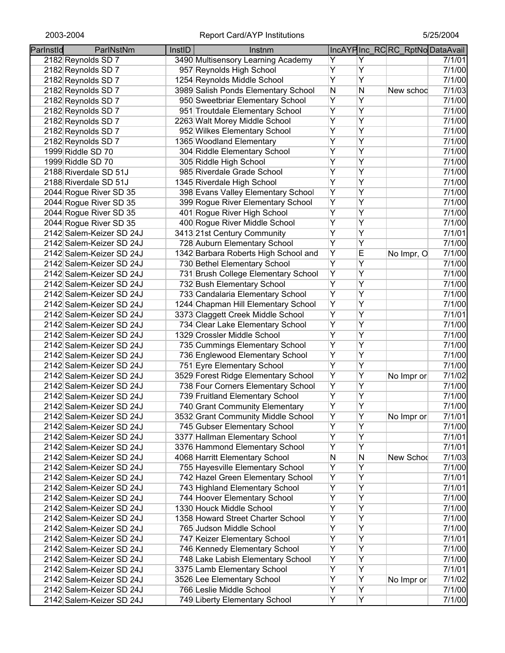| Parlnstld | ParlNstNm                                            | InstID | Instnm                                                 |                |                | IncAYPInc_RCRC_RptNoDataAvail |        |
|-----------|------------------------------------------------------|--------|--------------------------------------------------------|----------------|----------------|-------------------------------|--------|
|           | 2182 Reynolds SD 7                                   |        | 3490 Multisensory Learning Academy                     | Y              | Y              |                               | 7/1/01 |
|           | 2182 Reynolds SD 7                                   |        | 957 Reynolds High School                               | Y              | Ÿ              |                               | 7/1/00 |
|           | 2182 Reynolds SD 7                                   |        | 1254 Reynolds Middle School                            | Ÿ              | $\overline{Y}$ |                               | 7/1/00 |
|           | 2182 Reynolds SD 7                                   |        | 3989 Salish Ponds Elementary School                    | N              | N              | New schoo                     | 7/1/03 |
|           | 2182 Reynolds SD 7                                   |        | 950 Sweetbriar Elementary School                       | Ÿ              | Y              |                               | 7/1/00 |
|           | 2182 Reynolds SD 7                                   |        | 951 Troutdale Elementary School                        | Y              | Y              |                               | 7/1/00 |
|           | 2182 Reynolds SD 7                                   |        | 2263 Walt Morey Middle School                          | Υ              | Y              |                               | 7/1/00 |
|           | 2182 Reynolds SD 7                                   |        | 952 Wilkes Elementary School                           | Υ              | Y              |                               | 7/1/00 |
|           | 2182 Reynolds SD 7                                   |        | 1365 Woodland Elementary                               | Υ              | Y              |                               | 7/1/00 |
|           | 1999 Riddle SD 70                                    |        | 304 Riddle Elementary School                           | Υ              | Y              |                               | 7/1/00 |
|           |                                                      |        | 305 Riddle High School                                 | Y              | Y              |                               | 7/1/00 |
|           | 1999 Riddle SD 70                                    |        | 985 Riverdale Grade School                             | $\overline{Y}$ | Ÿ              |                               | 7/1/00 |
|           | 2188 Riverdale SD 51J                                |        |                                                        | Y              | Y              |                               | 7/1/00 |
|           | 2188 Riverdale SD 51J                                |        | 1345 Riverdale High School                             | Y              | Y              |                               |        |
|           | 2044 Rogue River SD 35                               |        | 398 Evans Valley Elementary School                     |                |                |                               | 7/1/00 |
|           | 2044 Rogue River SD 35                               |        | 399 Rogue River Elementary School                      | Υ              | Y              |                               | 7/1/00 |
|           | 2044 Rogue River SD 35                               |        | 401 Rogue River High School                            | Y              | Y              |                               | 7/1/00 |
|           | 2044 Rogue River SD 35                               |        | 400 Rogue River Middle School                          | Ÿ              | Y              |                               | 7/1/00 |
|           | 2142 Salem-Keizer SD 24J                             |        | 3413 21st Century Community                            | Y              | Y              |                               | 7/1/01 |
|           | 2142 Salem-Keizer SD 24J                             |        | 728 Auburn Elementary School                           | Y              | Y              |                               | 7/1/00 |
|           | 2142 Salem-Keizer SD 24J                             |        | 1342 Barbara Roberts High School and                   | $\overline{Y}$ | E              | No Impr, O                    | 7/1/00 |
|           | 2142 Salem-Keizer SD 24J                             |        | 730 Bethel Elementary School                           | Ÿ              | Y              |                               | 7/1/00 |
|           | 2142 Salem-Keizer SD 24J                             |        | 731 Brush College Elementary School                    | $\overline{Y}$ | Ÿ              |                               | 7/1/00 |
|           | 2142 Salem-Keizer SD 24J                             |        | 732 Bush Elementary School                             | Ÿ              | Y              |                               | 7/1/00 |
|           | 2142 Salem-Keizer SD 24J                             |        | 733 Candalaria Elementary School                       | $\overline{Y}$ | Ÿ              |                               | 7/1/00 |
|           | 2142 Salem-Keizer SD 24J                             |        | 1244 Chapman Hill Elementary School                    | Y              | Y              |                               | 7/1/00 |
|           | 2142 Salem-Keizer SD 24J                             |        | 3373 Claggett Creek Middle School                      | Ÿ              | Y              |                               | 7/1/01 |
|           | 2142 Salem-Keizer SD 24J                             |        | 734 Clear Lake Elementary School                       | Y              | Y              |                               | 7/1/00 |
|           | 2142 Salem-Keizer SD 24J                             |        | 1329 Crossler Middle School                            | $\overline{Y}$ | Ÿ              |                               | 7/1/00 |
|           | 2142 Salem-Keizer SD 24J                             |        | 735 Cummings Elementary School                         | Y              | Y              |                               | 7/1/00 |
|           | 2142 Salem-Keizer SD 24J                             |        | 736 Englewood Elementary School                        | Y              | Y              |                               | 7/1/00 |
|           | 2142 Salem-Keizer SD 24J                             |        | 751 Eyre Elementary School                             | Υ              | Υ              |                               | 7/1/00 |
|           | 2142 Salem-Keizer SD 24J                             |        | 3529 Forest Ridge Elementary School                    | Υ              | Υ              | No Impr or                    | 7/1/02 |
|           | 2142 Salem-Keizer SD 24J                             |        | 738 Four Corners Elementary School                     | Υ              | Y              |                               | 7/1/00 |
|           | 2142 Salem-Keizer SD 24J                             |        | 739 Fruitland Elementary School                        | Υ              | Υ              |                               | 7/1/00 |
|           | 2142 Salem-Keizer SD 24J                             |        | 740 Grant Community Elementary                         | Y              | Y              |                               | 7/1/00 |
|           | 2142 Salem-Keizer SD 24J                             |        | 3532 Grant Community Middle School                     | Υ              | Υ              | No Impr or                    | 7/1/01 |
|           | 2142 Salem-Keizer SD 24J                             |        | 745 Gubser Elementary School                           | $\overline{Y}$ | $\overline{Y}$ |                               | 7/1/00 |
|           | 2142 Salem-Keizer SD 24J                             |        | 3377 Hallman Elementary School                         | $\overline{Y}$ | Ÿ              |                               | 7/1/01 |
|           | 2142 Salem-Keizer SD 24J                             |        | 3376 Hammond Elementary School                         | $\overline{Y}$ | Ÿ              |                               | 7/1/01 |
|           | 2142 Salem-Keizer SD 24J                             |        | 4068 Harritt Elementary School                         | N              | N              | New Schod                     | 7/1/03 |
|           | 2142 Salem-Keizer SD 24J                             |        | 755 Hayesville Elementary School                       | Y              | Ÿ              |                               | 7/1/00 |
|           | 2142 Salem-Keizer SD 24J                             |        | 742 Hazel Green Elementary School                      | Y              | Ÿ              |                               | 7/1/01 |
|           | 2142 Salem-Keizer SD 24J                             |        | 743 Highland Elementary School                         | Y              | Ÿ              |                               | 7/1/01 |
|           | 2142 Salem-Keizer SD 24J                             |        | 744 Hoover Elementary School                           | Y              | Y              |                               | 7/1/00 |
|           | 2142 Salem-Keizer SD 24J                             |        | 1330 Houck Middle School                               | $\overline{Y}$ | Ÿ              |                               | 7/1/00 |
|           | 2142 Salem-Keizer SD 24J                             |        | 1358 Howard Street Charter School                      | Υ              | Ÿ              |                               | 7/1/00 |
|           | 2142 Salem-Keizer SD 24J                             |        | 765 Judson Middle School                               | Y              | Y              |                               | 7/1/00 |
|           | 2142 Salem-Keizer SD 24J                             |        | 747 Keizer Elementary School                           | Υ              | Υ              |                               | 7/1/01 |
|           | 2142 Salem-Keizer SD 24J                             |        | 746 Kennedy Elementary School                          | Υ              | Y              |                               | 7/1/00 |
|           | 2142 Salem-Keizer SD 24J                             |        | 748 Lake Labish Elementary School                      | Υ              | Υ              |                               | 7/1/00 |
|           | 2142 Salem-Keizer SD 24J                             |        | 3375 Lamb Elementary School                            | Y              | Ÿ              |                               | 7/1/01 |
|           |                                                      |        |                                                        | Υ              | Ÿ              |                               |        |
|           | 2142 Salem-Keizer SD 24J<br>2142 Salem-Keizer SD 24J |        | 3526 Lee Elementary School<br>766 Leslie Middle School | Y              | Ÿ              | No Impr or                    | 7/1/02 |
|           |                                                      |        |                                                        |                |                |                               | 7/1/00 |
|           | 2142 Salem-Keizer SD 24J                             |        | 749 Liberty Elementary School                          | Y              | $\overline{Y}$ |                               | 7/1/00 |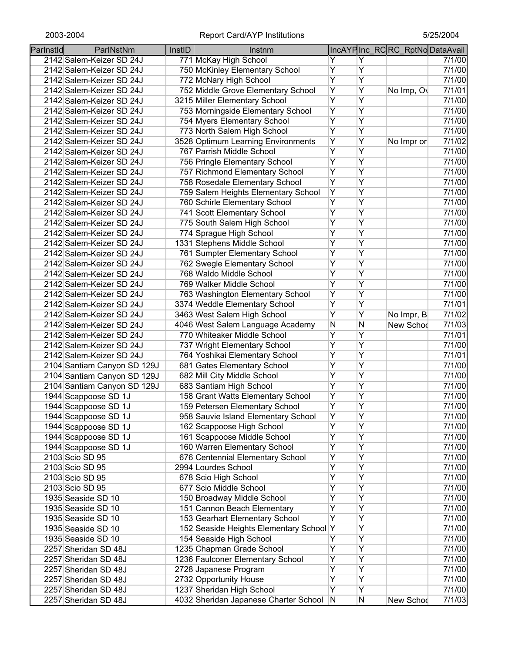| Parlnstld | ParlNstNm                   | InstID | Instnm                                    |                |                | IncAYPInc_RCRC_RptNoDataAvail |        |
|-----------|-----------------------------|--------|-------------------------------------------|----------------|----------------|-------------------------------|--------|
|           | 2142 Salem-Keizer SD 24J    |        | 771 McKay High School                     | Y              | Y              |                               | 7/1/00 |
|           | 2142 Salem-Keizer SD 24J    |        | 750 McKinley Elementary School            | Υ              | Ÿ              |                               | 7/1/00 |
|           | 2142 Salem-Keizer SD 24J    |        | 772 McNary High School                    | Ÿ              | $\overline{Y}$ |                               | 7/1/00 |
|           | 2142 Salem-Keizer SD 24J    |        | 752 Middle Grove Elementary School        | Y              | Ÿ              | No Imp, O                     | 7/1/01 |
|           | 2142 Salem-Keizer SD 24J    |        | 3215 Miller Elementary School             | $\overline{Y}$ | Ÿ              |                               | 7/1/00 |
|           | 2142 Salem-Keizer SD 24J    |        | 753 Morningside Elementary School         | Y              | Ÿ              |                               | 7/1/00 |
|           | 2142 Salem-Keizer SD 24J    |        | 754 Myers Elementary School               | Υ              | Ÿ              |                               | 7/1/00 |
|           | 2142 Salem-Keizer SD 24J    |        | 773 North Salem High School               | $\overline{Y}$ | Ÿ              |                               | 7/1/00 |
|           | 2142 Salem-Keizer SD 24J    |        | 3528 Optimum Learning Environments        | Υ              | Υ              | No Impr or                    | 7/1/02 |
|           | 2142 Salem-Keizer SD 24J    |        | 767 Parrish Middle School                 | $\overline{Y}$ | Y              |                               | 7/1/00 |
|           | 2142 Salem-Keizer SD 24J    |        | 756 Pringle Elementary School             | $\overline{Y}$ | Y              |                               | 7/1/00 |
|           | 2142 Salem-Keizer SD 24J    |        | 757 Richmond Elementary School            | $\overline{Y}$ | Ÿ              |                               | 7/1/00 |
|           | 2142 Salem-Keizer SD 24J    |        | 758 Rosedale Elementary School            | Y              | Y              |                               | 7/1/00 |
|           | 2142 Salem-Keizer SD 24J    |        | 759 Salem Heights Elementary School       | Ÿ              | Ÿ              |                               | 7/1/00 |
|           | 2142 Salem-Keizer SD 24J    |        | 760 Schirle Elementary School             | Υ              | Y              |                               | 7/1/00 |
|           | 2142 Salem-Keizer SD 24J    |        | 741 Scott Elementary School               | Ÿ              | Ÿ              |                               | 7/1/00 |
|           | 2142 Salem-Keizer SD 24J    |        | 775 South Salem High School               | Ÿ              | Ÿ              |                               | 7/1/00 |
|           | 2142 Salem-Keizer SD 24J    |        | 774 Sprague High School                   | Ÿ              | Ÿ              |                               | 7/1/00 |
|           | 2142 Salem-Keizer SD 24J    |        | 1331 Stephens Middle School               | Y              | Ÿ              |                               | 7/1/00 |
|           | 2142 Salem-Keizer SD 24J    |        | 761 Sumpter Elementary School             | $\overline{Y}$ | Ÿ              |                               | 7/1/00 |
|           | 2142 Salem-Keizer SD 24J    |        | 762 Swegle Elementary School              | Y              | Ÿ              |                               | 7/1/00 |
|           | 2142 Salem-Keizer SD 24J    |        | 768 Waldo Middle School                   | $\overline{Y}$ | Ÿ              |                               | 7/1/00 |
|           | 2142 Salem-Keizer SD 24J    |        | 769 Walker Middle School                  | Ÿ              | Ÿ              |                               | 7/1/00 |
|           | 2142 Salem-Keizer SD 24J    |        | 763 Washington Elementary School          | Ÿ              | Ÿ              |                               | 7/1/00 |
|           | 2142 Salem-Keizer SD 24J    |        | 3374 Weddle Elementary School             | Ÿ              | Ÿ              |                               | 7/1/01 |
|           | 2142 Salem-Keizer SD 24J    |        | 3463 West Salem High School               | Ÿ              | Ÿ              | No Impr, B                    | 7/1/02 |
|           | 2142 Salem-Keizer SD 24J    |        | 4046 West Salem Language Academy          | N              | N              | New Schod                     | 7/1/03 |
|           | 2142 Salem-Keizer SD 24J    |        | 770 Whiteaker Middle School               | Y              | Ÿ              |                               | 7/1/01 |
|           | 2142 Salem-Keizer SD 24J    |        | 737 Wright Elementary School              | Ÿ              | Ÿ              |                               | 7/1/00 |
|           | 2142 Salem-Keizer SD 24J    |        | 764 Yoshikai Elementary School            | Y              | Ÿ              |                               | 7/1/01 |
|           | 2104 Santiam Canyon SD 129J |        | 681 Gates Elementary School               | Υ              | Υ              |                               | 7/1/00 |
|           | 2104 Santiam Canyon SD 129J |        | 682 Mill City Middle School               | Υ              | Y              |                               | 7/1/00 |
|           | 2104 Santiam Canyon SD 129J |        | 683 Santiam High School                   | Υ              | Y              |                               | 7/1/00 |
|           | 1944 Scappoose SD 1J        |        | 158 Grant Watts Elementary School         | Y              | Y              |                               | 7/1/00 |
|           | 1944 Scappoose SD 1J        |        | 159 Petersen Elementary School            | Υ              | Ÿ              |                               | 7/1/00 |
|           | 1944 Scappoose SD 1J        |        | 958 Sauvie Island Elementary School       | Υ              | Υ              |                               | 7/1/00 |
|           | 1944 Scappoose SD 1J        |        | 162 Scappoose High School                 | Ÿ              | Ÿ              |                               | 7/1/00 |
|           | 1944 Scappoose SD 1J        |        | 161 Scappoose Middle School               | Ÿ              | Ÿ              |                               | 7/1/00 |
|           | 1944 Scappoose SD 1J        |        | 160 Warren Elementary School              | Ÿ              | Ÿ              |                               | 7/1/00 |
|           | 2103 Scio SD 95             |        | 676 Centennial Elementary School          | Y              | Ÿ              |                               | 7/1/00 |
|           | 2103 Scio SD 95             |        | 2994 Lourdes School                       | Ÿ              | Ÿ              |                               | 7/1/00 |
|           | 2103 Scio SD 95             |        | 678 Scio High School                      | Ÿ              | Ÿ              |                               | 7/1/00 |
|           | 2103 Scio SD 95             |        | 677 Scio Middle School                    | Ÿ              | Ÿ              |                               | 7/1/00 |
|           | 1935 Seaside SD 10          |        | 150 Broadway Middle School                | Y              | Ÿ              |                               | 7/1/00 |
|           | 1935 Seaside SD 10          |        | 151 Cannon Beach Elementary               | Y              | Ÿ              |                               | 7/1/00 |
|           | 1935 Seaside SD 10          |        | 153 Gearhart Elementary School            | Y              | Ÿ              |                               | 7/1/00 |
|           | 1935 Seaside SD 10          |        | 152 Seaside Heights Elementary School Y   |                | Y              |                               | 7/1/00 |
|           | 1935 Seaside SD 10          |        | 154 Seaside High School                   | Υ              | Υ              |                               | 7/1/00 |
|           | 2257 Sheridan SD 48J        |        | 1235 Chapman Grade School                 | Υ              | Ÿ              |                               | 7/1/00 |
|           | 2257 Sheridan SD 48J        |        | 1236 Faulconer Elementary School          | Y              | Υ              |                               | 7/1/00 |
|           | 2257 Sheridan SD 48J        |        | 2728 Japanese Program                     | Υ              | Ÿ              |                               | 7/1/00 |
|           | 2257 Sheridan SD 48J        |        | 2732 Opportunity House                    | Ÿ              | Ÿ              |                               | 7/1/00 |
|           | 2257 Sheridan SD 48J        |        | 1237 Sheridan High School                 | Y              | Ÿ              |                               | 7/1/00 |
|           | 2257 Sheridan SD 48J        |        | 4032 Sheridan Japanese Charter School   N |                | N              | New Schod                     | 7/1/03 |
|           |                             |        |                                           |                |                |                               |        |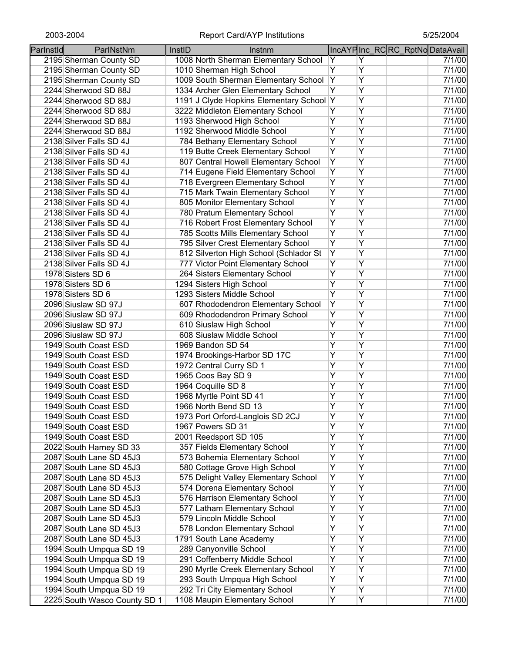| Parlnstld | ParlNstNm                    | InstID | Instnm                                   |                         |                | IncAYPInc_RCRC_RptNoDataAvail |        |
|-----------|------------------------------|--------|------------------------------------------|-------------------------|----------------|-------------------------------|--------|
|           | 2195 Sherman County SD       |        | 1008 North Sherman Elementary School     | Y                       | Y              |                               | 7/1/00 |
|           | 2195 Sherman County SD       |        | 1010 Sherman High School                 | Ÿ                       | $\overline{Y}$ |                               | 7/1/00 |
|           | 2195 Sherman County SD       |        | 1009 South Sherman Elementary School     | Υ                       | $\overline{Y}$ |                               | 7/1/00 |
|           | 2244 Sherwood SD 88J         |        | 1334 Archer Glen Elementary School       | $\overline{Y}$          | $\overline{Y}$ |                               | 7/1/00 |
|           | 2244 Sherwood SD 88J         |        | 1191 J Clyde Hopkins Elementary School Y |                         | $\overline{Y}$ |                               | 7/1/00 |
|           | 2244 Sherwood SD 88J         |        | 3222 Middleton Elementary School         | Ÿ                       | Y              |                               | 7/1/00 |
|           | 2244 Sherwood SD 88J         |        | 1193 Sherwood High School                | Ÿ                       | Y              |                               | 7/1/00 |
|           | 2244 Sherwood SD 88J         |        | 1192 Sherwood Middle School              | Υ                       | $\overline{Y}$ |                               | 7/1/00 |
|           | 2138 Silver Falls SD 4J      |        | 784 Bethany Elementary School            | Ÿ                       | Ÿ              |                               | 7/1/00 |
|           | 2138 Silver Falls SD 4J      |        | 119 Butte Creek Elementary School        | Ÿ                       | $\overline{Y}$ |                               | 7/1/00 |
|           | 2138 Silver Falls SD 4J      |        | 807 Central Howell Elementary School     | Ÿ                       | Y              |                               | 7/1/00 |
|           | 2138 Silver Falls SD 4J      |        | 714 Eugene Field Elementary School       | Ÿ                       | $\overline{Y}$ |                               | 7/1/00 |
|           | 2138 Silver Falls SD 4J      |        | 718 Evergreen Elementary School          | Ÿ                       | $\overline{Y}$ |                               | 7/1/00 |
|           | 2138 Silver Falls SD 4J      |        | 715 Mark Twain Elementary School         | Ÿ                       | $\overline{Y}$ |                               | 7/1/00 |
|           | 2138 Silver Falls SD 4J      |        | 805 Monitor Elementary School            | $\overline{\mathsf{Y}}$ | $\overline{Y}$ |                               | 7/1/00 |
|           | 2138 Silver Falls SD 4J      |        | 780 Pratum Elementary School             | Ÿ                       | Y              |                               | 7/1/00 |
|           | 2138 Silver Falls SD 4J      |        | 716 Robert Frost Elementary School       | Ÿ                       | Y              |                               | 7/1/00 |
|           | 2138 Silver Falls SD 4J      |        | 785 Scotts Mills Elementary School       | $\overline{Y}$          | Y              |                               | 7/1/00 |
|           | 2138 Silver Falls SD 4J      |        | 795 Silver Crest Elementary School       | Ÿ                       | $\overline{Y}$ |                               | 7/1/00 |
|           | 2138 Silver Falls SD 4J      |        | 812 Silverton High School (Schlador St   | Y                       | $\overline{Y}$ |                               | 7/1/00 |
|           |                              |        |                                          | Ÿ                       | $\overline{Y}$ |                               | 7/1/00 |
|           | 2138 Silver Falls SD 4J      |        | 777 Victor Point Elementary School       | Ÿ                       | $\overline{Y}$ |                               |        |
|           | 1978 Sisters SD 6            |        | 264 Sisters Elementary School            | $\overline{Y}$          | $\overline{Y}$ |                               | 7/1/00 |
|           | 1978 Sisters SD 6            |        | 1294 Sisters High School                 |                         |                |                               | 7/1/00 |
|           | 1978 Sisters SD 6            |        | 1293 Sisters Middle School               | $\overline{Y}$          | $\overline{Y}$ |                               | 7/1/00 |
|           | 2096 Siuslaw SD 97J          |        | 607 Rhododendron Elementary School       | $\overline{Y}$          | Ÿ              |                               | 7/1/00 |
|           | 2096 Siuslaw SD 97J          |        | 609 Rhododendron Primary School          | Ÿ                       | Ÿ              |                               | 7/1/00 |
|           | 2096 Siuslaw SD 97J          |        | 610 Siuslaw High School                  | Ÿ                       | Ÿ              |                               | 7/1/00 |
|           | 2096 Siuslaw SD 97J          |        | 608 Siuslaw Middle School                | Ÿ                       | $\overline{Y}$ |                               | 7/1/00 |
|           | 1949 South Coast ESD         |        | 1969 Bandon SD 54                        | Ÿ                       | $\overline{Y}$ |                               | 7/1/00 |
|           | 1949 South Coast ESD         |        | 1974 Brookings-Harbor SD 17C             | Ÿ                       | Ÿ              |                               | 7/1/00 |
|           | 1949 South Coast ESD         |        | 1972 Central Curry SD 1                  | Ÿ                       | Y              |                               | 7/1/00 |
|           | 1949 South Coast ESD         |        | 1965 Coos Bay SD 9                       | Ÿ                       | Y              |                               | 7/1/00 |
|           | 1949 South Coast ESD         |        | 1964 Coquille SD 8                       | Υ                       | Υ              |                               | 7/1/00 |
|           | 1949 South Coast ESD         |        | 1968 Myrtle Point SD 41                  | Υ                       | Y              |                               | 7/1/00 |
|           | 1949 South Coast ESD         |        | 1966 North Bend SD 13                    | Y                       | $\overline{Y}$ |                               | 7/1/00 |
|           | 1949 South Coast ESD         |        | 1973 Port Orford-Langlois SD 2CJ         | Y                       | Y              |                               | 7/1/00 |
|           | 1949 South Coast ESD         |        | 1967 Powers SD 31                        | Y                       | Ÿ              |                               | 7/1/00 |
|           | 1949 South Coast ESD         |        | 2001 Reedsport SD 105                    | Ÿ                       | $\overline{Y}$ |                               | 7/1/00 |
|           | 2022 South Harney SD 33      |        | 357 Fields Elementary School             | Ÿ                       | Ÿ              |                               | 7/1/00 |
|           | 2087 South Lane SD 45J3      |        | 573 Bohemia Elementary School            | Ÿ                       | Y              |                               | 7/1/00 |
|           | 2087 South Lane SD 45J3      |        | 580 Cottage Grove High School            | Y                       | Ÿ              |                               | 7/1/00 |
|           | 2087 South Lane SD 45J3      |        | 575 Delight Valley Elementary School     | Y                       | Ÿ              |                               | 7/1/00 |
|           | 2087 South Lane SD 45J3      |        | 574 Dorena Elementary School             | Ÿ                       | Ÿ              |                               | 7/1/00 |
|           | 2087 South Lane SD 45J3      |        | 576 Harrison Elementary School           | Ÿ                       | Ÿ              |                               | 7/1/00 |
|           | 2087 South Lane SD 45J3      |        | 577 Latham Elementary School             | Υ                       | Y              |                               | 7/1/00 |
|           | 2087 South Lane SD 45J3      |        | 579 Lincoln Middle School                | Ÿ                       | Y              |                               | 7/1/00 |
|           | 2087 South Lane SD 45J3      |        | 578 London Elementary School             | Y                       | Y              |                               | 7/1/00 |
|           | 2087 South Lane SD 45J3      |        | 1791 South Lane Academy                  | Ϋ                       | Y              |                               | 7/1/00 |
|           | 1994 South Umpqua SD 19      |        | 289 Canyonville School                   | Υ                       | Υ              |                               | 7/1/00 |
|           | 1994 South Umpqua SD 19      |        | 291 Coffenberry Middle School            | Υ                       | Υ              |                               | 7/1/00 |
|           | 1994 South Umpqua SD 19      |        | 290 Myrtle Creek Elementary School       | Υ                       | Υ              |                               | 7/1/00 |
|           | 1994 South Umpqua SD 19      |        | 293 South Umpqua High School             | Y                       | Υ              |                               | 7/1/00 |
|           | 1994 South Umpqua SD 19      |        | 292 Tri City Elementary School           | Υ                       | Υ              |                               | 7/1/00 |
|           | 2225 South Wasco County SD 1 |        | 1108 Maupin Elementary School            | Y                       | $\overline{Y}$ |                               | 7/1/00 |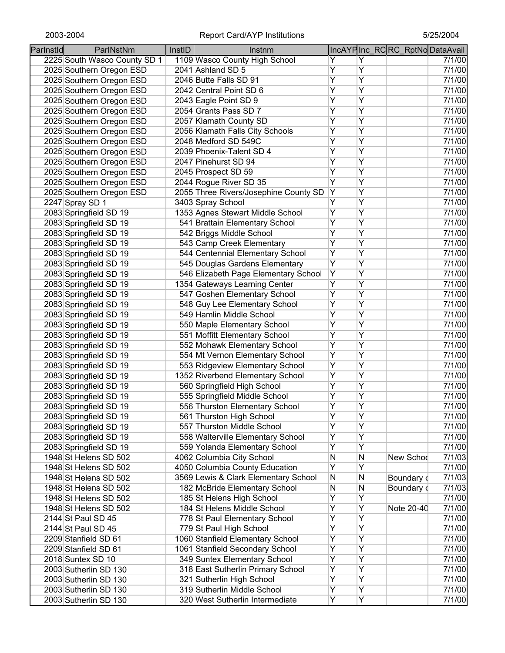| Parlnstld | ParlNstNm                    | InstID | Instnm                                |                |   | IncAYPInc_RCRC_RptNoDataAvail |        |
|-----------|------------------------------|--------|---------------------------------------|----------------|---|-------------------------------|--------|
|           | 2225 South Wasco County SD 1 |        | 1109 Wasco County High School         | Y              | Y |                               | 7/1/00 |
|           | 2025 Southern Oregon ESD     |        | 2041 Ashland SD 5                     | Υ              | Ÿ |                               | 7/1/00 |
|           | 2025 Southern Oregon ESD     |        | 2046 Butte Falls SD 91                | Ÿ              | Ÿ |                               | 7/1/00 |
|           | 2025 Southern Oregon ESD     |        | 2042 Central Point SD 6               | Ÿ              | Ÿ |                               | 7/1/00 |
|           | 2025 Southern Oregon ESD     |        | 2043 Eagle Point SD 9                 | Ÿ              | Ÿ |                               | 7/1/00 |
|           | 2025 Southern Oregon ESD     |        | 2054 Grants Pass SD 7                 | Ÿ              | Y |                               | 7/1/00 |
|           | 2025 Southern Oregon ESD     |        | 2057 Klamath County SD                | Υ              | Y |                               | 7/1/00 |
|           | 2025 Southern Oregon ESD     |        | 2056 Klamath Falls City Schools       | Υ              | Y |                               | 7/1/00 |
|           | 2025 Southern Oregon ESD     |        | 2048 Medford SD 549C                  | Υ              | Y |                               | 7/1/00 |
|           | 2025 Southern Oregon ESD     |        | 2039 Phoenix-Talent SD 4              | Y              | Y |                               | 7/1/00 |
|           | 2025 Southern Oregon ESD     |        | 2047 Pinehurst SD 94                  | Y              | Y |                               | 7/1/00 |
|           | 2025 Southern Oregon ESD     |        | 2045 Prospect SD 59                   | $\overline{Y}$ | Ÿ |                               | 7/1/00 |
|           | 2025 Southern Oregon ESD     |        | 2044 Rogue River SD 35                | Ÿ              | Y |                               | 7/1/00 |
|           | 2025 Southern Oregon ESD     |        | 2055 Three Rivers/Josephine County SD | Υ              | Ÿ |                               | 7/1/00 |
|           | 2247 Spray SD 1              |        | 3403 Spray School                     | Υ              | Y |                               | 7/1/00 |
|           | 2083 Springfield SD 19       |        | 1353 Agnes Stewart Middle School      | Υ              | Ÿ |                               | 7/1/00 |
|           | 2083 Springfield SD 19       |        | 541 Brattain Elementary School        | Υ              | Υ |                               | 7/1/00 |
|           | 2083 Springfield SD 19       |        | 542 Briggs Middle School              | Ÿ              | Ÿ |                               | 7/1/00 |
|           | 2083 Springfield SD 19       |        | 543 Camp Creek Elementary             | Y              | Ÿ |                               | 7/1/00 |
|           | 2083 Springfield SD 19       |        | 544 Centennial Elementary School      | $\overline{Y}$ | Ÿ |                               | 7/1/00 |
|           | 2083 Springfield SD 19       |        | 545 Douglas Gardens Elementary        | Y              | Ÿ |                               | 7/1/00 |
|           | 2083 Springfield SD 19       |        | 546 Elizabeth Page Elementary School  | Y              | Ÿ |                               | 7/1/00 |
|           | 2083 Springfield SD 19       |        | 1354 Gateways Learning Center         | Υ              | Ÿ |                               | 7/1/00 |
|           | 2083 Springfield SD 19       |        | 547 Goshen Elementary School          | Ÿ              | Ÿ |                               | 7/1/00 |
|           | 2083 Springfield SD 19       |        | 548 Guy Lee Elementary School         | Ÿ              | Y |                               | 7/1/00 |
|           | 2083 Springfield SD 19       |        | 549 Hamlin Middle School              | Ÿ              | Y |                               | 7/1/00 |
|           | 2083 Springfield SD 19       |        | 550 Maple Elementary School           | Y              | Y |                               | 7/1/00 |
|           | 2083 Springfield SD 19       |        | 551 Moffitt Elementary School         | Y              | Ÿ |                               | 7/1/00 |
|           | 2083 Springfield SD 19       |        | 552 Mohawk Elementary School          | Y              | Ÿ |                               | 7/1/00 |
|           | 2083 Springfield SD 19       |        | 554 Mt Vernon Elementary School       | Ϋ              | Ÿ |                               | 7/1/00 |
|           | 2083 Springfield SD 19       |        | 553 Ridgeview Elementary School       | Υ              | Υ |                               | 7/1/00 |
|           | 2083 Springfield SD 19       |        | 1352 Riverbend Elementary School      | Υ              | Υ |                               | 7/1/00 |
|           | 2083 Springfield SD 19       |        | 560 Springfield High School           | Υ              | Y |                               | 7/1/00 |
|           | 2083 Springfield SD 19       |        | 555 Springfield Middle School         | Υ              | Υ |                               | 7/1/00 |
|           | 2083 Springfield SD 19       |        | 556 Thurston Elementary School        | Υ              | Ÿ |                               | 7/1/00 |
|           | 2083 Springfield SD 19       |        | 561 Thurston High School              | Y              | Ÿ |                               | 7/1/00 |
|           | 2083 Springfield SD 19       |        | 557 Thurston Middle School            | $\overline{Y}$ | Ÿ |                               | 7/1/00 |
|           | 2083 Springfield SD 19       |        | 558 Walterville Elementary School     | Y              | Ÿ |                               | 7/1/00 |
|           | 2083 Springfield SD 19       |        | 559 Yolanda Elementary School         | Y              | Ÿ |                               | 7/1/00 |
|           | 1948 St Helens SD 502        |        | 4062 Columbia City School             | N              | Ν | New Schod                     | 7/1/03 |
|           | 1948 St Helens SD 502        |        | 4050 Columbia County Education        | Y              | Ÿ |                               | 7/1/00 |
|           | 1948 St Helens SD 502        |        | 3569 Lewis & Clark Elementary School  | N              | N | Boundary d                    | 7/1/03 |
|           | 1948 St Helens SD 502        |        | 182 McBride Elementary School         | N              | N | Boundary of                   | 7/1/03 |
|           | 1948 St Helens SD 502        |        | 185 St Helens High School             | Υ              | Ÿ |                               | 7/1/00 |
|           | 1948 St Helens SD 502        |        | 184 St Helens Middle School           | $\overline{Y}$ | Ÿ | Note 20-40                    | 7/1/00 |
|           | 2144 St Paul SD 45           |        | 778 St Paul Elementary School         | Υ              | Ÿ |                               | 7/1/00 |
|           | 2144 St Paul SD 45           |        | 779 St Paul High School               | Ÿ              | Y |                               | 7/1/00 |
|           | 2209 Stanfield SD 61         |        | 1060 Stanfield Elementary School      | Υ              | Υ |                               | 7/1/00 |
|           | 2209 Stanfield SD 61         |        | 1061 Stanfield Secondary School       | Υ              | Y |                               | 7/1/00 |
|           | 2018 Suntex SD 10            |        | 349 Suntex Elementary School          | Υ              | Υ |                               | 7/1/00 |
|           | 2003 Sutherlin SD 130        |        | 318 East Sutherlin Primary School     | Υ              | Ÿ |                               | 7/1/00 |
|           | 2003 Sutherlin SD 130        |        | 321 Sutherlin High School             | Υ              | Ÿ |                               | 7/1/00 |
|           | 2003 Sutherlin SD 130        |        | 319 Sutherlin Middle School           | Y              | Ÿ |                               | 7/1/00 |
|           | 2003 Sutherlin SD 130        |        | 320 West Sutherlin Intermediate       | Υ              | Y |                               | 7/1/00 |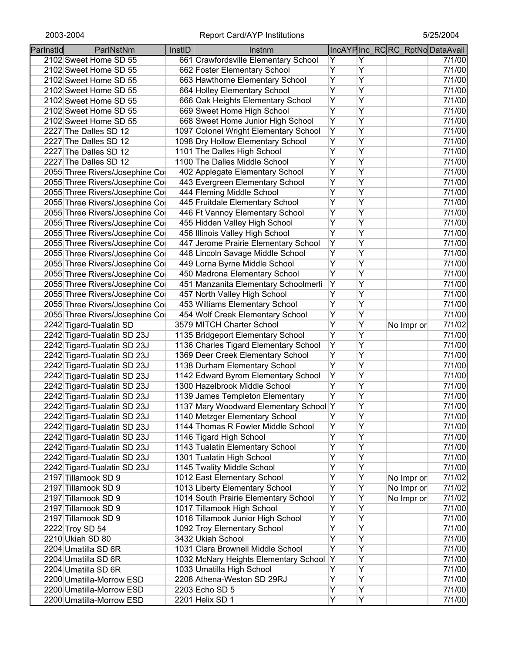| Parlnstld | ParlNstNm                       | InstID | Instnm                                 |   |   | IncAYPInc_RCRC_RptNoDataAvail |        |
|-----------|---------------------------------|--------|----------------------------------------|---|---|-------------------------------|--------|
|           | 2102 Sweet Home SD 55           |        | 661 Crawfordsville Elementary School   | Y | Y |                               | 7/1/00 |
|           | 2102 Sweet Home SD 55           |        | 662 Foster Elementary School           | Υ | Υ |                               | 7/1/00 |
|           | 2102 Sweet Home SD 55           |        | 663 Hawthorne Elementary School        | Υ | Υ |                               | 7/1/00 |
|           | 2102 Sweet Home SD 55           |        | 664 Holley Elementary School           | Υ | Ÿ |                               | 7/1/00 |
|           | 2102 Sweet Home SD 55           |        | 666 Oak Heights Elementary School      | Υ | Ÿ |                               | 7/1/00 |
|           | 2102 Sweet Home SD 55           |        | 669 Sweet Home High School             | Ÿ | Ÿ |                               | 7/1/00 |
|           | 2102 Sweet Home SD 55           |        | 668 Sweet Home Junior High School      | Υ | Y |                               | 7/1/00 |
|           | 2227 The Dalles SD 12           |        | 1097 Colonel Wright Elementary School  | Υ | Y |                               | 7/1/00 |
|           | 2227 The Dalles SD 12           |        | 1098 Dry Hollow Elementary School      | Υ | Y |                               | 7/1/00 |
|           | 2227 The Dalles SD 12           |        | 1101 The Dalles High School            | Υ | Y |                               | 7/1/00 |
|           | 2227 The Dalles SD 12           |        | 1100 The Dalles Middle School          | Ÿ | Ÿ |                               | 7/1/00 |
|           | 2055 Three Rivers/Josephine Col |        | 402 Applegate Elementary School        | Ÿ | Ÿ |                               | 7/1/00 |
|           | 2055 Three Rivers/Josephine Col |        | 443 Evergreen Elementary School        | Y | Y |                               | 7/1/00 |
|           | 2055 Three Rivers/Josephine Col |        | 444 Fleming Middle School              | Y | Y |                               | 7/1/00 |
|           | 2055 Three Rivers/Josephine Col |        | 445 Fruitdale Elementary School        | Y | Ÿ |                               | 7/1/00 |
|           | 2055 Three Rivers/Josephine Col |        | 446 Ft Vannoy Elementary School        | Y | Y |                               | 7/1/00 |
|           | 2055 Three Rivers/Josephine Col |        | 455 Hidden Valley High School          | Y | Ÿ |                               | 7/1/00 |
|           | 2055 Three Rivers/Josephine Col |        | 456 Illinois Valley High School        | Υ | Y |                               | 7/1/00 |
|           | 2055 Three Rivers/Josephine Col |        | 447 Jerome Prairie Elementary School   | Υ | Υ |                               | 7/1/00 |
|           | 2055 Three Rivers/Josephine Col |        | 448 Lincoln Savage Middle School       | Υ | Υ |                               | 7/1/00 |
|           | 2055 Three Rivers/Josephine Col |        | 449 Lorna Byrne Middle School          | Ÿ | Ÿ |                               | 7/1/00 |
|           | 2055 Three Rivers/Josephine Col |        | 450 Madrona Elementary School          | Y | Ÿ |                               | 7/1/00 |
|           | 2055 Three Rivers/Josephine Cor |        | 451 Manzanita Elementary Schoolmerli   | Y | Ÿ |                               | 7/1/00 |
|           | 2055 Three Rivers/Josephine Cor |        | 457 North Valley High School           | Y | Ÿ |                               | 7/1/00 |
|           | 2055 Three Rivers/Josephine Cor |        | 453 Williams Elementary School         | Ÿ | Ÿ |                               | 7/1/00 |
|           | 2055 Three Rivers/Josephine Cor |        | 454 Wolf Creek Elementary School       | Y | Ÿ |                               | 7/1/00 |
|           | 2242 Tigard-Tualatin SD         |        | 3579 MITCH Charter School              | Ÿ | Ÿ | No Impr or                    | 7/1/02 |
|           | 2242 Tigard-Tualatin SD 23J     |        | 1135 Bridgeport Elementary School      | Ÿ | Y |                               | 7/1/00 |
|           | 2242 Tigard-Tualatin SD 23J     |        | 1136 Charles Tigard Elementary School  | Y | Ÿ |                               | 7/1/00 |
|           | 2242 Tigard-Tualatin SD 23J     |        | 1369 Deer Creek Elementary School      | Y | Y |                               | 7/1/00 |
|           | 2242 Tigard-Tualatin SD 23J     |        | 1138 Durham Elementary School          | Y | Y |                               | 7/1/00 |
|           | 2242 Tigard-Tualatin SD 23J     |        | 1142 Edward Byrom Elementary School    | Υ | Y |                               | 7/1/00 |
|           | 2242 Tigard-Tualatin SD 23J     |        | 1300 Hazelbrook Middle School          | Υ | Υ |                               | 7/1/00 |
|           | 2242 Tigard-Tualatin SD 23J     |        | 1139 James Templeton Elementary        | Y | Υ |                               | 7/1/00 |
|           | 2242 Tigard-Tualatin SD 23J     |        | 1137 Mary Woodward Elementary School Y |   | Y |                               | 7/1/00 |
|           | 2242 Tigard-Tualatin SD 23J     |        | 1140 Metzger Elementary School         | Y | Y |                               | 7/1/00 |
|           | 2242 Tigard-Tualatin SD 23J     |        | 1144 Thomas R Fowler Middle School     | Ÿ | Υ |                               | 7/1/00 |
|           | 2242 Tigard-Tualatin SD 23J     |        | 1146 Tigard High School                | Υ | Ÿ |                               | 7/1/00 |
|           | 2242 Tigard-Tualatin SD 23J     |        | 1143 Tualatin Elementary School        | Y | Ÿ |                               | 7/1/00 |
|           | 2242 Tigard-Tualatin SD 23J     |        | 1301 Tualatin High School              | Ÿ | Ÿ |                               | 7/1/00 |
|           | 2242 Tigard-Tualatin SD 23J     |        | 1145 Twality Middle School             | Y | Ÿ |                               | 7/1/00 |
|           | 2197 Tillamook SD 9             |        | 1012 East Elementary School            | Y | Ÿ | No Impr or                    | 7/1/02 |
|           | 2197 Tillamook SD 9             |        | 1013 Liberty Elementary School         | Υ | Υ | No Impr or                    | 7/1/02 |
|           | 2197 Tillamook SD 9             |        | 1014 South Prairie Elementary School   | Υ | Ÿ | No Impr or                    | 7/1/02 |
|           | 2197 Tillamook SD 9             |        | 1017 Tillamook High School             | Ÿ | Ÿ |                               | 7/1/00 |
|           | 2197 Tillamook SD 9             |        | 1016 Tillamook Junior High School      | Ÿ | Ÿ |                               | 7/1/00 |
|           | 2222 Troy SD 54                 |        | 1092 Troy Elementary School            | Υ | Ÿ |                               | 7/1/00 |
|           | 2210 Ukiah SD 80                |        | 3432 Ukiah School                      | Y | Ÿ |                               | 7/1/00 |
|           | 2204 Umatilla SD 6R             |        | 1031 Clara Brownell Middle School      | Υ | Ÿ |                               | 7/1/00 |
|           | 2204 Umatilla SD 6R             |        | 1032 McNary Heights Elementary School  | Y | Υ |                               | 7/1/00 |
|           | 2204 Umatilla SD 6R             |        | 1033 Umatilla High School              | Υ | Υ |                               | 7/1/00 |
|           | 2200 Umatilla-Morrow ESD        |        | 2208 Athena-Weston SD 29RJ             | Υ | Y |                               | 7/1/00 |
|           | 2200 Umatilla-Morrow ESD        |        | 2203 Echo SD 5                         | Υ | Υ |                               | 7/1/00 |
|           | 2200 Umatilla-Morrow ESD        |        | 2201 Helix SD 1                        | Y | Υ |                               | 7/1/00 |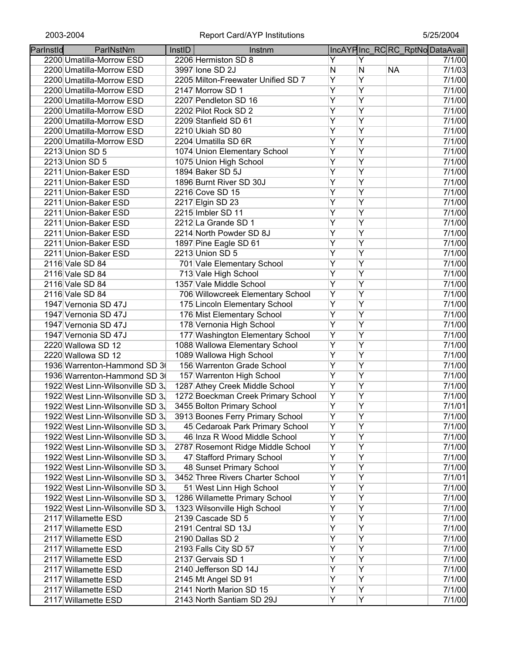| Parlnstld | ParlNstNm                                                            | InstID | Instnm                                                               |                     |                         | IncAYPInc_RCRC_RptNoDataAvail |                  |
|-----------|----------------------------------------------------------------------|--------|----------------------------------------------------------------------|---------------------|-------------------------|-------------------------------|------------------|
|           | 2200 Umatilla-Morrow ESD                                             |        | 2206 Hermiston SD 8                                                  | Y                   | Y                       |                               | 7/1/00           |
|           | 2200 Umatilla-Morrow ESD                                             |        | 3997 Ione SD 2J                                                      | N                   | N                       | <b>NA</b>                     | 7/1/03           |
|           | 2200 Umatilla-Morrow ESD                                             |        | 2205 Milton-Freewater Unified SD 7                                   | Y                   | Ÿ                       |                               | 7/1/00           |
|           | 2200 Umatilla-Morrow ESD                                             |        | 2147 Morrow SD 1                                                     | $\overline{Y}$      | Ÿ                       |                               | 7/1/00           |
|           | 2200 Umatilla-Morrow ESD                                             |        | 2207 Pendleton SD 16                                                 | $\overline{Y}$      | $\overline{Y}$          |                               | 7/1/00           |
|           | 2200 Umatilla-Morrow ESD                                             |        | 2202 Pilot Rock SD 2                                                 | Ÿ                   | $\overline{Y}$          |                               | 7/1/00           |
|           | 2200 Umatilla-Morrow ESD                                             |        | 2209 Stanfield SD 61                                                 | $\overline{Y}$      | Ÿ                       |                               | 7/1/00           |
|           | 2200 Umatilla-Morrow ESD                                             |        | 2210 Ukiah SD 80                                                     | $\overline{Y}$      | $\overline{\mathsf{Y}}$ |                               | 7/1/00           |
|           | 2200 Umatilla-Morrow ESD                                             |        | 2204 Umatilla SD 6R                                                  | $\overline{Y}$      | Ÿ                       |                               | 7/1/00           |
|           | 2213 Union SD 5                                                      |        | 1074 Union Elementary School                                         | $\overline{Y}$      | Ÿ                       |                               | 7/1/00           |
|           | 2213 Union SD 5                                                      |        | 1075 Union High School                                               | $\overline{Y}$      | Ÿ                       |                               | 7/1/00           |
|           | 2211 Union-Baker ESD                                                 |        | 1894 Baker SD 5J                                                     | $\overline{Y}$      | $\overline{\mathsf{Y}}$ |                               | 7/1/00           |
|           | 2211 Union-Baker ESD                                                 |        | 1896 Burnt River SD 30J                                              | $\overline{Y}$      | Ÿ                       |                               | 7/1/00           |
|           | 2211 Union-Baker ESD                                                 |        | 2216 Cove SD 15                                                      | $\overline{Y}$      | Ÿ                       |                               | 7/1/00           |
|           | 2211 Union-Baker ESD                                                 |        | 2217 Elgin SD 23                                                     | $\overline{Y}$      | Ÿ                       |                               | 7/1/00           |
|           | 2211 Union-Baker ESD                                                 |        | 2215 Imbler SD 11                                                    | $\overline{Y}$      | Ÿ                       |                               | 7/1/00           |
|           | 2211 Union-Baker ESD                                                 |        | 2212 La Grande SD 1                                                  | $\overline{Y}$      | Ÿ                       |                               | 7/1/00           |
|           | 2211 Union-Baker ESD                                                 |        | 2214 North Powder SD 8J                                              | $\overline{Y}$      | Ÿ                       |                               | 7/1/00           |
|           | 2211 Union-Baker ESD                                                 |        | 1897 Pine Eagle SD 61                                                | Ÿ                   | Ÿ                       |                               | 7/1/00           |
|           | 2211 Union-Baker ESD                                                 |        | 2213 Union SD 5                                                      | Ÿ                   | Ÿ                       |                               | 7/1/00           |
|           | 2116 Vale SD 84                                                      |        | 701 Vale Elementary School                                           | Ÿ                   | Ÿ                       |                               | 7/1/00           |
|           | 2116 Vale SD 84                                                      |        | 713 Vale High School                                                 | $\overline{Y}$      | Ÿ                       |                               | 7/1/00           |
|           | 2116 Vale SD 84                                                      |        | 1357 Vale Middle School                                              | $\overline{Y}$      | $\overline{Y}$          |                               | 7/1/00           |
|           | 2116 Vale SD 84                                                      |        | 706 Willowcreek Elementary School                                    | $\overline{Y}$      | $\overline{\mathsf{Y}}$ |                               | 7/1/00           |
|           | 1947 Vernonia SD 47J                                                 |        | 175 Lincoln Elementary School                                        | Ÿ                   | Ÿ                       |                               | 7/1/00           |
|           | 1947 Vernonia SD 47J                                                 |        | 176 Mist Elementary School                                           | $\overline{Y}$      | Ÿ                       |                               | 7/1/00           |
|           | 1947 Vernonia SD 47J                                                 |        | 178 Vernonia High School                                             | $\overline{Y}$      | Ÿ                       |                               | 7/1/00           |
|           | 1947 Vernonia SD 47J                                                 |        | 177 Washington Elementary School                                     | $\overline{Y}$      | Ÿ                       |                               | 7/1/00           |
|           | 2220 Wallowa SD 12                                                   |        | 1088 Wallowa Elementary School                                       | Ÿ<br>Ÿ              | Ÿ<br>Ÿ                  |                               | 7/1/00           |
|           | 2220 Wallowa SD 12                                                   |        | 1089 Wallowa High School                                             |                     | Ÿ                       |                               | 7/1/00           |
|           | 1936 Warrenton-Hammond SD 30<br>1936 Warrenton-Hammond SD 3          |        | 156 Warrenton Grade School                                           | Y<br>$\overline{Y}$ | $\overline{\mathsf{Y}}$ |                               | 7/1/00           |
|           |                                                                      |        | 157 Warrenton High School                                            | $\overline{Y}$      | Ÿ                       |                               | 7/1/00<br>7/1/00 |
|           | 1922 West Linn-Wilsonville SD 3.<br>1922 West Linn-Wilsonville SD 3. |        | 1287 Athey Creek Middle School<br>1272 Boeckman Creek Primary School | Υ                   | Ÿ                       |                               | 7/1/00           |
|           | 1922 West Linn-Wilsonville SD 3.                                     |        | 3455 Bolton Primary School                                           | Ÿ                   | Ÿ                       |                               | 7/1/01           |
|           | 1922 West Linn-Wilsonville SD 3.                                     |        | 3913 Boones Ferry Primary School                                     | Y                   | Y                       |                               | 7/1/00           |
|           | 1922 West Linn-Wilsonville SD 3.                                     |        | 45 Cedaroak Park Primary School                                      | Ÿ                   | Ÿ                       |                               | 7/1/00           |
|           | 1922 West Linn-Wilsonville SD 3.                                     |        | 46 Inza R Wood Middle School                                         | Ÿ                   | Ÿ                       |                               | 7/1/00           |
|           | 1922 West Linn-Wilsonville SD 3.                                     |        | 2787 Rosemont Ridge Middle School                                    | Ϋ                   | Ÿ                       |                               | 7/1/00           |
|           | 1922 West Linn-Wilsonville SD 3.                                     |        | 47 Stafford Primary School                                           | Ϋ                   | Y                       |                               | 7/1/00           |
|           | 1922 West Linn-Wilsonville SD 3.                                     |        | 48 Sunset Primary School                                             | $\overline{Y}$      | Ÿ                       |                               | 7/1/00           |
|           | 1922 West Linn-Wilsonville SD 3.                                     |        | 3452 Three Rivers Charter School                                     | Y                   | Ÿ                       |                               | 7/1/01           |
|           | 1922 West Linn-Wilsonville SD 3.                                     |        | 51 West Linn High School                                             | $\overline{Y}$      | Ÿ                       |                               | 7/1/00           |
|           | 1922 West Linn-Wilsonville SD 3.                                     |        | 1286 Willamette Primary School                                       | Y                   | Ÿ                       |                               | 7/1/00           |
|           | 1922 West Linn-Wilsonville SD 3.                                     |        | 1323 Wilsonville High School                                         | Ÿ                   | Ÿ                       |                               | 7/1/00           |
|           | 2117 Willamette ESD                                                  |        | 2139 Cascade SD 5                                                    | Ÿ                   | Ÿ                       |                               | 7/1/00           |
|           | 2117 Willamette ESD                                                  |        | 2191 Central SD 13J                                                  | Ÿ                   | Ÿ                       |                               | 7/1/00           |
|           | 2117 Willamette ESD                                                  |        | 2190 Dallas SD 2                                                     | Y                   | Ÿ                       |                               | 7/1/00           |
|           | 2117 Willamette ESD                                                  |        | 2193 Falls City SD 57                                                | Ÿ                   | Ÿ                       |                               | 7/1/00           |
|           | 2117 Willamette ESD                                                  |        | 2137 Gervais SD 1                                                    | Ÿ                   | Ÿ                       |                               | 7/1/00           |
|           | 2117 Willamette ESD                                                  |        | 2140 Jefferson SD 14J                                                | Ÿ                   | Y                       |                               | 7/1/00           |
|           | 2117 Willamette ESD                                                  |        | 2145 Mt Angel SD 91                                                  | Ϋ                   | Υ                       |                               | 7/1/00           |
|           | 2117 Willamette ESD                                                  |        | 2141 North Marion SD 15                                              | Y                   | Y                       |                               | 7/1/00           |
|           | 2117 Willamette ESD                                                  |        | 2143 North Santiam SD 29J                                            | Y                   | Y                       |                               | 7/1/00           |